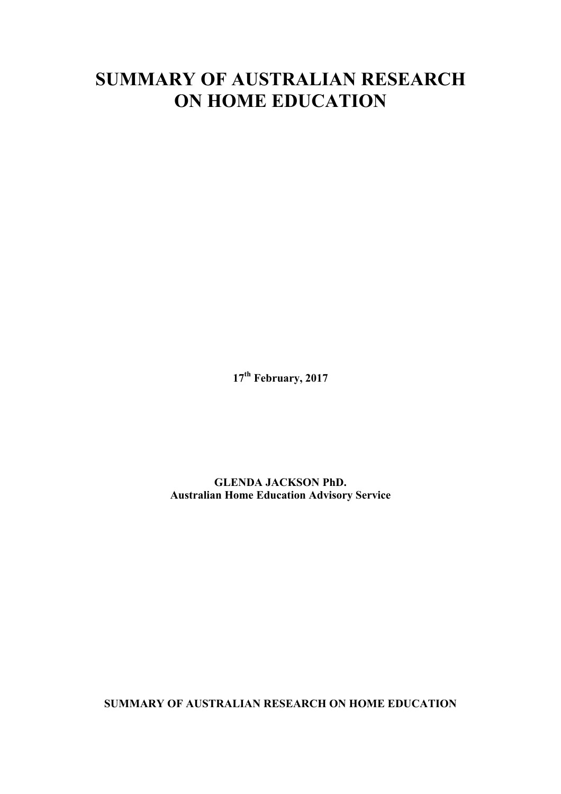# **SUMMARY OF AUSTRALIAN RESEARCH ON HOME EDUCATION**

**17th February, 2017**

# **GLENDA JACKSON PhD. Australian Home Education Advisory Service**

**SUMMARY OF AUSTRALIAN RESEARCH ON HOME EDUCATION**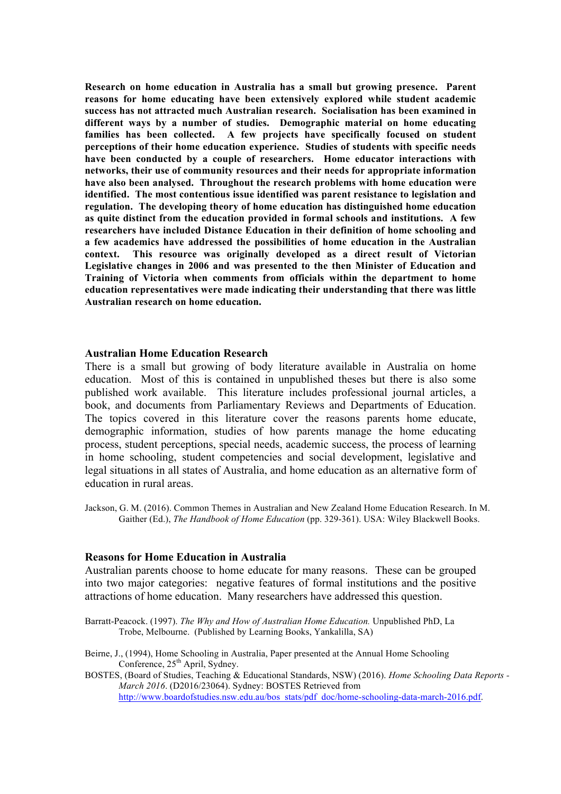**Research on home education in Australia has a small but growing presence. Parent reasons for home educating have been extensively explored while student academic success has not attracted much Australian research. Socialisation has been examined in different ways by a number of studies. Demographic material on home educating families has been collected. A few projects have specifically focused on student perceptions of their home education experience. Studies of students with specific needs have been conducted by a couple of researchers. Home educator interactions with networks, their use of community resources and their needs for appropriate information have also been analysed. Throughout the research problems with home education were identified. The most contentious issue identified was parent resistance to legislation and regulation. The developing theory of home education has distinguished home education as quite distinct from the education provided in formal schools and institutions. A few researchers have included Distance Education in their definition of home schooling and a few academics have addressed the possibilities of home education in the Australian context. This resource was originally developed as a direct result of Victorian Legislative changes in 2006 and was presented to the then Minister of Education and Training of Victoria when comments from officials within the department to home education representatives were made indicating their understanding that there was little Australian research on home education.**

#### **Australian Home Education Research**

There is a small but growing of body literature available in Australia on home education. Most of this is contained in unpublished theses but there is also some published work available. This literature includes professional journal articles, a book, and documents from Parliamentary Reviews and Departments of Education. The topics covered in this literature cover the reasons parents home educate, demographic information, studies of how parents manage the home educating process, student perceptions, special needs, academic success, the process of learning in home schooling, student competencies and social development, legislative and legal situations in all states of Australia, and home education as an alternative form of education in rural areas.

Jackson, G. M. (2016). Common Themes in Australian and New Zealand Home Education Research. In M. Gaither (Ed.), *The Handbook of Home Education* (pp. 329-361). USA: Wiley Blackwell Books.

#### **Reasons for Home Education in Australia**

Australian parents choose to home educate for many reasons. These can be grouped into two major categories: negative features of formal institutions and the positive attractions of home education. Many researchers have addressed this question.

Barratt-Peacock. (1997). *The Why and How of Australian Home Education.* Unpublished PhD, La Trobe, Melbourne. (Published by Learning Books, Yankalilla, SA)

- Beirne, J., (1994), Home Schooling in Australia, Paper presented at the Annual Home Schooling Conference,  $25<sup>th</sup>$  April, Sydney.
- BOSTES, (Board of Studies, Teaching & Educational Standards, NSW) (2016). *Home Schooling Data Reports - March 2016*. (D2016/23064). Sydney: BOSTES Retrieved from http://www.boardofstudies.nsw.edu.au/bos\_stats/pdf\_doc/home-schooling-data-march-2016.pdf.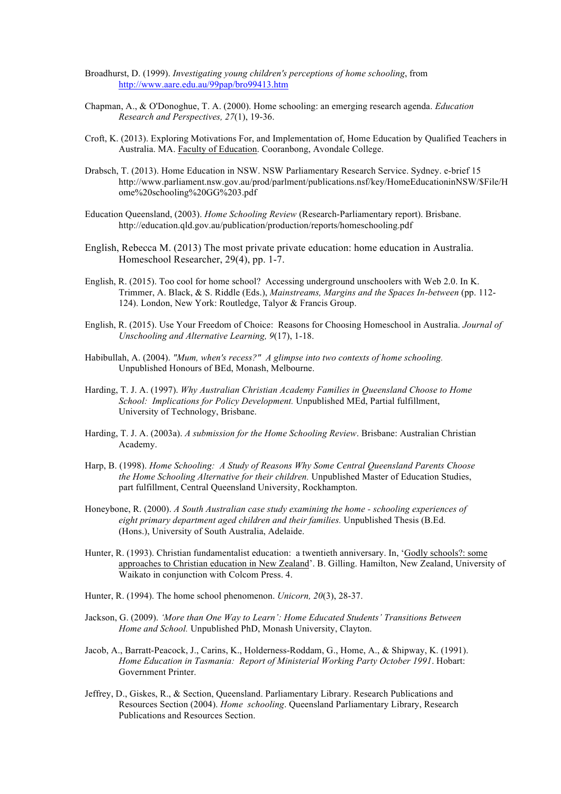- Broadhurst, D. (1999). *Investigating young children's perceptions of home schooling*, from http://www.aare.edu.au/99pap/bro99413.htm
- Chapman, A., & O'Donoghue, T. A. (2000). Home schooling: an emerging research agenda. *Education Research and Perspectives, 27*(1), 19-36.
- Croft, K. (2013). Exploring Motivations For, and Implementation of, Home Education by Qualified Teachers in Australia. MA. Faculty of Education. Cooranbong, Avondale College.
- Drabsch, T. (2013). Home Education in NSW. NSW Parliamentary Research Service. Sydney. e-brief 15 http://www.parliament.nsw.gov.au/prod/parlment/publications.nsf/key/HomeEducationinNSW/\$File/H ome%20schooling%20GG%203.pdf
- Education Queensland, (2003). *Home Schooling Review* (Research-Parliamentary report). Brisbane. http://education.qld.gov.au/publication/production/reports/homeschooling.pdf
- English, Rebecca M. (2013) The most private private education: home education in Australia. Homeschool Researcher, 29(4), pp. 1-7.
- English, R. (2015). Too cool for home school? Accessing underground unschoolers with Web 2.0. In K. Trimmer, A. Black, & S. Riddle (Eds.), *Mainstreams, Margins and the Spaces In-between* (pp. 112- 124). London, New York: Routledge, Talyor & Francis Group.
- English, R. (2015). Use Your Freedom of Choice: Reasons for Choosing Homeschool in Australia. *Journal of Unschooling and Alternative Learning, 9*(17), 1-18.
- Habibullah, A. (2004). *"Mum, when's recess?" A glimpse into two contexts of home schooling.* Unpublished Honours of BEd, Monash, Melbourne.
- Harding, T. J. A. (1997). *Why Australian Christian Academy Families in Queensland Choose to Home School: Implications for Policy Development.* Unpublished MEd, Partial fulfillment, University of Technology, Brisbane.
- Harding, T. J. A. (2003a). *A submission for the Home Schooling Review*. Brisbane: Australian Christian Academy.
- Harp, B. (1998). *Home Schooling: A Study of Reasons Why Some Central Queensland Parents Choose the Home Schooling Alternative for their children.* Unpublished Master of Education Studies, part fulfillment, Central Queensland University, Rockhampton.
- Honeybone, R. (2000). *A South Australian case study examining the home - schooling experiences of eight primary department aged children and their families.* Unpublished Thesis (B.Ed. (Hons.), University of South Australia, Adelaide.
- Hunter, R. (1993). Christian fundamentalist education: a twentieth anniversary. In, 'Godly schools?: some approaches to Christian education in New Zealand'. B. Gilling. Hamilton, New Zealand, University of Waikato in conjunction with Colcom Press. 4.
- Hunter, R. (1994). The home school phenomenon. *Unicorn, 20*(3), 28-37.
- Jackson, G. (2009). *'More than One Way to Learn': Home Educated Students' Transitions Between Home and School.* Unpublished PhD, Monash University, Clayton.
- Jacob, A., Barratt-Peacock, J., Carins, K., Holderness-Roddam, G., Home, A., & Shipway, K. (1991). *Home Education in Tasmania: Report of Ministerial Working Party October 1991*. Hobart: Government Printer.
- Jeffrey, D., Giskes, R., & Section, Queensland. Parliamentary Library. Research Publications and Resources Section (2004). *Home schooling*. Queensland Parliamentary Library, Research Publications and Resources Section.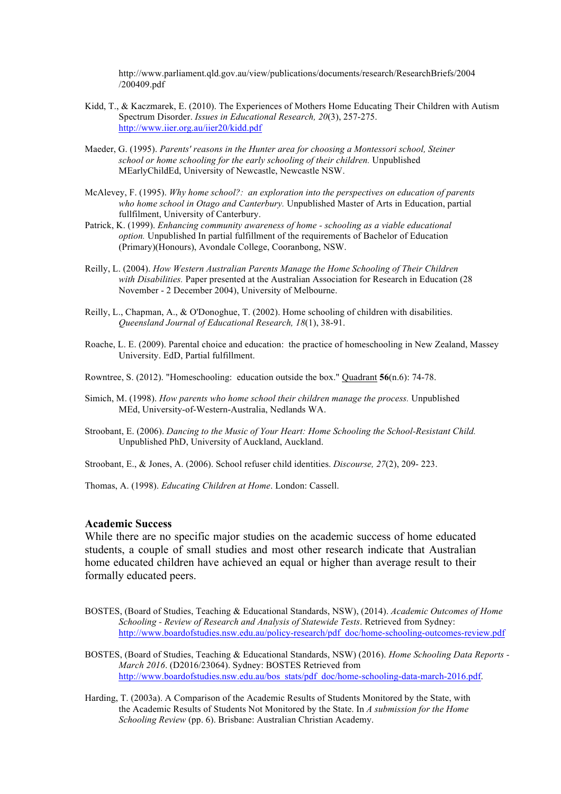http://www.parliament.qld.gov.au/view/publications/documents/research/ResearchBriefs/2004 /200409.pdf

- Kidd, T., & Kaczmarek, E. (2010). The Experiences of Mothers Home Educating Their Children with Autism Spectrum Disorder. *Issues in Educational Research, 20*(3), 257-275. http://www.iier.org.au/iier20/kidd.pdf
- Maeder, G. (1995). *Parents' reasons in the Hunter area for choosing a Montessori school, Steiner school or home schooling for the early schooling of their children.* Unpublished MEarlyChildEd, University of Newcastle, Newcastle NSW.
- McAlevey, F. (1995). *Why home school?: an exploration into the perspectives on education of parents who home school in Otago and Canterbury.* Unpublished Master of Arts in Education, partial fullfilment, University of Canterbury.
- Patrick, K. (1999). *Enhancing community awareness of home - schooling as a viable educational option.* Unpublished In partial fulfillment of the requirements of Bachelor of Education (Primary)(Honours), Avondale College, Cooranbong, NSW.
- Reilly, L. (2004). *How Western Australian Parents Manage the Home Schooling of Their Children with Disabilities.* Paper presented at the Australian Association for Research in Education (28 November - 2 December 2004), University of Melbourne.
- Reilly, L., Chapman, A., & O'Donoghue, T. (2002). Home schooling of children with disabilities. *Queensland Journal of Educational Research, 18*(1), 38-91.
- Roache, L. E. (2009). Parental choice and education: the practice of homeschooling in New Zealand, Massey University. EdD, Partial fulfillment.

Rowntree, S. (2012). "Homeschooling: education outside the box." Quadrant **56**(n.6): 74-78.

- Simich, M. (1998). *How parents who home school their children manage the process.* Unpublished MEd, University-of-Western-Australia, Nedlands WA.
- Stroobant, E. (2006). *Dancing to the Music of Your Heart: Home Schooling the School-Resistant Child.* Unpublished PhD, University of Auckland, Auckland.

Stroobant, E., & Jones, A. (2006). School refuser child identities. *Discourse, 27*(2), 209- 223.

Thomas, A. (1998). *Educating Children at Home*. London: Cassell.

#### **Academic Success**

While there are no specific major studies on the academic success of home educated students, a couple of small studies and most other research indicate that Australian home educated children have achieved an equal or higher than average result to their formally educated peers.

BOSTES, (Board of Studies, Teaching & Educational Standards, NSW), (2014). *Academic Outcomes of Home Schooling - Review of Research and Analysis of Statewide Tests*. Retrieved from Sydney: http://www.boardofstudies.nsw.edu.au/policy-research/pdf\_doc/home-schooling-outcomes-review.pdf

BOSTES, (Board of Studies, Teaching & Educational Standards, NSW) (2016). *Home Schooling Data Reports - March 2016*. (D2016/23064). Sydney: BOSTES Retrieved from http://www.boardofstudies.nsw.edu.au/bos\_stats/pdf\_doc/home-schooling-data-march-2016.pdf.

Harding, T. (2003a). A Comparison of the Academic Results of Students Monitored by the State, with the Academic Results of Students Not Monitored by the State. In *A submission for the Home Schooling Review* (pp. 6). Brisbane: Australian Christian Academy.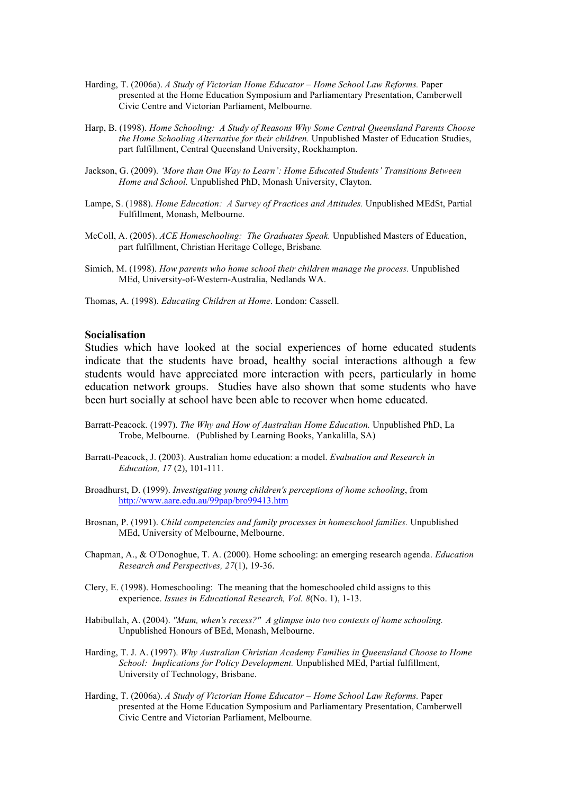- Harding, T. (2006a). *A Study of Victorian Home Educator – Home School Law Reforms.* Paper presented at the Home Education Symposium and Parliamentary Presentation, Camberwell Civic Centre and Victorian Parliament, Melbourne.
- Harp, B. (1998). *Home Schooling: A Study of Reasons Why Some Central Queensland Parents Choose the Home Schooling Alternative for their children.* Unpublished Master of Education Studies, part fulfillment, Central Queensland University, Rockhampton.
- Jackson, G. (2009). *'More than One Way to Learn': Home Educated Students' Transitions Between Home and School.* Unpublished PhD, Monash University, Clayton.
- Lampe, S. (1988). *Home Education: A Survey of Practices and Attitudes.* Unpublished MEdSt, Partial Fulfillment, Monash, Melbourne.
- McColl, A. (2005). *ACE Homeschooling: The Graduates Speak.* Unpublished Masters of Education, part fulfillment, Christian Heritage College, Brisbane*.*
- Simich, M. (1998). *How parents who home school their children manage the process.* Unpublished MEd, University-of-Western-Australia, Nedlands WA.
- Thomas, A. (1998). *Educating Children at Home*. London: Cassell.

#### **Socialisation**

Studies which have looked at the social experiences of home educated students indicate that the students have broad, healthy social interactions although a few students would have appreciated more interaction with peers, particularly in home education network groups. Studies have also shown that some students who have been hurt socially at school have been able to recover when home educated.

- Barratt-Peacock. (1997). *The Why and How of Australian Home Education.* Unpublished PhD, La Trobe, Melbourne. (Published by Learning Books, Yankalilla, SA)
- Barratt-Peacock, J. (2003). Australian home education: a model. *Evaluation and Research in Education, 17* (2), 101-111.
- Broadhurst, D. (1999). *Investigating young children's perceptions of home schooling*, from http://www.aare.edu.au/99pap/bro99413.htm
- Brosnan, P. (1991). *Child competencies and family processes in homeschool families.* Unpublished MEd, University of Melbourne, Melbourne.
- Chapman, A., & O'Donoghue, T. A. (2000). Home schooling: an emerging research agenda. *Education Research and Perspectives, 27*(1), 19-36.
- Clery, E. (1998). Homeschooling: The meaning that the homeschooled child assigns to this experience. *Issues in Educational Research, Vol. 8*(No. 1), 1-13.
- Habibullah, A. (2004). *"Mum, when's recess?" A glimpse into two contexts of home schooling.* Unpublished Honours of BEd, Monash, Melbourne.
- Harding, T. J. A. (1997). *Why Australian Christian Academy Families in Queensland Choose to Home School: Implications for Policy Development.* Unpublished MEd, Partial fulfillment, University of Technology, Brisbane.
- Harding, T. (2006a). *A Study of Victorian Home Educator – Home School Law Reforms.* Paper presented at the Home Education Symposium and Parliamentary Presentation, Camberwell Civic Centre and Victorian Parliament, Melbourne.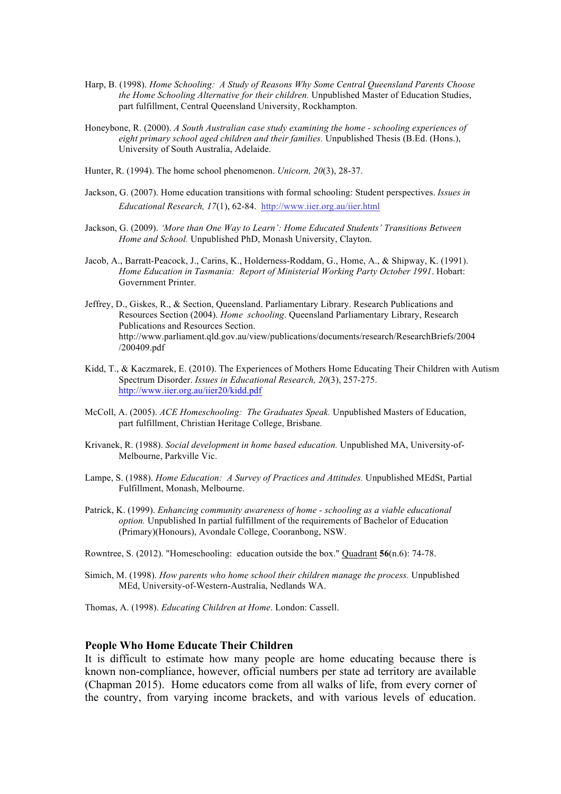- Harp, B. (1998). *Home Schooling: A Study of Reasons Why Some Central Queensland Parents Choose the Home Schooling Alternative for their children.* Unpublished Master of Education Studies, part fulfillment, Central Queensland University, Rockhampton.
- Honeybone, R. (2000). *A South Australian case study examining the home - schooling experiences of eight primary school aged children and their families.* Unpublished Thesis (B.Ed. (Hons.), University of South Australia, Adelaide.
- Hunter, R. (1994). The home school phenomenon. *Unicorn, 20*(3), 28-37.
- Jackson, G. (2007). Home education transitions with formal schooling: Student perspectives. *Issues in Educational Research, 17*(1), 62-84. http://www.iier.org.au/iier.html
- Jackson, G. (2009). *'More than One Way to Learn': Home Educated Students' Transitions Between Home and School.* Unpublished PhD, Monash University, Clayton.
- Jacob, A., Barratt-Peacock, J., Carins, K., Holderness-Roddam, G., Home, A., & Shipway, K. (1991). *Home Education in Tasmania: Report of Ministerial Working Party October 1991*. Hobart: Government Printer.
- Jeffrey, D., Giskes, R., & Section, Queensland. Parliamentary Library. Research Publications and Resources Section (2004). *Home schooling*. Queensland Parliamentary Library, Research Publications and Resources Section. http://www.parliament.qld.gov.au/view/publications/documents/research/ResearchBriefs/2004 /200409.pdf
- Kidd, T., & Kaczmarek, E. (2010). The Experiences of Mothers Home Educating Their Children with Autism Spectrum Disorder. *Issues in Educational Research, 20*(3), 257-275. http://www.iier.org.au/iier20/kidd.pdf
- McColl, A. (2005). *ACE Homeschooling: The Graduates Speak.* Unpublished Masters of Education, part fulfillment, Christian Heritage College, Brisbane*.*
- Krivanek, R. (1988). *Social development in home based education.* Unpublished MA, University-of-Melbourne, Parkville Vic.
- Lampe, S. (1988). *Home Education: A Survey of Practices and Attitudes.* Unpublished MEdSt, Partial Fulfillment, Monash, Melbourne.
- Patrick, K. (1999). *Enhancing community awareness of home - schooling as a viable educational option.* Unpublished In partial fulfillment of the requirements of Bachelor of Education (Primary)(Honours), Avondale College, Cooranbong, NSW.

Rowntree, S. (2012). "Homeschooling: education outside the box." Quadrant **56**(n.6): 74-78.

Simich, M. (1998). *How parents who home school their children manage the process.* Unpublished MEd, University-of-Western-Australia, Nedlands WA.

Thomas, A. (1998). *Educating Children at Home*. London: Cassell.

## **People Who Home Educate Their Children**

It is difficult to estimate how many people are home educating because there is known non-compliance, however, official numbers per state ad territory are available (Chapman 2015). Home educators come from all walks of life, from every corner of the country, from varying income brackets, and with various levels of education.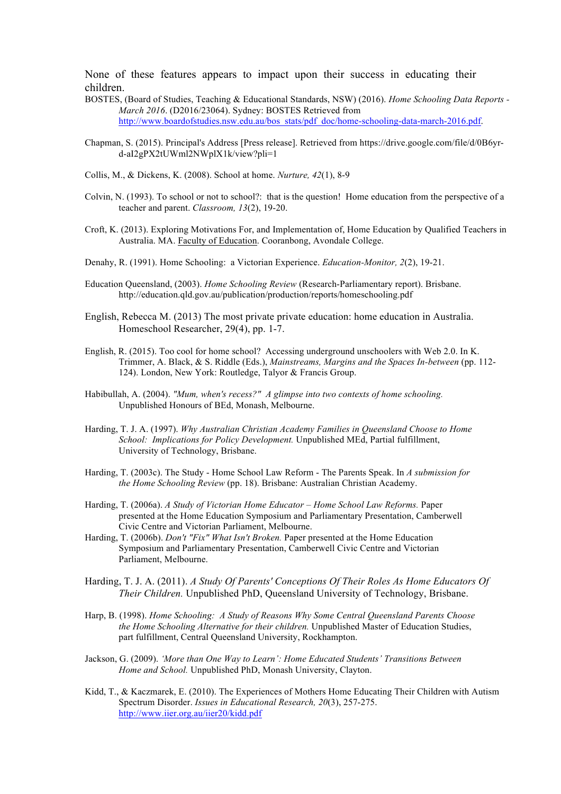None of these features appears to impact upon their success in educating their children.

- BOSTES, (Board of Studies, Teaching & Educational Standards, NSW) (2016). *Home Schooling Data Reports - March 2016*. (D2016/23064). Sydney: BOSTES Retrieved from http://www.boardofstudies.nsw.edu.au/bos\_stats/pdf\_doc/home-schooling-data-march-2016.pdf.
- Chapman, S. (2015). Principal's Address [Press release]. Retrieved from https://drive.google.com/file/d/0B6yrd-aI2gPX2tUWml2NWplX1k/view?pli=1
- Collis, M., & Dickens, K. (2008). School at home. *Nurture, 42*(1), 8-9
- Colvin, N. (1993). To school or not to school?: that is the question! Home education from the perspective of a teacher and parent. *Classroom, 13*(2), 19-20.
- Croft, K. (2013). Exploring Motivations For, and Implementation of, Home Education by Qualified Teachers in Australia. MA. Faculty of Education. Cooranbong, Avondale College.
- Denahy, R. (1991). Home Schooling: a Victorian Experience. *Education-Monitor, 2*(2), 19-21.
- Education Queensland, (2003). *Home Schooling Review* (Research-Parliamentary report). Brisbane. http://education.qld.gov.au/publication/production/reports/homeschooling.pdf
- English, Rebecca M. (2013) The most private private education: home education in Australia. Homeschool Researcher, 29(4), pp. 1-7.
- English, R. (2015). Too cool for home school? Accessing underground unschoolers with Web 2.0. In K. Trimmer, A. Black, & S. Riddle (Eds.), *Mainstreams, Margins and the Spaces In-between* (pp. 112- 124). London, New York: Routledge, Talyor & Francis Group.
- Habibullah, A. (2004). *"Mum, when's recess?" A glimpse into two contexts of home schooling.* Unpublished Honours of BEd, Monash, Melbourne.
- Harding, T. J. A. (1997). *Why Australian Christian Academy Families in Queensland Choose to Home School: Implications for Policy Development.* Unpublished MEd, Partial fulfillment, University of Technology, Brisbane.
- Harding, T. (2003c). The Study Home School Law Reform The Parents Speak. In *A submission for the Home Schooling Review* (pp. 18). Brisbane: Australian Christian Academy.
- Harding, T. (2006a). *A Study of Victorian Home Educator – Home School Law Reforms.* Paper presented at the Home Education Symposium and Parliamentary Presentation, Camberwell Civic Centre and Victorian Parliament, Melbourne.
- Harding, T. (2006b). *Don't "Fix" What Isn't Broken.* Paper presented at the Home Education Symposium and Parliamentary Presentation, Camberwell Civic Centre and Victorian Parliament, Melbourne.
- Harding, T. J. A. (2011). *A Study Of Parents' Conceptions Of Their Roles As Home Educators Of Their Children.* Unpublished PhD, Queensland University of Technology, Brisbane.
- Harp, B. (1998). *Home Schooling: A Study of Reasons Why Some Central Queensland Parents Choose the Home Schooling Alternative for their children.* Unpublished Master of Education Studies, part fulfillment, Central Queensland University, Rockhampton.
- Jackson, G. (2009). *'More than One Way to Learn': Home Educated Students' Transitions Between Home and School.* Unpublished PhD, Monash University, Clayton.
- Kidd, T., & Kaczmarek, E. (2010). The Experiences of Mothers Home Educating Their Children with Autism Spectrum Disorder. *Issues in Educational Research, 20*(3), 257-275. http://www.iier.org.au/iier20/kidd.pdf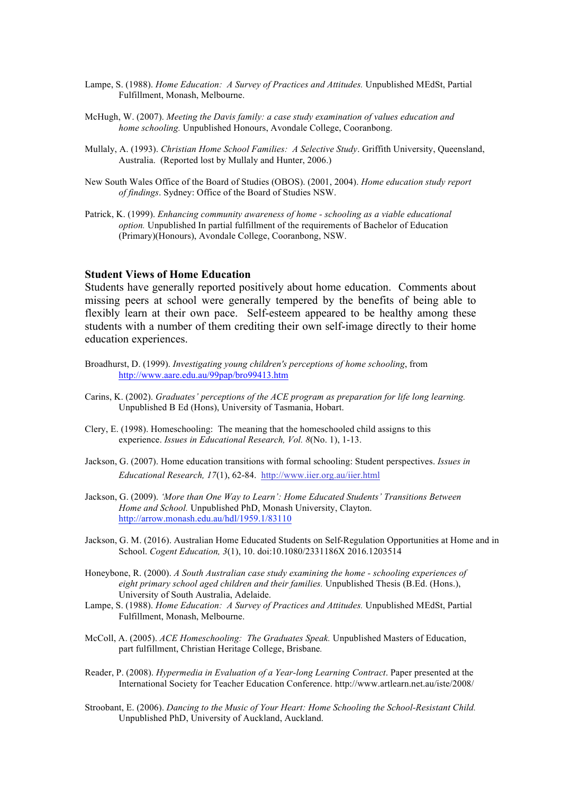- Lampe, S. (1988). *Home Education: A Survey of Practices and Attitudes.* Unpublished MEdSt, Partial Fulfillment, Monash, Melbourne.
- McHugh, W. (2007). *Meeting the Davis family: a case study examination of values education and home schooling.* Unpublished Honours, Avondale College, Cooranbong.
- Mullaly, A. (1993). *Christian Home School Families: A Selective Study*. Griffith University, Queensland, Australia. (Reported lost by Mullaly and Hunter, 2006.)
- New South Wales Office of the Board of Studies (OBOS). (2001, 2004). *Home education study report of findings*. Sydney: Office of the Board of Studies NSW.
- Patrick, K. (1999). *Enhancing community awareness of home - schooling as a viable educational option.* Unpublished In partial fulfillment of the requirements of Bachelor of Education (Primary)(Honours), Avondale College, Cooranbong, NSW.

#### **Student Views of Home Education**

Students have generally reported positively about home education. Comments about missing peers at school were generally tempered by the benefits of being able to flexibly learn at their own pace. Self-esteem appeared to be healthy among these students with a number of them crediting their own self-image directly to their home education experiences.

- Broadhurst, D. (1999). *Investigating young children's perceptions of home schooling*, from http://www.aare.edu.au/99pap/bro99413.htm
- Carins, K. (2002). *Graduates' perceptions of the ACE program as preparation for life long learning.* Unpublished B Ed (Hons), University of Tasmania, Hobart.
- Clery, E. (1998). Homeschooling: The meaning that the homeschooled child assigns to this experience. *Issues in Educational Research, Vol. 8*(No. 1), 1-13.
- Jackson, G. (2007). Home education transitions with formal schooling: Student perspectives. *Issues in Educational Research, 17*(1), 62-84. http://www.iier.org.au/iier.html
- Jackson, G. (2009). *'More than One Way to Learn': Home Educated Students' Transitions Between Home and School.* Unpublished PhD, Monash University, Clayton. http://arrow.monash.edu.au/hdl/1959.1/83110
- Jackson, G. M. (2016). Australian Home Educated Students on Self-Regulation Opportunities at Home and in School. *Cogent Education, 3*(1), 10. doi:10.1080/2331186X 2016.1203514
- Honeybone, R. (2000). *A South Australian case study examining the home - schooling experiences of eight primary school aged children and their families.* Unpublished Thesis (B.Ed. (Hons.), University of South Australia, Adelaide.
- Lampe, S. (1988). *Home Education: A Survey of Practices and Attitudes.* Unpublished MEdSt, Partial Fulfillment, Monash, Melbourne.
- McColl, A. (2005). *ACE Homeschooling: The Graduates Speak.* Unpublished Masters of Education, part fulfillment, Christian Heritage College, Brisbane*.*
- Reader, P. (2008). *Hypermedia in Evaluation of a Year-long Learning Contract*. Paper presented at the International Society for Teacher Education Conference. http://www.artlearn.net.au/iste/2008/
- Stroobant, E. (2006). *Dancing to the Music of Your Heart: Home Schooling the School-Resistant Child.* Unpublished PhD, University of Auckland, Auckland.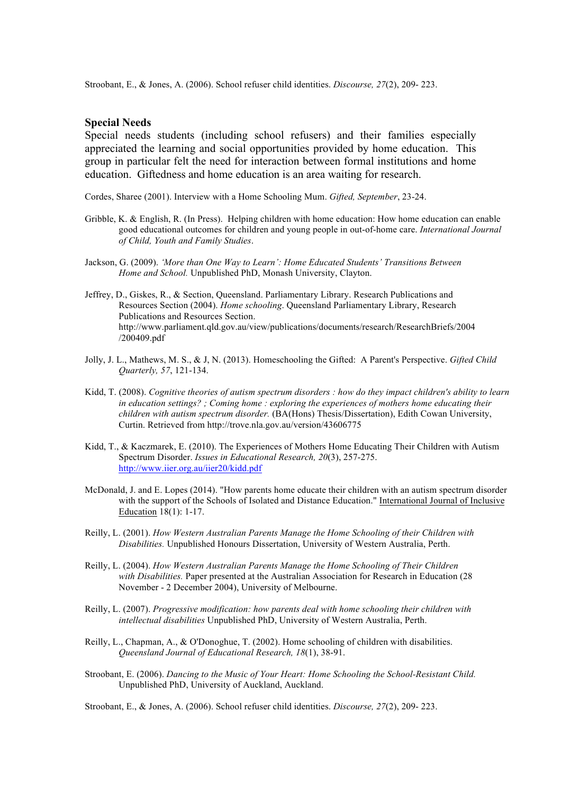Stroobant, E., & Jones, A. (2006). School refuser child identities. *Discourse, 27*(2), 209- 223.

## **Special Needs**

Special needs students (including school refusers) and their families especially appreciated the learning and social opportunities provided by home education. This group in particular felt the need for interaction between formal institutions and home education. Giftedness and home education is an area waiting for research.

Cordes, Sharee (2001). Interview with a Home Schooling Mum. *Gifted, September*, 23-24.

- Gribble, K. & English, R. (In Press). Helping children with home education: How home education can enable good educational outcomes for children and young people in out-of-home care. *International Journal of Child, Youth and Family Studies*.
- Jackson, G. (2009). *'More than One Way to Learn': Home Educated Students' Transitions Between Home and School.* Unpublished PhD, Monash University, Clayton.
- Jeffrey, D., Giskes, R., & Section, Queensland. Parliamentary Library. Research Publications and Resources Section (2004). *Home schooling*. Queensland Parliamentary Library, Research Publications and Resources Section. http://www.parliament.qld.gov.au/view/publications/documents/research/ResearchBriefs/2004 /200409.pdf
- Jolly, J. L., Mathews, M. S., & J, N. (2013). Homeschooling the Gifted: A Parent's Perspective. *Gifted Child Quarterly, 57*, 121-134.
- Kidd, T. (2008). *Cognitive theories of autism spectrum disorders : how do they impact children's ability to learn in education settings? ; Coming home : exploring the experiences of mothers home educating their children with autism spectrum disorder.* (BA(Hons) Thesis/Dissertation), Edith Cowan University, Curtin. Retrieved from http://trove.nla.gov.au/version/43606775
- Kidd, T., & Kaczmarek, E. (2010). The Experiences of Mothers Home Educating Their Children with Autism Spectrum Disorder. *Issues in Educational Research, 20*(3), 257-275. http://www.iier.org.au/iier20/kidd.pdf
- McDonald, J. and E. Lopes (2014). "How parents home educate their children with an autism spectrum disorder with the support of the Schools of Isolated and Distance Education." International Journal of Inclusive Education 18(1): 1-17.
- Reilly, L. (2001). *How Western Australian Parents Manage the Home Schooling of their Children with Disabilities.* Unpublished Honours Dissertation, University of Western Australia, Perth.
- Reilly, L. (2004). *How Western Australian Parents Manage the Home Schooling of Their Children with Disabilities.* Paper presented at the Australian Association for Research in Education (28 November - 2 December 2004), University of Melbourne.
- Reilly, L. (2007). *Progressive modification: how parents deal with home schooling their children with intellectual disabilities* Unpublished PhD, University of Western Australia, Perth.
- Reilly, L., Chapman, A., & O'Donoghue, T. (2002). Home schooling of children with disabilities. *Queensland Journal of Educational Research, 18*(1), 38-91.
- Stroobant, E. (2006). *Dancing to the Music of Your Heart: Home Schooling the School-Resistant Child.* Unpublished PhD, University of Auckland, Auckland.

Stroobant, E., & Jones, A. (2006). School refuser child identities. *Discourse, 27*(2), 209- 223.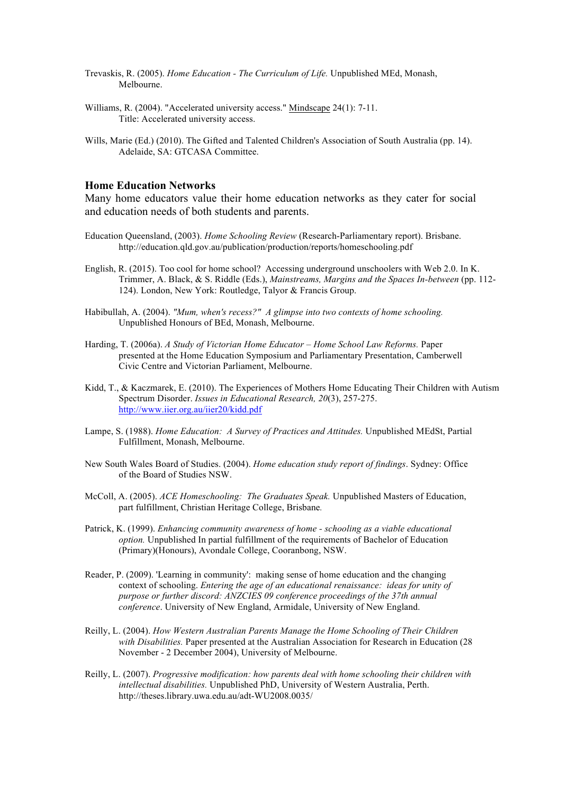- Trevaskis, R. (2005). *Home Education - The Curriculum of Life.* Unpublished MEd, Monash, Melbourne.
- Williams, R. (2004). "Accelerated university access." Mindscape 24(1): 7-11. Title: Accelerated university access.
- Wills, Marie (Ed.) (2010). The Gifted and Talented Children's Association of South Australia (pp. 14). Adelaide, SA: GTCASA Committee.

#### **Home Education Networks**

Many home educators value their home education networks as they cater for social and education needs of both students and parents.

- Education Queensland, (2003). *Home Schooling Review* (Research-Parliamentary report). Brisbane. http://education.qld.gov.au/publication/production/reports/homeschooling.pdf
- English, R. (2015). Too cool for home school? Accessing underground unschoolers with Web 2.0. In K. Trimmer, A. Black, & S. Riddle (Eds.), *Mainstreams, Margins and the Spaces In-between* (pp. 112- 124). London, New York: Routledge, Talyor & Francis Group.
- Habibullah, A. (2004). *"Mum, when's recess?" A glimpse into two contexts of home schooling.* Unpublished Honours of BEd, Monash, Melbourne.
- Harding, T. (2006a). *A Study of Victorian Home Educator – Home School Law Reforms.* Paper presented at the Home Education Symposium and Parliamentary Presentation, Camberwell Civic Centre and Victorian Parliament, Melbourne.
- Kidd, T., & Kaczmarek, E. (2010). The Experiences of Mothers Home Educating Their Children with Autism Spectrum Disorder. *Issues in Educational Research, 20*(3), 257-275. http://www.iier.org.au/iier20/kidd.pdf
- Lampe, S. (1988). *Home Education: A Survey of Practices and Attitudes.* Unpublished MEdSt, Partial Fulfillment, Monash, Melbourne.
- New South Wales Board of Studies. (2004). *Home education study report of findings*. Sydney: Office of the Board of Studies NSW.
- McColl, A. (2005). *ACE Homeschooling: The Graduates Speak.* Unpublished Masters of Education, part fulfillment, Christian Heritage College, Brisbane*.*
- Patrick, K. (1999). *Enhancing community awareness of home - schooling as a viable educational option.* Unpublished In partial fulfillment of the requirements of Bachelor of Education (Primary)(Honours), Avondale College, Cooranbong, NSW.
- Reader, P. (2009). 'Learning in community': making sense of home education and the changing context of schooling. *Entering the age of an educational renaissance: ideas for unity of purpose or further discord: ANZCIES 09 conference proceedings of the 37th annual conference*. University of New England, Armidale, University of New England.
- Reilly, L. (2004). *How Western Australian Parents Manage the Home Schooling of Their Children with Disabilities.* Paper presented at the Australian Association for Research in Education (28 November - 2 December 2004), University of Melbourne.
- Reilly, L. (2007). *Progressive modification: how parents deal with home schooling their children with intellectual disabilities.* Unpublished PhD, University of Western Australia, Perth. http://theses.library.uwa.edu.au/adt-WU2008.0035/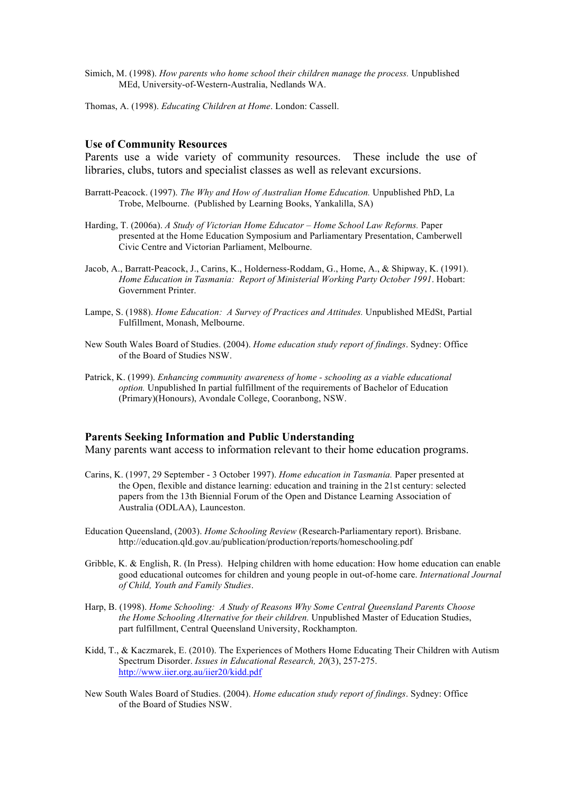- Simich, M. (1998). *How parents who home school their children manage the process.* Unpublished MEd, University-of-Western-Australia, Nedlands WA.
- Thomas, A. (1998). *Educating Children at Home*. London: Cassell.

#### **Use of Community Resources**

Parents use a wide variety of community resources. These include the use of libraries, clubs, tutors and specialist classes as well as relevant excursions.

- Barratt-Peacock. (1997). *The Why and How of Australian Home Education.* Unpublished PhD, La Trobe, Melbourne. (Published by Learning Books, Yankalilla, SA)
- Harding, T. (2006a). *A Study of Victorian Home Educator – Home School Law Reforms.* Paper presented at the Home Education Symposium and Parliamentary Presentation, Camberwell Civic Centre and Victorian Parliament, Melbourne.
- Jacob, A., Barratt-Peacock, J., Carins, K., Holderness-Roddam, G., Home, A., & Shipway, K. (1991). *Home Education in Tasmania: Report of Ministerial Working Party October 1991*. Hobart: Government Printer.
- Lampe, S. (1988). *Home Education: A Survey of Practices and Attitudes.* Unpublished MEdSt, Partial Fulfillment, Monash, Melbourne.
- New South Wales Board of Studies. (2004). *Home education study report of findings*. Sydney: Office of the Board of Studies NSW.
- Patrick, K. (1999). *Enhancing community awareness of home - schooling as a viable educational option.* Unpublished In partial fulfillment of the requirements of Bachelor of Education (Primary)(Honours), Avondale College, Cooranbong, NSW.

#### **Parents Seeking Information and Public Understanding**

Many parents want access to information relevant to their home education programs.

- Carins, K. (1997, 29 September 3 October 1997). *Home education in Tasmania.* Paper presented at the Open, flexible and distance learning: education and training in the 21st century: selected papers from the 13th Biennial Forum of the Open and Distance Learning Association of Australia (ODLAA), Launceston.
- Education Queensland, (2003). *Home Schooling Review* (Research-Parliamentary report). Brisbane. http://education.qld.gov.au/publication/production/reports/homeschooling.pdf
- Gribble, K. & English, R. (In Press). Helping children with home education: How home education can enable good educational outcomes for children and young people in out-of-home care. *International Journal of Child, Youth and Family Studies*.
- Harp, B. (1998). *Home Schooling: A Study of Reasons Why Some Central Queensland Parents Choose the Home Schooling Alternative for their children.* Unpublished Master of Education Studies, part fulfillment, Central Queensland University, Rockhampton.
- Kidd, T., & Kaczmarek, E. (2010). The Experiences of Mothers Home Educating Their Children with Autism Spectrum Disorder. *Issues in Educational Research, 20*(3), 257-275. http://www.iier.org.au/iier20/kidd.pdf
- New South Wales Board of Studies. (2004). *Home education study report of findings*. Sydney: Office of the Board of Studies NSW.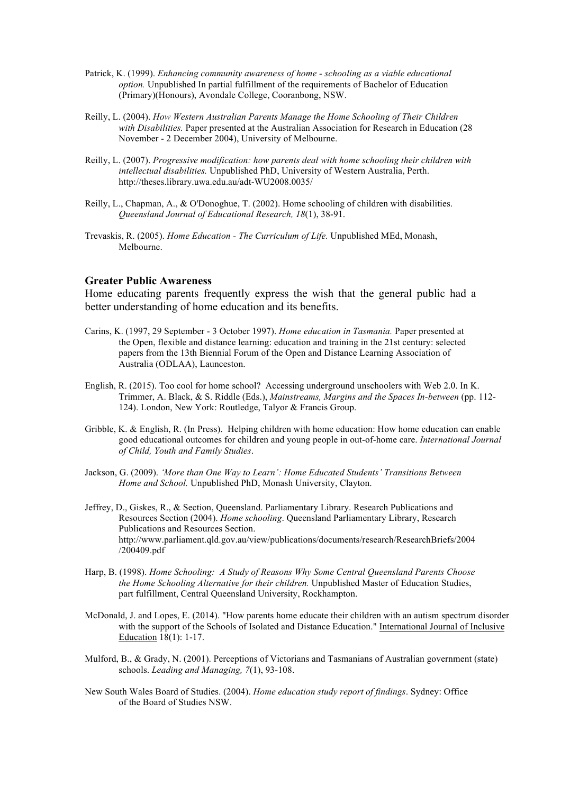- Patrick, K. (1999). *Enhancing community awareness of home - schooling as a viable educational option.* Unpublished In partial fulfillment of the requirements of Bachelor of Education (Primary)(Honours), Avondale College, Cooranbong, NSW.
- Reilly, L. (2004). *How Western Australian Parents Manage the Home Schooling of Their Children with Disabilities.* Paper presented at the Australian Association for Research in Education (28 November - 2 December 2004), University of Melbourne.
- Reilly, L. (2007). *Progressive modification: how parents deal with home schooling their children with intellectual disabilities.* Unpublished PhD, University of Western Australia, Perth. http://theses.library.uwa.edu.au/adt-WU2008.0035/
- Reilly, L., Chapman, A., & O'Donoghue, T. (2002). Home schooling of children with disabilities. *Queensland Journal of Educational Research, 18*(1), 38-91.
- Trevaskis, R. (2005). *Home Education - The Curriculum of Life.* Unpublished MEd, Monash, Melbourne.

#### **Greater Public Awareness**

Home educating parents frequently express the wish that the general public had a better understanding of home education and its benefits.

- Carins, K. (1997, 29 September 3 October 1997). *Home education in Tasmania.* Paper presented at the Open, flexible and distance learning: education and training in the 21st century: selected papers from the 13th Biennial Forum of the Open and Distance Learning Association of Australia (ODLAA), Launceston.
- English, R. (2015). Too cool for home school? Accessing underground unschoolers with Web 2.0. In K. Trimmer, A. Black, & S. Riddle (Eds.), *Mainstreams, Margins and the Spaces In-between* (pp. 112- 124). London, New York: Routledge, Talyor & Francis Group.
- Gribble, K. & English, R. (In Press). Helping children with home education: How home education can enable good educational outcomes for children and young people in out-of-home care. *International Journal of Child, Youth and Family Studies*.
- Jackson, G. (2009). *'More than One Way to Learn': Home Educated Students' Transitions Between Home and School.* Unpublished PhD, Monash University, Clayton.
- Jeffrey, D., Giskes, R., & Section, Queensland. Parliamentary Library. Research Publications and Resources Section (2004). *Home schooling*. Queensland Parliamentary Library, Research Publications and Resources Section. http://www.parliament.qld.gov.au/view/publications/documents/research/ResearchBriefs/2004 /200409.pdf
- Harp, B. (1998). *Home Schooling: A Study of Reasons Why Some Central Queensland Parents Choose the Home Schooling Alternative for their children.* Unpublished Master of Education Studies, part fulfillment, Central Queensland University, Rockhampton.
- McDonald, J. and Lopes, E. (2014). "How parents home educate their children with an autism spectrum disorder with the support of the Schools of Isolated and Distance Education." International Journal of Inclusive Education 18(1): 1-17.
- Mulford, B., & Grady, N. (2001). Perceptions of Victorians and Tasmanians of Australian government (state) schools. *Leading and Managing, 7*(1), 93-108.
- New South Wales Board of Studies. (2004). *Home education study report of findings*. Sydney: Office of the Board of Studies NSW.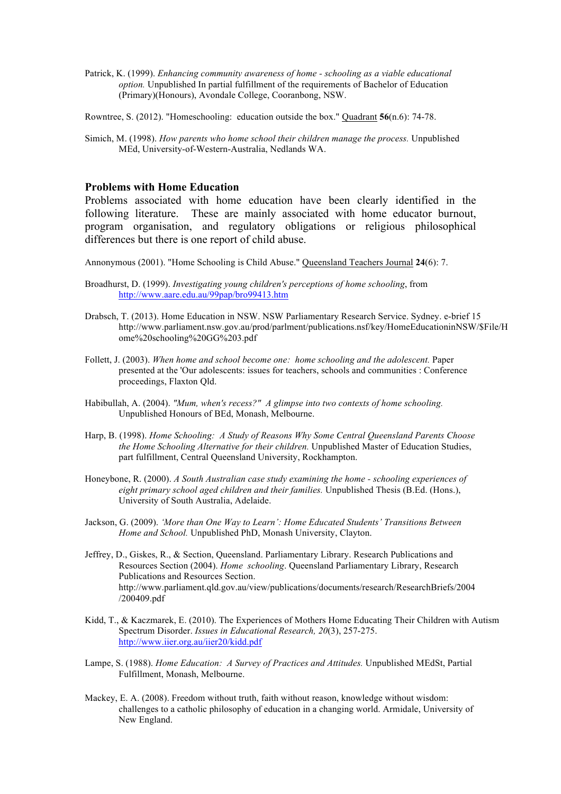- Patrick, K. (1999). *Enhancing community awareness of home - schooling as a viable educational option.* Unpublished In partial fulfillment of the requirements of Bachelor of Education (Primary)(Honours), Avondale College, Cooranbong, NSW.
- Rowntree, S. (2012). "Homeschooling: education outside the box." Quadrant **56**(n.6): 74-78.
- Simich, M. (1998). *How parents who home school their children manage the process.* Unpublished MEd, University-of-Western-Australia, Nedlands WA.

#### **Problems with Home Education**

Problems associated with home education have been clearly identified in the following literature. These are mainly associated with home educator burnout, program organisation, and regulatory obligations or religious philosophical differences but there is one report of child abuse.

Annonymous (2001). "Home Schooling is Child Abuse." Queensland Teachers Journal **24**(6): 7.

- Broadhurst, D. (1999). *Investigating young children's perceptions of home schooling*, from http://www.aare.edu.au/99pap/bro99413.htm
- Drabsch, T. (2013). Home Education in NSW. NSW Parliamentary Research Service. Sydney. e-brief 15 http://www.parliament.nsw.gov.au/prod/parlment/publications.nsf/key/HomeEducationinNSW/\$File/H ome%20schooling%20GG%203.pdf
- Follett, J. (2003). *When home and school become one: home schooling and the adolescent.* Paper presented at the 'Our adolescents: issues for teachers, schools and communities : Conference proceedings, Flaxton Qld.
- Habibullah, A. (2004). *"Mum, when's recess?" A glimpse into two contexts of home schooling.* Unpublished Honours of BEd, Monash, Melbourne.
- Harp, B. (1998). *Home Schooling: A Study of Reasons Why Some Central Queensland Parents Choose the Home Schooling Alternative for their children.* Unpublished Master of Education Studies, part fulfillment, Central Queensland University, Rockhampton.
- Honeybone, R. (2000). *A South Australian case study examining the home - schooling experiences of eight primary school aged children and their families.* Unpublished Thesis (B.Ed. (Hons.), University of South Australia, Adelaide.
- Jackson, G. (2009). *'More than One Way to Learn': Home Educated Students' Transitions Between Home and School.* Unpublished PhD, Monash University, Clayton.
- Jeffrey, D., Giskes, R., & Section, Queensland. Parliamentary Library. Research Publications and Resources Section (2004). *Home schooling*. Queensland Parliamentary Library, Research Publications and Resources Section. http://www.parliament.qld.gov.au/view/publications/documents/research/ResearchBriefs/2004 /200409.pdf
- Kidd, T., & Kaczmarek, E. (2010). The Experiences of Mothers Home Educating Their Children with Autism Spectrum Disorder. *Issues in Educational Research, 20*(3), 257-275. http://www.iier.org.au/iier20/kidd.pdf
- Lampe, S. (1988). *Home Education: A Survey of Practices and Attitudes.* Unpublished MEdSt, Partial Fulfillment, Monash, Melbourne.
- Mackey, E. A. (2008). Freedom without truth, faith without reason, knowledge without wisdom: challenges to a catholic philosophy of education in a changing world. Armidale, University of New England.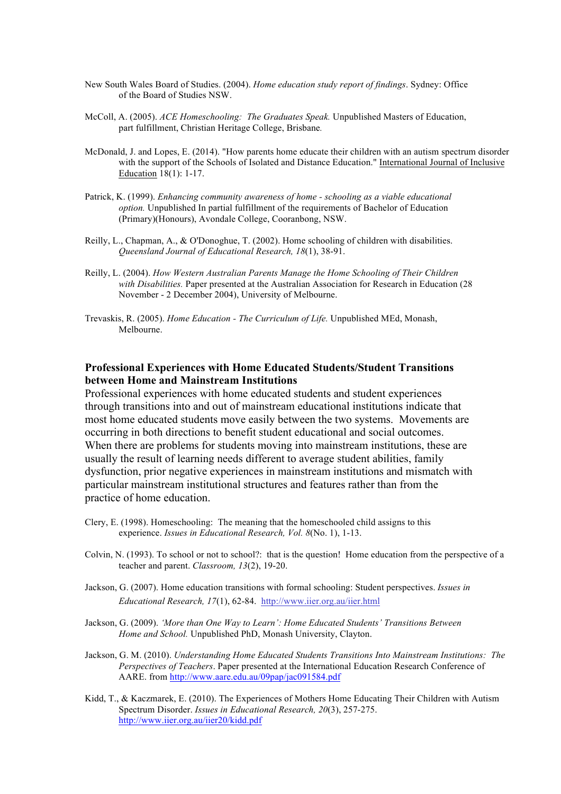- New South Wales Board of Studies. (2004). *Home education study report of findings*. Sydney: Office of the Board of Studies NSW.
- McColl, A. (2005). *ACE Homeschooling: The Graduates Speak.* Unpublished Masters of Education, part fulfillment, Christian Heritage College, Brisbane*.*
- McDonald, J. and Lopes, E. (2014). "How parents home educate their children with an autism spectrum disorder with the support of the Schools of Isolated and Distance Education." International Journal of Inclusive Education 18(1): 1-17.
- Patrick, K. (1999). *Enhancing community awareness of home - schooling as a viable educational option.* Unpublished In partial fulfillment of the requirements of Bachelor of Education (Primary)(Honours), Avondale College, Cooranbong, NSW.
- Reilly, L., Chapman, A., & O'Donoghue, T. (2002). Home schooling of children with disabilities. *Queensland Journal of Educational Research, 18*(1), 38-91.
- Reilly, L. (2004). *How Western Australian Parents Manage the Home Schooling of Their Children with Disabilities.* Paper presented at the Australian Association for Research in Education (28 November - 2 December 2004), University of Melbourne.
- Trevaskis, R. (2005). *Home Education - The Curriculum of Life.* Unpublished MEd, Monash, Melbourne.

## **Professional Experiences with Home Educated Students/Student Transitions between Home and Mainstream Institutions**

Professional experiences with home educated students and student experiences through transitions into and out of mainstream educational institutions indicate that most home educated students move easily between the two systems. Movements are occurring in both directions to benefit student educational and social outcomes. When there are problems for students moving into mainstream institutions, these are usually the result of learning needs different to average student abilities, family dysfunction, prior negative experiences in mainstream institutions and mismatch with particular mainstream institutional structures and features rather than from the practice of home education.

- Clery, E. (1998). Homeschooling: The meaning that the homeschooled child assigns to this experience. *Issues in Educational Research, Vol. 8*(No. 1), 1-13.
- Colvin, N. (1993). To school or not to school?: that is the question! Home education from the perspective of a teacher and parent. *Classroom, 13*(2), 19-20.
- Jackson, G. (2007). Home education transitions with formal schooling: Student perspectives. *Issues in Educational Research, 17*(1), 62-84. http://www.iier.org.au/iier.html
- Jackson, G. (2009). *'More than One Way to Learn': Home Educated Students' Transitions Between Home and School.* Unpublished PhD, Monash University, Clayton.
- Jackson, G. M. (2010). *Understanding Home Educated Students Transitions Into Mainstream Institutions: The Perspectives of Teachers*. Paper presented at the International Education Research Conference of AARE. from http://www.aare.edu.au/09pap/jac091584.pdf
- Kidd, T., & Kaczmarek, E. (2010). The Experiences of Mothers Home Educating Their Children with Autism Spectrum Disorder. *Issues in Educational Research, 20*(3), 257-275. http://www.iier.org.au/iier20/kidd.pdf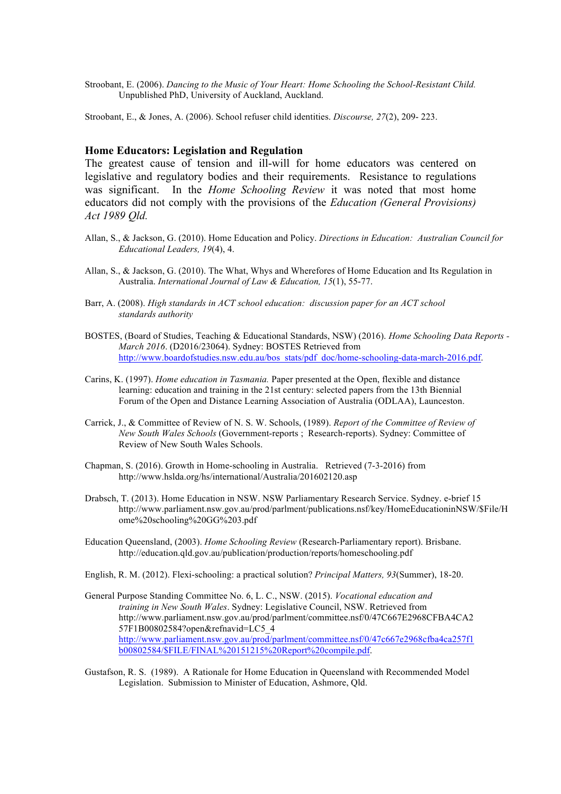Stroobant, E. (2006). *Dancing to the Music of Your Heart: Home Schooling the School-Resistant Child.* Unpublished PhD, University of Auckland, Auckland.

Stroobant, E., & Jones, A. (2006). School refuser child identities. *Discourse, 27*(2), 209- 223.

## **Home Educators: Legislation and Regulation**

The greatest cause of tension and ill-will for home educators was centered on legislative and regulatory bodies and their requirements. Resistance to regulations was significant. In the *Home Schooling Review* it was noted that most home educators did not comply with the provisions of the *Education (General Provisions) Act 1989 Qld.*

- Allan, S., & Jackson, G. (2010). Home Education and Policy. *Directions in Education: Australian Council for Educational Leaders, 19*(4), 4.
- Allan, S., & Jackson, G. (2010). The What, Whys and Wherefores of Home Education and Its Regulation in Australia. *International Journal of Law & Education, 15*(1), 55-77.
- Barr, A. (2008). *High standards in ACT school education: discussion paper for an ACT school standards authority*
- BOSTES, (Board of Studies, Teaching & Educational Standards, NSW) (2016). *Home Schooling Data Reports - March 2016*. (D2016/23064). Sydney: BOSTES Retrieved from http://www.boardofstudies.nsw.edu.au/bos\_stats/pdf\_doc/home-schooling-data-march-2016.pdf.
- Carins, K. (1997). *Home education in Tasmania.* Paper presented at the Open, flexible and distance learning: education and training in the 21st century: selected papers from the 13th Biennial Forum of the Open and Distance Learning Association of Australia (ODLAA), Launceston.
- Carrick, J., & Committee of Review of N. S. W. Schools, (1989). *Report of the Committee of Review of New South Wales Schools* (Government-reports ; Research-reports). Sydney: Committee of Review of New South Wales Schools.
- Chapman, S. (2016). Growth in Home-schooling in Australia. Retrieved (7-3-2016) from http://www.hslda.org/hs/international/Australia/201602120.asp
- Drabsch, T. (2013). Home Education in NSW. NSW Parliamentary Research Service. Sydney. e-brief 15 http://www.parliament.nsw.gov.au/prod/parlment/publications.nsf/key/HomeEducationinNSW/\$File/H ome%20schooling%20GG%203.pdf
- Education Queensland, (2003). *Home Schooling Review* (Research-Parliamentary report). Brisbane. http://education.qld.gov.au/publication/production/reports/homeschooling.pdf
- English, R. M. (2012). Flexi-schooling: a practical solution? *Principal Matters, 93*(Summer), 18-20.
- General Purpose Standing Committee No. 6, L. C., NSW. (2015). *Vocational education and training in New South Wales*. Sydney: Legislative Council, NSW. Retrieved from http://www.parliament.nsw.gov.au/prod/parlment/committee.nsf/0/47C667E2968CFBA4CA2 57F1B00802584?open&refnavid=LC5\_4 http://www.parliament.nsw.gov.au/prod/parlment/committee.nsf/0/47c667e2968cfba4ca257f1 b00802584/\$FILE/FINAL%20151215%20Report%20compile.pdf.
- Gustafson, R. S. (1989). A Rationale for Home Education in Queensland with Recommended Model Legislation. Submission to Minister of Education, Ashmore, Qld.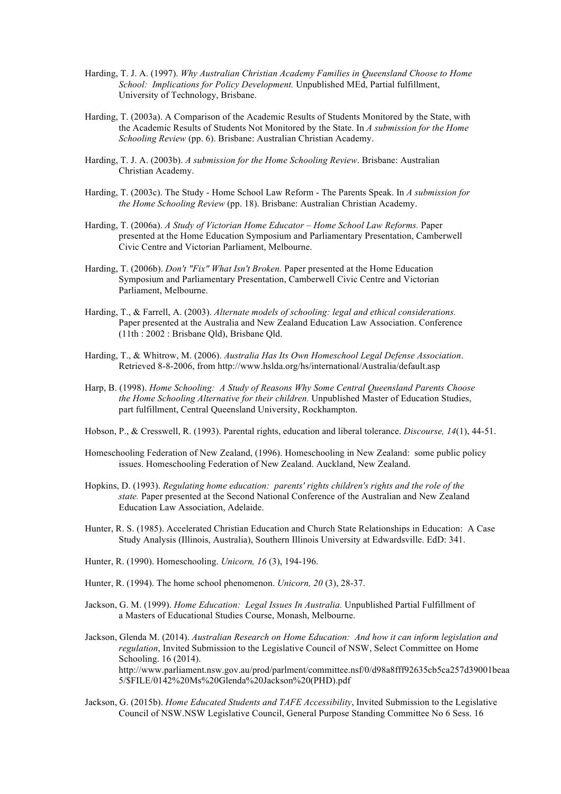- Harding, T. J. A. (1997). *Why Australian Christian Academy Families in Queensland Choose to Home School: Implications for Policy Development.* Unpublished MEd, Partial fulfillment, University of Technology, Brisbane.
- Harding, T. (2003a). A Comparison of the Academic Results of Students Monitored by the State, with the Academic Results of Students Not Monitored by the State. In *A submission for the Home Schooling Review* (pp. 6). Brisbane: Australian Christian Academy.
- Harding, T. J. A. (2003b). *A submission for the Home Schooling Review*. Brisbane: Australian Christian Academy.
- Harding, T. (2003c). The Study Home School Law Reform The Parents Speak. In *A submission for the Home Schooling Review* (pp. 18). Brisbane: Australian Christian Academy.
- Harding, T. (2006a). *A Study of Victorian Home Educator – Home School Law Reforms.* Paper presented at the Home Education Symposium and Parliamentary Presentation, Camberwell Civic Centre and Victorian Parliament, Melbourne.
- Harding, T. (2006b). *Don't "Fix" What Isn't Broken.* Paper presented at the Home Education Symposium and Parliamentary Presentation, Camberwell Civic Centre and Victorian Parliament, Melbourne.
- Harding, T., & Farrell, A. (2003). *Alternate models of schooling: legal and ethical considerations.* Paper presented at the Australia and New Zealand Education Law Association. Conference (11th : 2002 : Brisbane Qld), Brisbane Qld.
- Harding, T., & Whitrow, M. (2006). *Australia Has Its Own Homeschool Legal Defense Association*. Retrieved 8-8-2006, from http://www.hslda.org/hs/international/Australia/default.asp
- Harp, B. (1998). *Home Schooling: A Study of Reasons Why Some Central Queensland Parents Choose the Home Schooling Alternative for their children.* Unpublished Master of Education Studies, part fulfillment, Central Queensland University, Rockhampton.
- Hobson, P., & Cresswell, R. (1993). Parental rights, education and liberal tolerance. *Discourse, 14*(1), 44-51.
- Homeschooling Federation of New Zealand, (1996). Homeschooling in New Zealand: some public policy issues. Homeschooling Federation of New Zealand. Auckland, New Zealand.
- Hopkins, D. (1993). *Regulating home education: parents' rights children's rights and the role of the state.* Paper presented at the Second National Conference of the Australian and New Zealand Education Law Association, Adelaide.
- Hunter, R. S. (1985). Accelerated Christian Education and Church State Relationships in Education: A Case Study Analysis (Illinois, Australia), Southern Illinois University at Edwardsville. EdD: 341.
- Hunter, R. (1990). Homeschooling. *Unicorn, 16* (3), 194-196.
- Hunter, R. (1994). The home school phenomenon. *Unicorn, 20* (3), 28-37.
- Jackson, G. M. (1999). *Home Education: Legal Issues In Australia.* Unpublished Partial Fulfillment of a Masters of Educational Studies Course, Monash, Melbourne.
- Jackson, Glenda M. (2014). *Australian Research on Home Education: And how it can inform legislation and regulation*, Invited Submission to the Legislative Council of NSW, Select Committee on Home Schooling. 16 (2014). http://www.parliament.nsw.gov.au/prod/parlment/committee.nsf/0/d98a8fff92635cb5ca257d39001beaa 5/\$FILE/0142%20Ms%20Glenda%20Jackson%20(PHD).pdf
- Jackson, G. (2015b). *Home Educated Students and TAFE Accessibility*, Invited Submission to the Legislative Council of NSW.NSW Legislative Council, General Purpose Standing Committee No 6 Sess. 16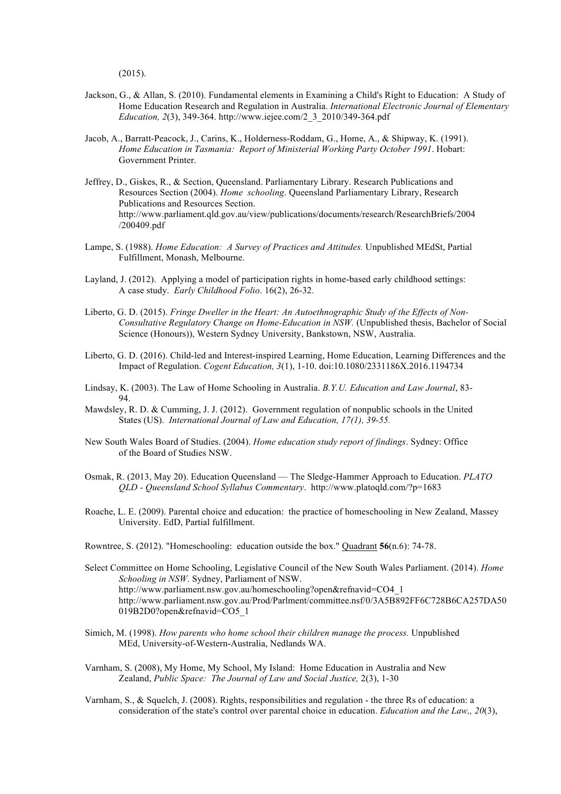(2015).

- Jackson, G., & Allan, S. (2010). Fundamental elements in Examining a Child's Right to Education: A Study of Home Education Research and Regulation in Australia. *International Electronic Journal of Elementary Education, 2*(3), 349-364. http://www.iejee.com/2\_3\_2010/349-364.pdf
- Jacob, A., Barratt-Peacock, J., Carins, K., Holderness-Roddam, G., Home, A., & Shipway, K. (1991). *Home Education in Tasmania: Report of Ministerial Working Party October 1991*. Hobart: Government Printer.
- Jeffrey, D., Giskes, R., & Section, Queensland. Parliamentary Library. Research Publications and Resources Section (2004). *Home schooling*. Queensland Parliamentary Library, Research Publications and Resources Section. http://www.parliament.qld.gov.au/view/publications/documents/research/ResearchBriefs/2004 /200409.pdf
- Lampe, S. (1988). *Home Education: A Survey of Practices and Attitudes.* Unpublished MEdSt, Partial Fulfillment, Monash, Melbourne.
- Layland, J. (2012). Applying a model of participation rights in home-based early childhood settings: A case study. *Early Childhood Folio*. 16(2), 26-32.
- Liberto, G. D. (2015). *Fringe Dweller in the Heart: An Autoethnographic Study of the Effects of Non-Consultative Regulatory Change on Home-Education in NSW.* (Unpublished thesis, Bachelor of Social Science (Honours)), Western Sydney University, Bankstown, NSW, Australia.
- Liberto, G. D. (2016). Child-led and Interest-inspired Learning, Home Education, Learning Differences and the Impact of Regulation. *Cogent Education, 3*(1), 1-10. doi:10.1080/2331186X.2016.1194734
- Lindsay, K. (2003). The Law of Home Schooling in Australia. *B.Y.U. Education and Law Journal*, 83- 94.
- Mawdsley, R. D. & Cumming, J. J. (2012). Government regulation of nonpublic schools in the United States (US). *International Journal of Law and Education, 17(1), 39-55.*
- New South Wales Board of Studies. (2004). *Home education study report of findings*. Sydney: Office of the Board of Studies NSW.
- Osmak, R. (2013, May 20). Education Queensland The Sledge-Hammer Approach to Education. *PLATO QLD - Queensland School Syllabus Commentary*. http://www.platoqld.com/?p=1683
- Roache, L. E. (2009). Parental choice and education: the practice of homeschooling in New Zealand, Massey University. EdD, Partial fulfillment.
- Rowntree, S. (2012). "Homeschooling: education outside the box." Quadrant **56**(n.6): 74-78.
- Select Committee on Home Schooling, Legislative Council of the New South Wales Parliament. (2014). *Home Schooling in NSW*. Sydney, Parliament of NSW. http://www.parliament.nsw.gov.au/homeschooling?open&refnavid=CO4\_1 http://www.parliament.nsw.gov.au/Prod/Parlment/committee.nsf/0/3A5B892FF6C728B6CA257DA50 019B2D0?open&refnavid=CO5\_1
- Simich, M. (1998). *How parents who home school their children manage the process.* Unpublished MEd, University-of-Western-Australia, Nedlands WA.
- Varnham, S. (2008), My Home, My School, My Island: Home Education in Australia and New Zealand, *Public Space: The Journal of Law and Social Justice,* 2(3), 1-30
- Varnham, S., & Squelch, J. (2008). Rights, responsibilities and regulation the three Rs of education: a consideration of the state's control over parental choice in education. *Education and the Law,, 20*(3),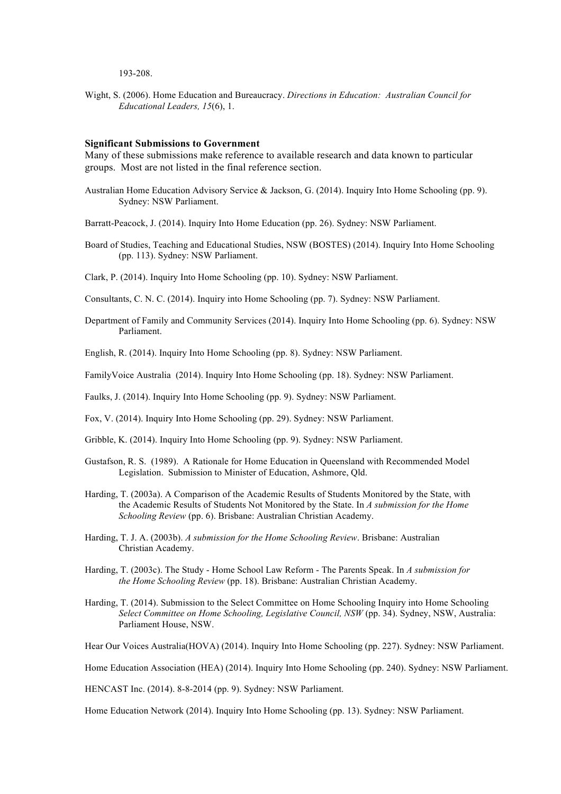#### 193-208.

Wight, S. (2006). Home Education and Bureaucracy. *Directions in Education: Australian Council for Educational Leaders, 15*(6), 1.

#### **Significant Submissions to Government**

Many of these submissions make reference to available research and data known to particular groups. Most are not listed in the final reference section.

- Australian Home Education Advisory Service & Jackson, G. (2014). Inquiry Into Home Schooling (pp. 9). Sydney: NSW Parliament.
- Barratt-Peacock, J. (2014). Inquiry Into Home Education (pp. 26). Sydney: NSW Parliament.
- Board of Studies, Teaching and Educational Studies, NSW (BOSTES) (2014). Inquiry Into Home Schooling (pp. 113). Sydney: NSW Parliament.
- Clark, P. (2014). Inquiry Into Home Schooling (pp. 10). Sydney: NSW Parliament.

Consultants, C. N. C. (2014). Inquiry into Home Schooling (pp. 7). Sydney: NSW Parliament.

- Department of Family and Community Services (2014). Inquiry Into Home Schooling (pp. 6). Sydney: NSW Parliament.
- English, R. (2014). Inquiry Into Home Schooling (pp. 8). Sydney: NSW Parliament.
- FamilyVoice Australia (2014). Inquiry Into Home Schooling (pp. 18). Sydney: NSW Parliament.

Faulks, J. (2014). Inquiry Into Home Schooling (pp. 9). Sydney: NSW Parliament.

Fox, V. (2014). Inquiry Into Home Schooling (pp. 29). Sydney: NSW Parliament.

- Gribble, K. (2014). Inquiry Into Home Schooling (pp. 9). Sydney: NSW Parliament.
- Gustafson, R. S. (1989). A Rationale for Home Education in Queensland with Recommended Model Legislation. Submission to Minister of Education, Ashmore, Qld.
- Harding, T. (2003a). A Comparison of the Academic Results of Students Monitored by the State, with the Academic Results of Students Not Monitored by the State. In *A submission for the Home Schooling Review* (pp. 6). Brisbane: Australian Christian Academy.
- Harding, T. J. A. (2003b). *A submission for the Home Schooling Review*. Brisbane: Australian Christian Academy.
- Harding, T. (2003c). The Study Home School Law Reform The Parents Speak. In *A submission for the Home Schooling Review* (pp. 18). Brisbane: Australian Christian Academy.
- Harding, T. (2014). Submission to the Select Committee on Home Schooling Inquiry into Home Schooling *Select Committee on Home Schooling, Legislative Council, NSW* (pp. 34). Sydney, NSW, Australia: Parliament House, NSW.

Hear Our Voices Australia(HOVA) (2014). Inquiry Into Home Schooling (pp. 227). Sydney: NSW Parliament.

Home Education Association (HEA) (2014). Inquiry Into Home Schooling (pp. 240). Sydney: NSW Parliament.

HENCAST Inc. (2014). 8-8-2014 (pp. 9). Sydney: NSW Parliament.

Home Education Network (2014). Inquiry Into Home Schooling (pp. 13). Sydney: NSW Parliament.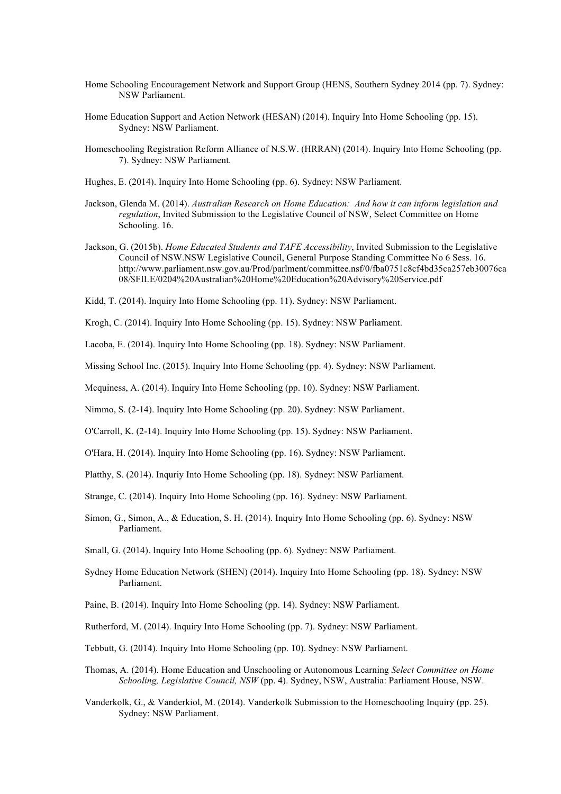- Home Schooling Encouragement Network and Support Group (HENS, Southern Sydney 2014 (pp. 7). Sydney: NSW Parliament.
- Home Education Support and Action Network (HESAN) (2014). Inquiry Into Home Schooling (pp. 15). Sydney: NSW Parliament.
- Homeschooling Registration Reform Alliance of N.S.W. (HRRAN) (2014). Inquiry Into Home Schooling (pp. 7). Sydney: NSW Parliament.
- Hughes, E. (2014). Inquiry Into Home Schooling (pp. 6). Sydney: NSW Parliament.
- Jackson, Glenda M. (2014). *Australian Research on Home Education: And how it can inform legislation and regulation*, Invited Submission to the Legislative Council of NSW, Select Committee on Home Schooling. 16.
- Jackson, G. (2015b). *Home Educated Students and TAFE Accessibility*, Invited Submission to the Legislative Council of NSW.NSW Legislative Council, General Purpose Standing Committee No 6 Sess. 16. http://www.parliament.nsw.gov.au/Prod/parlment/committee.nsf/0/fba0751c8cf4bd35ca257eb30076ca 08/\$FILE/0204%20Australian%20Home%20Education%20Advisory%20Service.pdf
- Kidd, T. (2014). Inquiry Into Home Schooling (pp. 11). Sydney: NSW Parliament.

Krogh, C. (2014). Inquiry Into Home Schooling (pp. 15). Sydney: NSW Parliament.

Lacoba, E. (2014). Inquiry Into Home Schooling (pp. 18). Sydney: NSW Parliament.

Missing School Inc. (2015). Inquiry Into Home Schooling (pp. 4). Sydney: NSW Parliament.

Mcquiness, A. (2014). Inquiry Into Home Schooling (pp. 10). Sydney: NSW Parliament.

Nimmo, S. (2-14). Inquiry Into Home Schooling (pp. 20). Sydney: NSW Parliament.

O'Carroll, K. (2-14). Inquiry Into Home Schooling (pp. 15). Sydney: NSW Parliament.

O'Hara, H. (2014). Inquiry Into Home Schooling (pp. 16). Sydney: NSW Parliament.

Platthy, S. (2014). Inquriy Into Home Schooling (pp. 18). Sydney: NSW Parliament.

Strange, C. (2014). Inquiry Into Home Schooling (pp. 16). Sydney: NSW Parliament.

Simon, G., Simon, A., & Education, S. H. (2014). Inquiry Into Home Schooling (pp. 6). Sydney: NSW Parliament.

Small, G. (2014). Inquiry Into Home Schooling (pp. 6). Sydney: NSW Parliament.

- Sydney Home Education Network (SHEN) (2014). Inquiry Into Home Schooling (pp. 18). Sydney: NSW Parliament.
- Paine, B. (2014). Inquiry Into Home Schooling (pp. 14). Sydney: NSW Parliament.

Rutherford, M. (2014). Inquiry Into Home Schooling (pp. 7). Sydney: NSW Parliament.

Tebbutt, G. (2014). Inquiry Into Home Schooling (pp. 10). Sydney: NSW Parliament.

- Thomas, A. (2014). Home Education and Unschooling or Autonomous Learning *Select Committee on Home Schooling, Legislative Council, NSW* (pp. 4). Sydney, NSW, Australia: Parliament House, NSW.
- Vanderkolk, G., & Vanderkiol, M. (2014). Vanderkolk Submission to the Homeschooling Inquiry (pp. 25). Sydney: NSW Parliament.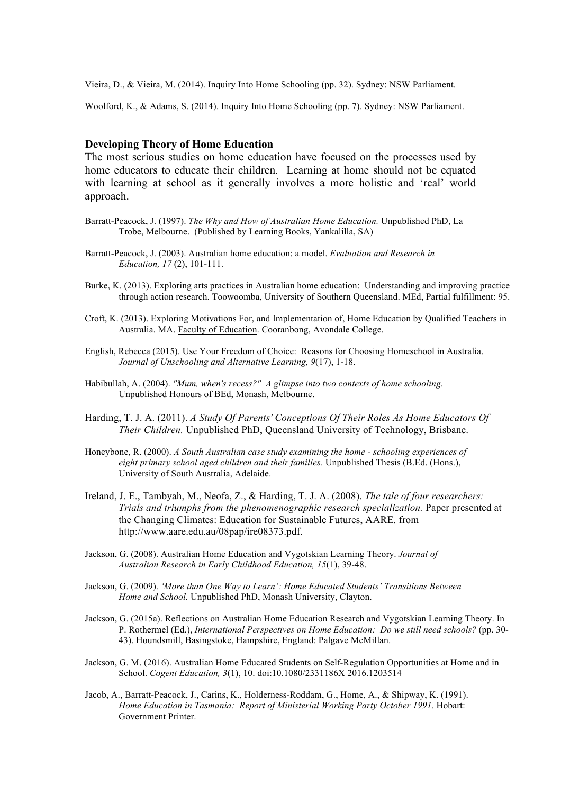Vieira, D., & Vieira, M. (2014). Inquiry Into Home Schooling (pp. 32). Sydney: NSW Parliament.

Woolford, K., & Adams, S. (2014). Inquiry Into Home Schooling (pp. 7). Sydney: NSW Parliament.

#### **Developing Theory of Home Education**

The most serious studies on home education have focused on the processes used by home educators to educate their children. Learning at home should not be equated with learning at school as it generally involves a more holistic and 'real' world approach.

- Barratt-Peacock, J. (1997). *The Why and How of Australian Home Education.* Unpublished PhD, La Trobe, Melbourne. (Published by Learning Books, Yankalilla, SA)
- Barratt-Peacock, J. (2003). Australian home education: a model. *Evaluation and Research in Education, 17* (2), 101-111.
- Burke, K. (2013). Exploring arts practices in Australian home education: Understanding and improving practice through action research. Toowoomba, University of Southern Queensland. MEd, Partial fulfillment: 95.
- Croft, K. (2013). Exploring Motivations For, and Implementation of, Home Education by Qualified Teachers in Australia. MA. Faculty of Education. Cooranbong, Avondale College.
- English, Rebecca (2015). Use Your Freedom of Choice: Reasons for Choosing Homeschool in Australia. *Journal of Unschooling and Alternative Learning, 9*(17), 1-18.
- Habibullah, A. (2004). *"Mum, when's recess?" A glimpse into two contexts of home schooling.* Unpublished Honours of BEd, Monash, Melbourne.
- Harding, T. J. A. (2011). *A Study Of Parents' Conceptions Of Their Roles As Home Educators Of Their Children.* Unpublished PhD, Queensland University of Technology, Brisbane.
- Honeybone, R. (2000). *A South Australian case study examining the home - schooling experiences of eight primary school aged children and their families.* Unpublished Thesis (B.Ed. (Hons.), University of South Australia, Adelaide.
- Ireland, J. E., Tambyah, M., Neofa, Z., & Harding, T. J. A. (2008). *The tale of four researchers: Trials and triumphs from the phenomenographic research specialization.* Paper presented at the Changing Climates: Education for Sustainable Futures, AARE. from http://www.aare.edu.au/08pap/ire08373.pdf.
- Jackson, G. (2008). Australian Home Education and Vygotskian Learning Theory. *Journal of Australian Research in Early Childhood Education, 15*(1), 39-48.
- Jackson, G. (2009). *'More than One Way to Learn': Home Educated Students' Transitions Between Home and School.* Unpublished PhD, Monash University, Clayton.
- Jackson, G. (2015a). Reflections on Australian Home Education Research and Vygotskian Learning Theory. In P. Rothermel (Ed.), *International Perspectives on Home Education: Do we still need schools?* (pp. 30- 43). Houndsmill, Basingstoke, Hampshire, England: Palgave McMillan.
- Jackson, G. M. (2016). Australian Home Educated Students on Self-Regulation Opportunities at Home and in School. *Cogent Education, 3*(1), 10. doi:10.1080/2331186X 2016.1203514
- Jacob, A., Barratt-Peacock, J., Carins, K., Holderness-Roddam, G., Home, A., & Shipway, K. (1991). *Home Education in Tasmania: Report of Ministerial Working Party October 1991*. Hobart: Government Printer.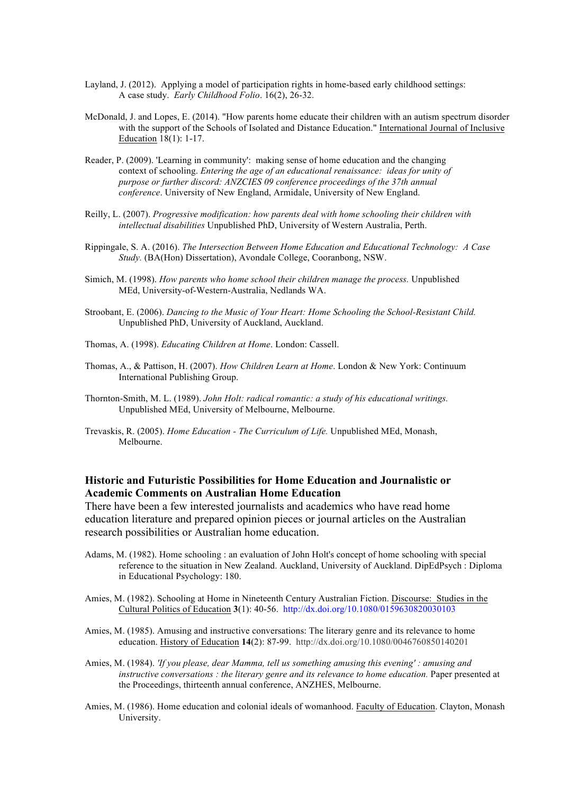- Layland, J. (2012). Applying a model of participation rights in home-based early childhood settings: A case study. *Early Childhood Folio*. 16(2), 26-32.
- McDonald, J. and Lopes, E. (2014). "How parents home educate their children with an autism spectrum disorder with the support of the Schools of Isolated and Distance Education." International Journal of Inclusive Education 18(1): 1-17.
- Reader, P. (2009). 'Learning in community': making sense of home education and the changing context of schooling. *Entering the age of an educational renaissance: ideas for unity of purpose or further discord: ANZCIES 09 conference proceedings of the 37th annual conference*. University of New England, Armidale, University of New England.
- Reilly, L. (2007). *Progressive modification: how parents deal with home schooling their children with intellectual disabilities* Unpublished PhD, University of Western Australia, Perth.
- Rippingale, S. A. (2016). *The Intersection Between Home Education and Educational Technology: A Case Study.* (BA(Hon) Dissertation), Avondale College, Cooranbong, NSW.
- Simich, M. (1998). *How parents who home school their children manage the process.* Unpublished MEd, University-of-Western-Australia, Nedlands WA.
- Stroobant, E. (2006). *Dancing to the Music of Your Heart: Home Schooling the School-Resistant Child.* Unpublished PhD, University of Auckland, Auckland.
- Thomas, A. (1998). *Educating Children at Home*. London: Cassell.
- Thomas, A., & Pattison, H. (2007). *How Children Learn at Home*. London & New York: Continuum International Publishing Group.
- Thornton-Smith, M. L. (1989). *John Holt: radical romantic: a study of his educational writings.* Unpublished MEd, University of Melbourne, Melbourne.
- Trevaskis, R. (2005). *Home Education - The Curriculum of Life.* Unpublished MEd, Monash, Melbourne.

# **Historic and Futuristic Possibilities for Home Education and Journalistic or Academic Comments on Australian Home Education**

There have been a few interested journalists and academics who have read home education literature and prepared opinion pieces or journal articles on the Australian research possibilities or Australian home education.

- Adams, M. (1982). Home schooling : an evaluation of John Holt's concept of home schooling with special reference to the situation in New Zealand. Auckland, University of Auckland. DipEdPsych : Diploma in Educational Psychology: 180.
- Amies, M. (1982). Schooling at Home in Nineteenth Century Australian Fiction. Discourse: Studies in the Cultural Politics of Education **3**(1): 40-56. http://dx.doi.org/10.1080/0159630820030103
- Amies, M. (1985). Amusing and instructive conversations: The literary genre and its relevance to home education. History of Education **14**(2): 87-99. http://dx.doi.org/10.1080/0046760850140201
- Amies, M. (1984). *'If you please, dear Mamma, tell us something amusing this evening' : amusing and instructive conversations : the literary genre and its relevance to home education.* Paper presented at the Proceedings, thirteenth annual conference, ANZHES, Melbourne.
- Amies, M. (1986). Home education and colonial ideals of womanhood. Faculty of Education. Clayton, Monash University.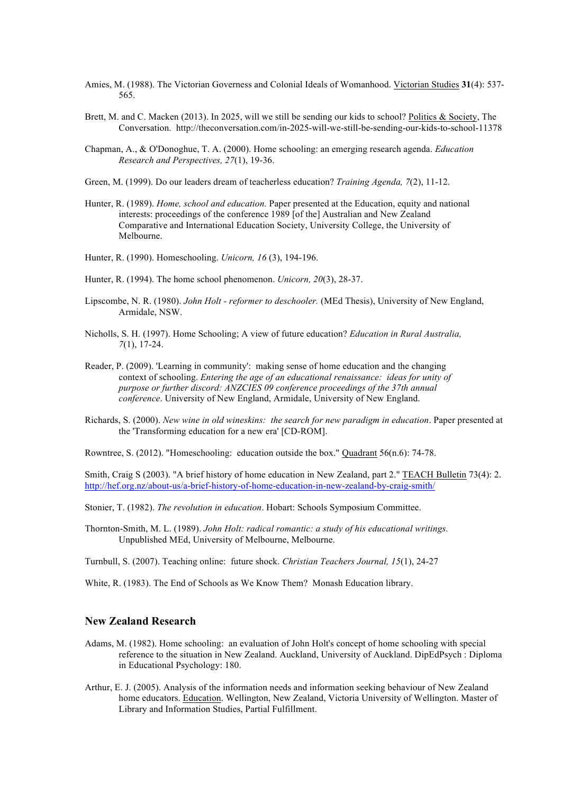- Amies, M. (1988). The Victorian Governess and Colonial Ideals of Womanhood. Victorian Studies **31**(4): 537- 565.
- Brett, M. and C. Macken (2013). In 2025, will we still be sending our kids to school? Politics & Society, The Conversation. http://theconversation.com/in-2025-will-we-still-be-sending-our-kids-to-school-11378
- Chapman, A., & O'Donoghue, T. A. (2000). Home schooling: an emerging research agenda. *Education Research and Perspectives, 27*(1), 19-36.
- Green, M. (1999). Do our leaders dream of teacherless education? *Training Agenda, 7*(2), 11-12.
- Hunter, R. (1989). *Home, school and education.* Paper presented at the Education, equity and national interests: proceedings of the conference 1989 [of the] Australian and New Zealand Comparative and International Education Society, University College, the University of Melbourne.
- Hunter, R. (1990). Homeschooling. *Unicorn, 16* (3), 194-196.
- Hunter, R. (1994). The home school phenomenon. *Unicorn, 20*(3), 28-37.
- Lipscombe, N. R. (1980). *John Holt - reformer to deschooler.* (MEd Thesis), University of New England, Armidale, NSW.
- Nicholls, S. H. (1997). Home Schooling; A view of future education? *Education in Rural Australia, 7*(1), 17-24.
- Reader, P. (2009). 'Learning in community': making sense of home education and the changing context of schooling. *Entering the age of an educational renaissance: ideas for unity of purpose or further discord: ANZCIES 09 conference proceedings of the 37th annual conference*. University of New England, Armidale, University of New England.
- Richards, S. (2000). *New wine in old wineskins: the search for new paradigm in education*. Paper presented at the 'Transforming education for a new era' [CD-ROM].

Rowntree, S. (2012). "Homeschooling: education outside the box." Quadrant 56(n.6): 74-78.

Smith, Craig S (2003). "A brief history of home education in New Zealand, part 2." TEACH Bulletin 73(4): 2. http://hef.org.nz/about-us/a-brief-history-of-home-education-in-new-zealand-by-craig-smith/

- Stonier, T. (1982). *The revolution in education*. Hobart: Schools Symposium Committee.
- Thornton-Smith, M. L. (1989). *John Holt: radical romantic: a study of his educational writings.* Unpublished MEd, University of Melbourne, Melbourne.

Turnbull, S. (2007). Teaching online: future shock. *Christian Teachers Journal, 15*(1), 24-27

White, R. (1983). The End of Schools as We Know Them? Monash Education library.

#### **New Zealand Research**

- Adams, M. (1982). Home schooling: an evaluation of John Holt's concept of home schooling with special reference to the situation in New Zealand. Auckland, University of Auckland. DipEdPsych : Diploma in Educational Psychology: 180.
- Arthur, E. J. (2005). Analysis of the information needs and information seeking behaviour of New Zealand home educators. Education. Wellington, New Zealand, Victoria University of Wellington. Master of Library and Information Studies, Partial Fulfillment.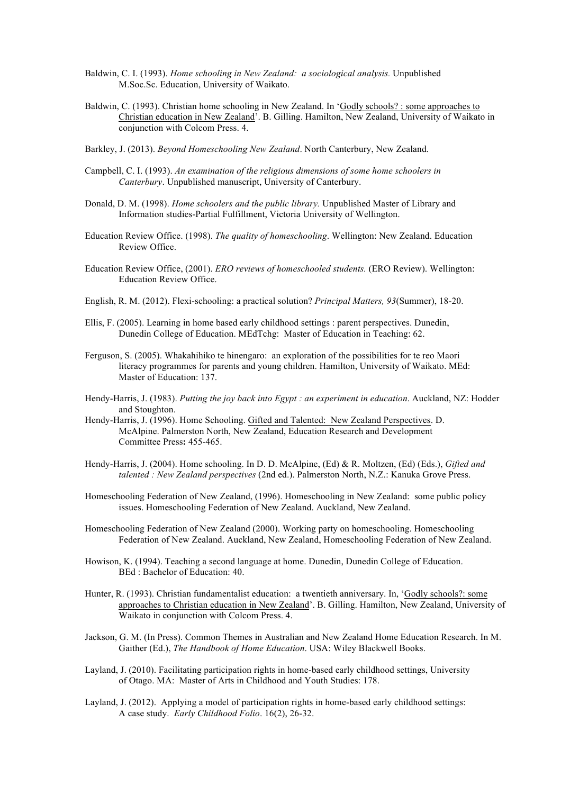- Baldwin, C. I. (1993). *Home schooling in New Zealand: a sociological analysis.* Unpublished M.Soc.Sc. Education, University of Waikato.
- Baldwin, C. (1993). Christian home schooling in New Zealand. In 'Godly schools? : some approaches to Christian education in New Zealand'. B. Gilling. Hamilton, New Zealand, University of Waikato in conjunction with Colcom Press. 4.
- Barkley, J. (2013). *Beyond Homeschooling New Zealand*. North Canterbury, New Zealand.
- Campbell, C. I. (1993). *An examination of the religious dimensions of some home schoolers in Canterbury*. Unpublished manuscript, University of Canterbury.
- Donald, D. M. (1998). *Home schoolers and the public library.* Unpublished Master of Library and Information studies-Partial Fulfillment, Victoria University of Wellington.
- Education Review Office. (1998). *The quality of homeschooling*. Wellington: New Zealand. Education Review Office.
- Education Review Office, (2001). *ERO reviews of homeschooled students.* (ERO Review). Wellington: Education Review Office.
- English, R. M. (2012). Flexi-schooling: a practical solution? *Principal Matters, 93*(Summer), 18-20.
- Ellis, F. (2005). Learning in home based early childhood settings : parent perspectives. Dunedin, Dunedin College of Education. MEdTchg: Master of Education in Teaching: 62.
- Ferguson, S. (2005). Whakahihiko te hinengaro: an exploration of the possibilities for te reo Maori literacy programmes for parents and young children. Hamilton, University of Waikato. MEd: Master of Education: 137.
- Hendy-Harris, J. (1983). *Putting the joy back into Egypt : an experiment in education*. Auckland, NZ: Hodder and Stoughton.
- Hendy-Harris, J. (1996). Home Schooling. Gifted and Talented: New Zealand Perspectives. D. McAlpine. Palmerston North, New Zealand, Education Research and Development Committee Press**:** 455-465.
- Hendy-Harris, J. (2004). Home schooling. In D. D. McAlpine, (Ed) & R. Moltzen, (Ed) (Eds.), *Gifted and talented : New Zealand perspectives* (2nd ed.). Palmerston North, N.Z.: Kanuka Grove Press.
- Homeschooling Federation of New Zealand, (1996). Homeschooling in New Zealand: some public policy issues. Homeschooling Federation of New Zealand. Auckland, New Zealand.
- Homeschooling Federation of New Zealand (2000). Working party on homeschooling. Homeschooling Federation of New Zealand. Auckland, New Zealand, Homeschooling Federation of New Zealand.
- Howison, K. (1994). Teaching a second language at home. Dunedin, Dunedin College of Education. BEd : Bachelor of Education: 40.
- Hunter, R. (1993). Christian fundamentalist education: a twentieth anniversary. In, 'Godly schools?: some approaches to Christian education in New Zealand'. B. Gilling. Hamilton, New Zealand, University of Waikato in conjunction with Colcom Press. 4.
- Jackson, G. M. (In Press). Common Themes in Australian and New Zealand Home Education Research. In M. Gaither (Ed.), *The Handbook of Home Education*. USA: Wiley Blackwell Books.
- Layland, J. (2010). Facilitating participation rights in home-based early childhood settings, University of Otago. MA: Master of Arts in Childhood and Youth Studies: 178.
- Layland, J. (2012). Applying a model of participation rights in home-based early childhood settings: A case study. *Early Childhood Folio*. 16(2), 26-32.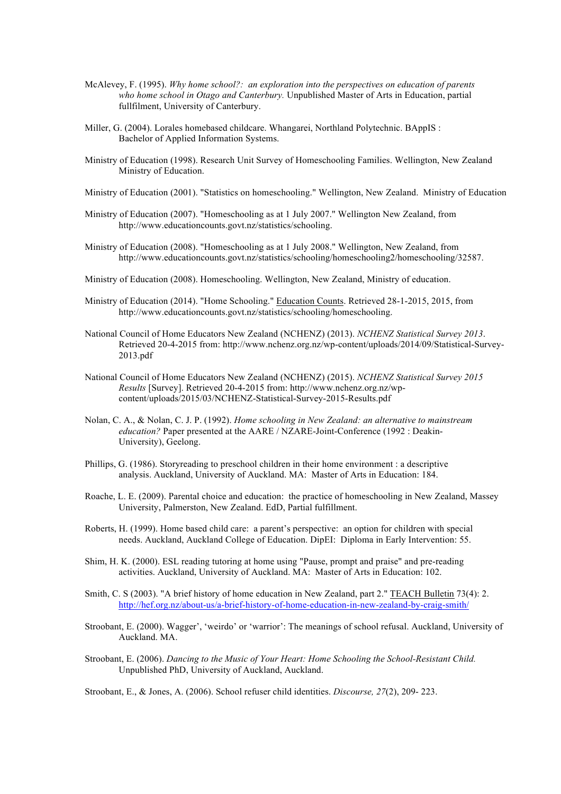- McAlevey, F. (1995). *Why home school?: an exploration into the perspectives on education of parents who home school in Otago and Canterbury.* Unpublished Master of Arts in Education, partial fullfilment, University of Canterbury.
- Miller, G. (2004). Lorales homebased childcare. Whangarei, Northland Polytechnic. BAppIS : Bachelor of Applied Information Systems.
- Ministry of Education (1998). Research Unit Survey of Homeschooling Families. Wellington, New Zealand Ministry of Education.
- Ministry of Education (2001). "Statistics on homeschooling." Wellington, New Zealand. Ministry of Education
- Ministry of Education (2007). "Homeschooling as at 1 July 2007." Wellington New Zealand, from http://www.educationcounts.govt.nz/statistics/schooling.
- Ministry of Education (2008). "Homeschooling as at 1 July 2008." Wellington, New Zealand, from http://www.educationcounts.govt.nz/statistics/schooling/homeschooling2/homeschooling/32587.
- Ministry of Education (2008). Homeschooling. Wellington, New Zealand, Ministry of education.
- Ministry of Education (2014). "Home Schooling." Education Counts. Retrieved 28-1-2015, 2015, from http://www.educationcounts.govt.nz/statistics/schooling/homeschooling.
- National Council of Home Educators New Zealand (NCHENZ) (2013). *NCHENZ Statistical Survey 2013*. Retrieved 20-4-2015 from: http://www.nchenz.org.nz/wp-content/uploads/2014/09/Statistical-Survey-2013.pdf
- National Council of Home Educators New Zealand (NCHENZ) (2015). *NCHENZ Statistical Survey 2015 Results* [Survey]. Retrieved 20-4-2015 from: http://www.nchenz.org.nz/wpcontent/uploads/2015/03/NCHENZ-Statistical-Survey-2015-Results.pdf
- Nolan, C. A., & Nolan, C. J. P. (1992). *Home schooling in New Zealand: an alternative to mainstream education?* Paper presented at the AARE / NZARE-Joint-Conference (1992 : Deakin-University), Geelong.
- Phillips, G. (1986). Storyreading to preschool children in their home environment : a descriptive analysis. Auckland, University of Auckland. MA: Master of Arts in Education: 184.
- Roache, L. E. (2009). Parental choice and education: the practice of homeschooling in New Zealand, Massey University, Palmerston, New Zealand. EdD, Partial fulfillment.
- Roberts, H. (1999). Home based child care: a parent's perspective: an option for children with special needs. Auckland, Auckland College of Education. DipEI: Diploma in Early Intervention: 55.
- Shim, H. K. (2000). ESL reading tutoring at home using "Pause, prompt and praise" and pre-reading activities. Auckland, University of Auckland. MA: Master of Arts in Education: 102.
- Smith, C. S (2003). "A brief history of home education in New Zealand, part 2." TEACH Bulletin 73(4): 2. http://hef.org.nz/about-us/a-brief-history-of-home-education-in-new-zealand-by-craig-smith/
- Stroobant, E. (2000). Wagger', 'weirdo' or 'warrior': The meanings of school refusal. Auckland, University of Auckland. MA.
- Stroobant, E. (2006). *Dancing to the Music of Your Heart: Home Schooling the School-Resistant Child.* Unpublished PhD, University of Auckland, Auckland.

Stroobant, E., & Jones, A. (2006). School refuser child identities. *Discourse, 27*(2), 209- 223.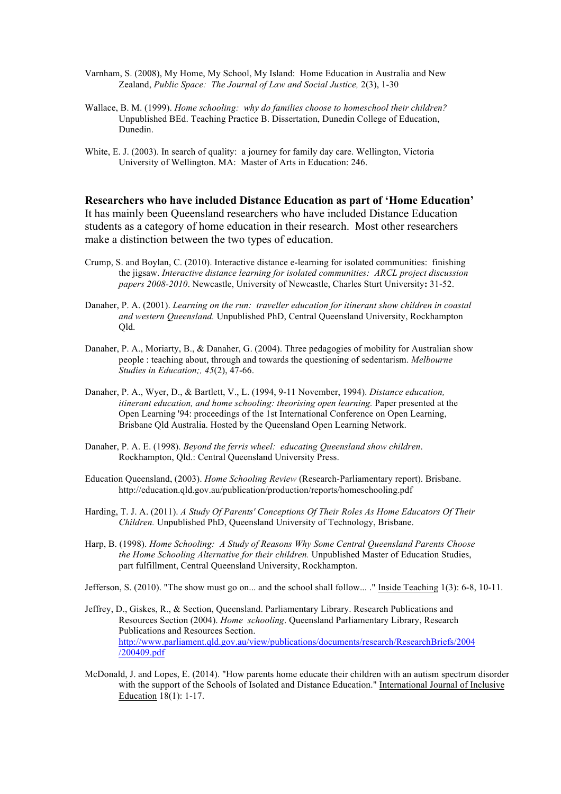- Varnham, S. (2008), My Home, My School, My Island: Home Education in Australia and New Zealand, *Public Space: The Journal of Law and Social Justice,* 2(3), 1-30
- Wallace, B. M. (1999). *Home schooling: why do families choose to homeschool their children?* Unpublished BEd. Teaching Practice B. Dissertation, Dunedin College of Education, Dunedin.
- White, E. J. (2003). In search of quality: a journey for family day care. Wellington, Victoria University of Wellington. MA: Master of Arts in Education: 246.

**Researchers who have included Distance Education as part of 'Home Education'** It has mainly been Queensland researchers who have included Distance Education students as a category of home education in their research. Most other researchers make a distinction between the two types of education.

- Crump, S. and Boylan, C. (2010). Interactive distance e-learning for isolated communities: finishing the jigsaw. *Interactive distance learning for isolated communities: ARCL project discussion papers 2008-2010*. Newcastle, University of Newcastle, Charles Sturt University**:** 31-52.
- Danaher, P. A. (2001). *Learning on the run: traveller education for itinerant show children in coastal and western Queensland.* Unpublished PhD, Central Queensland University, Rockhampton Qld.
- Danaher, P. A., Moriarty, B., & Danaher, G. (2004). Three pedagogies of mobility for Australian show people : teaching about, through and towards the questioning of sedentarism. *Melbourne Studies in Education;, 45*(2), 47-66.
- Danaher, P. A., Wyer, D., & Bartlett, V., L. (1994, 9-11 November, 1994). *Distance education, itinerant education, and home schooling: theorising open learning.* Paper presented at the Open Learning '94: proceedings of the 1st International Conference on Open Learning, Brisbane Qld Australia. Hosted by the Queensland Open Learning Network.
- Danaher, P. A. E. (1998). *Beyond the ferris wheel: educating Queensland show children*. Rockhampton, Qld.: Central Queensland University Press.
- Education Queensland, (2003). *Home Schooling Review* (Research-Parliamentary report). Brisbane. http://education.qld.gov.au/publication/production/reports/homeschooling.pdf
- Harding, T. J. A. (2011). *A Study Of Parents' Conceptions Of Their Roles As Home Educators Of Their Children.* Unpublished PhD, Queensland University of Technology, Brisbane.
- Harp, B. (1998). *Home Schooling: A Study of Reasons Why Some Central Queensland Parents Choose the Home Schooling Alternative for their children.* Unpublished Master of Education Studies, part fulfillment, Central Queensland University, Rockhampton.

Jefferson, S. (2010). "The show must go on... and the school shall follow... ." Inside Teaching 1(3): 6-8, 10-11.

- Jeffrey, D., Giskes, R., & Section, Queensland. Parliamentary Library. Research Publications and Resources Section (2004). *Home schooling*. Queensland Parliamentary Library, Research Publications and Resources Section. http://www.parliament.qld.gov.au/view/publications/documents/research/ResearchBriefs/2004 /200409.pdf
- McDonald, J. and Lopes, E. (2014). "How parents home educate their children with an autism spectrum disorder with the support of the Schools of Isolated and Distance Education." International Journal of Inclusive Education 18(1): 1-17.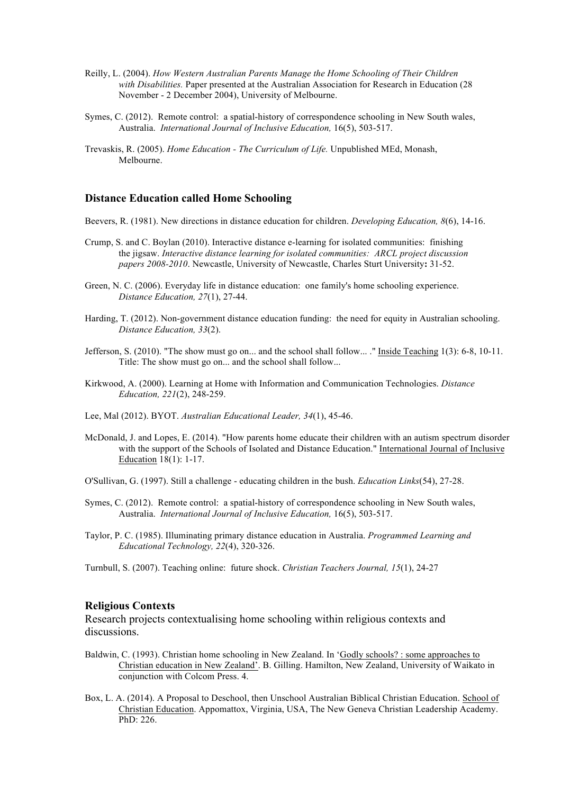- Reilly, L. (2004). *How Western Australian Parents Manage the Home Schooling of Their Children with Disabilities.* Paper presented at the Australian Association for Research in Education (28 November - 2 December 2004), University of Melbourne.
- Symes, C. (2012). Remote control: a spatial-history of correspondence schooling in New South wales, Australia. *International Journal of Inclusive Education,* 16(5), 503-517.
- Trevaskis, R. (2005). *Home Education - The Curriculum of Life.* Unpublished MEd, Monash, Melbourne.

#### **Distance Education called Home Schooling**

- Beevers, R. (1981). New directions in distance education for children. *Developing Education, 8*(6), 14-16.
- Crump, S. and C. Boylan (2010). Interactive distance e-learning for isolated communities: finishing the jigsaw. *Interactive distance learning for isolated communities: ARCL project discussion papers 2008-2010*. Newcastle, University of Newcastle, Charles Sturt University**:** 31-52.
- Green, N. C. (2006). Everyday life in distance education: one family's home schooling experience. *Distance Education, 27*(1), 27-44.
- Harding, T. (2012). Non-government distance education funding: the need for equity in Australian schooling. *Distance Education, 33*(2).
- Jefferson, S. (2010). "The show must go on... and the school shall follow... ." Inside Teaching 1(3): 6-8, 10-11. Title: The show must go on... and the school shall follow...
- Kirkwood, A. (2000). Learning at Home with Information and Communication Technologies. *Distance Education, 221*(2), 248-259.
- Lee, Mal (2012). BYOT. *Australian Educational Leader, 34*(1), 45-46.
- McDonald, J. and Lopes, E. (2014). "How parents home educate their children with an autism spectrum disorder with the support of the Schools of Isolated and Distance Education." International Journal of Inclusive Education 18(1): 1-17.
- O'Sullivan, G. (1997). Still a challenge educating children in the bush. *Education Links*(54), 27-28.
- Symes, C. (2012). Remote control: a spatial-history of correspondence schooling in New South wales, Australia. *International Journal of Inclusive Education,* 16(5), 503-517.
- Taylor, P. C. (1985). Illuminating primary distance education in Australia. *Programmed Learning and Educational Technology, 22*(4), 320-326.
- Turnbull, S. (2007). Teaching online: future shock. *Christian Teachers Journal, 15*(1), 24-27

## **Religious Contexts**

Research projects contextualising home schooling within religious contexts and discussions.

- Baldwin, C. (1993). Christian home schooling in New Zealand. In 'Godly schools? : some approaches to Christian education in New Zealand'. B. Gilling. Hamilton, New Zealand, University of Waikato in conjunction with Colcom Press. 4.
- Box, L. A. (2014). A Proposal to Deschool, then Unschool Australian Biblical Christian Education. School of Christian Education. Appomattox, Virginia, USA, The New Geneva Christian Leadership Academy. PhD: 226.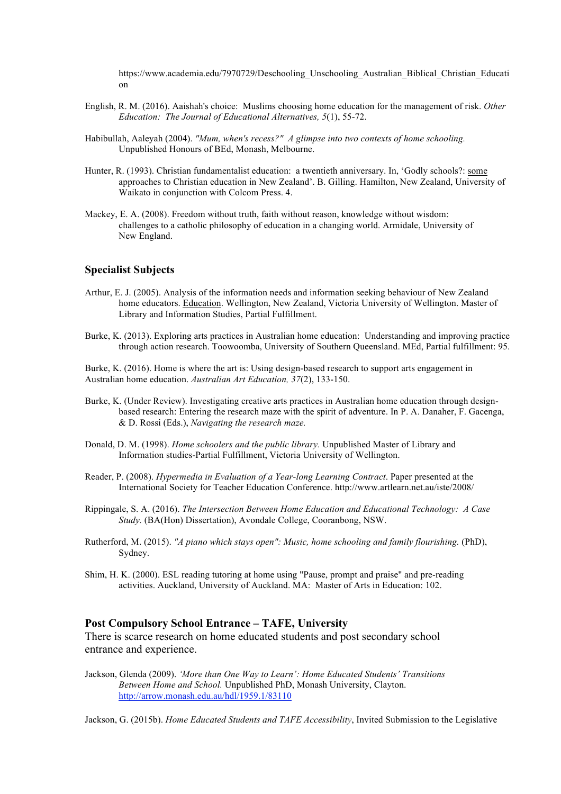https://www.academia.edu/7970729/Deschooling\_Unschooling\_Australian\_Biblical\_Christian\_Educati on

- English, R. M. (2016). Aaishah's choice: Muslims choosing home education for the management of risk. *Other Education: The Journal of Educational Alternatives, 5*(1), 55-72.
- Habibullah, Aaleyah (2004). *"Mum, when's recess?" A glimpse into two contexts of home schooling.* Unpublished Honours of BEd, Monash, Melbourne.
- Hunter, R. (1993). Christian fundamentalist education: a twentieth anniversary. In, 'Godly schools?: some approaches to Christian education in New Zealand'. B. Gilling. Hamilton, New Zealand, University of Waikato in conjunction with Colcom Press. 4.
- Mackey, E. A. (2008). Freedom without truth, faith without reason, knowledge without wisdom: challenges to a catholic philosophy of education in a changing world. Armidale, University of New England.

## **Specialist Subjects**

- Arthur, E. J. (2005). Analysis of the information needs and information seeking behaviour of New Zealand home educators. Education. Wellington, New Zealand, Victoria University of Wellington. Master of Library and Information Studies, Partial Fulfillment.
- Burke, K. (2013). Exploring arts practices in Australian home education: Understanding and improving practice through action research. Toowoomba, University of Southern Queensland. MEd, Partial fulfillment: 95.

Burke, K. (2016). Home is where the art is: Using design-based research to support arts engagement in Australian home education. *Australian Art Education, 37*(2), 133-150.

- Burke, K. (Under Review). Investigating creative arts practices in Australian home education through designbased research: Entering the research maze with the spirit of adventure. In P. A. Danaher, F. Gacenga, & D. Rossi (Eds.), *Navigating the research maze.*
- Donald, D. M. (1998). *Home schoolers and the public library.* Unpublished Master of Library and Information studies-Partial Fulfillment, Victoria University of Wellington.
- Reader, P. (2008). *Hypermedia in Evaluation of a Year-long Learning Contract*. Paper presented at the International Society for Teacher Education Conference. http://www.artlearn.net.au/iste/2008/
- Rippingale, S. A. (2016). *The Intersection Between Home Education and Educational Technology: A Case Study.* (BA(Hon) Dissertation), Avondale College, Cooranbong, NSW.
- Rutherford, M. (2015). *"A piano which stays open": Music, home schooling and family flourishing.* (PhD), Sydney.
- Shim, H. K. (2000). ESL reading tutoring at home using "Pause, prompt and praise" and pre-reading activities. Auckland, University of Auckland. MA: Master of Arts in Education: 102.

#### **Post Compulsory School Entrance – TAFE, University**

There is scarce research on home educated students and post secondary school entrance and experience.

Jackson, Glenda (2009). *'More than One Way to Learn': Home Educated Students' Transitions Between Home and School.* Unpublished PhD, Monash University, Clayton. http://arrow.monash.edu.au/hdl/1959.1/83110

Jackson, G. (2015b). *Home Educated Students and TAFE Accessibility*, Invited Submission to the Legislative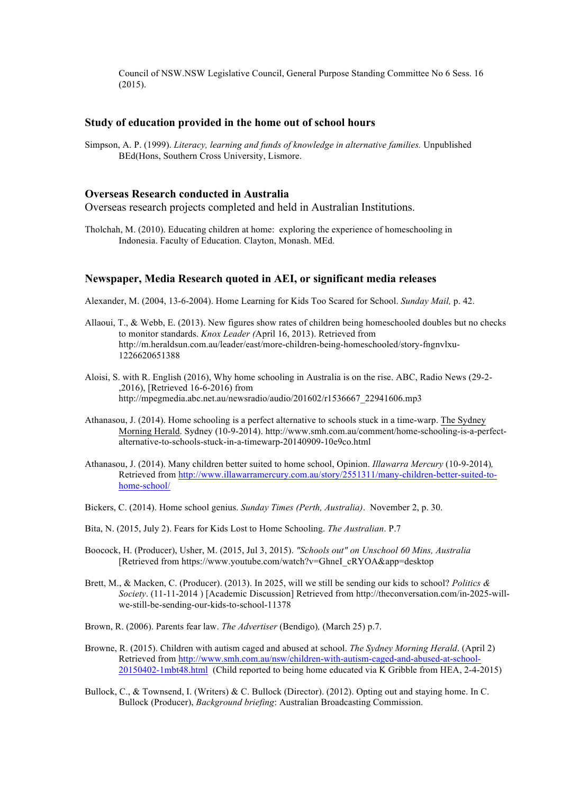Council of NSW.NSW Legislative Council, General Purpose Standing Committee No 6 Sess. 16 (2015).

#### **Study of education provided in the home out of school hours**

Simpson, A. P. (1999). *Literacy, learning and funds of knowledge in alternative families.* Unpublished BEd(Hons, Southern Cross University, Lismore.

## **Overseas Research conducted in Australia**

Overseas research projects completed and held in Australian Institutions.

Tholchah, M. (2010). Educating children at home: exploring the experience of homeschooling in Indonesia. Faculty of Education. Clayton, Monash. MEd.

#### **Newspaper, Media Research quoted in AEI, or significant media releases**

Alexander, M. (2004, 13-6-2004). Home Learning for Kids Too Scared for School. *Sunday Mail,* p. 42.

- Allaoui, T., & Webb, E. (2013). New figures show rates of children being homeschooled doubles but no checks to monitor standards. *Knox Leader (*April 16, 2013). Retrieved from http://m.heraldsun.com.au/leader/east/more-children-being-homeschooled/story-fngnvlxu-1226620651388
- Aloisi, S. with R. English (2016), Why home schooling in Australia is on the rise. ABC, Radio News (29-2- ,2016), [Retrieved 16-6-2016) from http://mpegmedia.abc.net.au/newsradio/audio/201602/r1536667\_22941606.mp3
- Athanasou, J. (2014). Home schooling is a perfect alternative to schools stuck in a time-warp. The Sydney Morning Herald. Sydney (10-9-2014). http://www.smh.com.au/comment/home-schooling-is-a-perfectalternative-to-schools-stuck-in-a-timewarp-20140909-10e9co.html
- Athanasou, J. (2014). Many children better suited to home school, Opinion. *Illawarra Mercury* (10-9-2014)*,* Retrieved from http://www.illawarramercury.com.au/story/2551311/many-children-better-suited-tohome-school/
- Bickers, C. (2014). Home school genius. *Sunday Times (Perth, Australia)*. November 2, p. 30.
- Bita, N. (2015, July 2). Fears for Kids Lost to Home Schooling. *The Australian*. P.7
- Boocock, H. (Producer), Usher, M. (2015, Jul 3, 2015). *"Schools out" on Unschool 60 Mins, Australia* [Retrieved from https://www.youtube.com/watch?v=GhneI\_cRYOA&app=desktop
- Brett, M., & Macken, C. (Producer). (2013). In 2025, will we still be sending our kids to school? *Politics & Society*. (11-11-2014 ) [Academic Discussion] Retrieved from http://theconversation.com/in-2025-willwe-still-be-sending-our-kids-to-school-11378
- Brown, R. (2006). Parents fear law. *The Advertiser* (Bendigo)*,* (March 25) p.7.
- Browne, R. (2015). Children with autism caged and abused at school. *The Sydney Morning Herald*. (April 2) Retrieved from http://www.smh.com.au/nsw/children-with-autism-caged-and-abused-at-school-20150402-1mbt48.html (Child reported to being home educated via K Gribble from HEA, 2-4-2015)
- Bullock, C., & Townsend, I. (Writers) & C. Bullock (Director). (2012). Opting out and staying home. In C. Bullock (Producer), *Background briefing*: Australian Broadcasting Commission.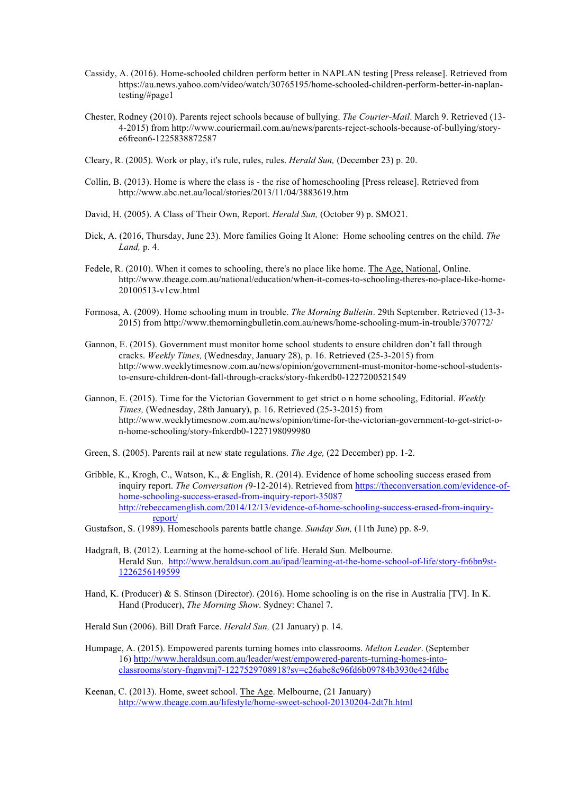- Cassidy, A. (2016). Home-schooled children perform better in NAPLAN testing [Press release]. Retrieved from https://au.news.yahoo.com/video/watch/30765195/home-schooled-children-perform-better-in-naplantesting/#page1
- Chester, Rodney (2010). Parents reject schools because of bullying. *The Courier-Mail*. March 9. Retrieved (13- 4-2015) from http://www.couriermail.com.au/news/parents-reject-schools-because-of-bullying/storye6freon6-1225838872587
- Cleary, R. (2005). Work or play, it's rule, rules, rules. *Herald Sun,* (December 23) p. 20.
- Collin, B. (2013). Home is where the class is the rise of homeschooling [Press release]. Retrieved from http://www.abc.net.au/local/stories/2013/11/04/3883619.htm
- David, H. (2005). A Class of Their Own, Report. *Herald Sun,* (October 9) p. SMO21.
- Dick, A. (2016, Thursday, June 23). More families Going It Alone: Home schooling centres on the child. *The Land,* p. 4.
- Fedele, R. (2010). When it comes to schooling, there's no place like home. The Age, National, Online. http://www.theage.com.au/national/education/when-it-comes-to-schooling-theres-no-place-like-home-20100513-v1cw.html
- Formosa, A. (2009). Home schooling mum in trouble. *The Morning Bulletin*. 29th September. Retrieved (13-3- 2015) from http://www.themorningbulletin.com.au/news/home-schooling-mum-in-trouble/370772/
- Gannon, E. (2015). Government must monitor home school students to ensure children don't fall through cracks. *Weekly Times,* (Wednesday, January 28), p. 16. Retrieved (25-3-2015) from http://www.weeklytimesnow.com.au/news/opinion/government-must-monitor-home-school-studentsto-ensure-children-dont-fall-through-cracks/story-fnkerdb0-1227200521549
- Gannon, E. (2015). Time for the Victorian Government to get strict o n home schooling, Editorial. *Weekly Times,* (Wednesday, 28th January), p. 16. Retrieved (25-3-2015) from http://www.weeklytimesnow.com.au/news/opinion/time-for-the-victorian-government-to-get-strict-on-home-schooling/story-fnkerdb0-1227198099980
- Green, S. (2005). Parents rail at new state regulations. *The Age,* (22 December) pp. 1-2.
- Gribble, K., Krogh, C., Watson, K., & English, R. (2014). Evidence of home schooling success erased from inquiry report. *The Conversation (*9-12-2014). Retrieved from https://theconversation.com/evidence-ofhome-schooling-success-erased-from-inquiry-report-35087 http://rebeccamenglish.com/2014/12/13/evidence-of-home-schooling-success-erased-from-inquiryreport/
- Gustafson, S. (1989). Homeschools parents battle change. *Sunday Sun,* (11th June) pp. 8-9.
- Hadgraft, B. (2012). Learning at the home-school of life. Herald Sun. Melbourne. Herald Sun. http://www.heraldsun.com.au/ipad/learning-at-the-home-school-of-life/story-fn6bn9st-1226256149599
- Hand, K. (Producer) & S. Stinson (Director). (2016). Home schooling is on the rise in Australia [TV]. In K. Hand (Producer), *The Morning Show*. Sydney: Chanel 7.
- Herald Sun (2006). Bill Draft Farce. *Herald Sun,* (21 January) p. 14.
- Humpage, A. (2015). Empowered parents turning homes into classrooms. *Melton Leader*. (September 16) http://www.heraldsun.com.au/leader/west/empowered-parents-turning-homes-intoclassrooms/story-fngnvmj7-1227529708918?sv=c26abe8c96fd6b09784b3930e424fdbe
- Keenan, C. (2013). Home, sweet school. The Age. Melbourne, (21 January) http://www.theage.com.au/lifestyle/home-sweet-school-20130204-2dt7h.html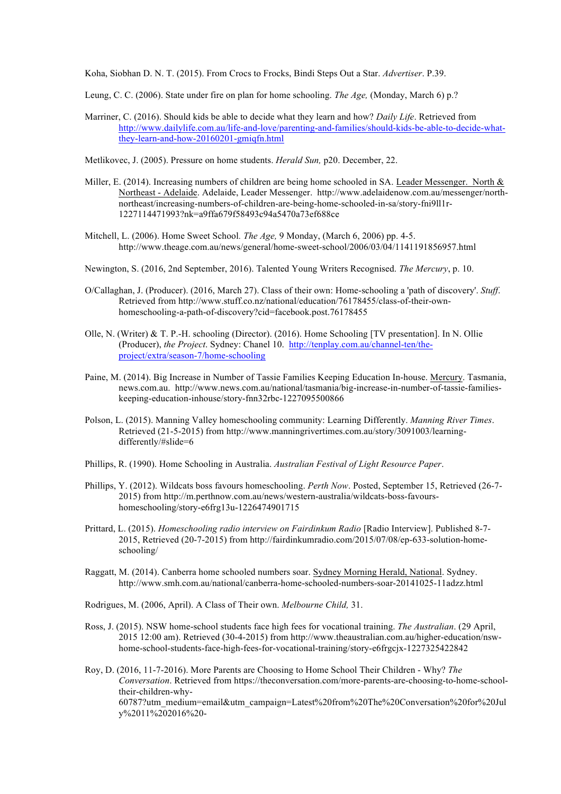Koha, Siobhan D. N. T. (2015). From Crocs to Frocks, Bindi Steps Out a Star. *Advertiser*. P.39.

- Leung, C. C. (2006). State under fire on plan for home schooling. *The Age,* (Monday, March 6) p.?
- Marriner, C. (2016). Should kids be able to decide what they learn and how? *Daily Life*. Retrieved from http://www.dailylife.com.au/life-and-love/parenting-and-families/should-kids-be-able-to-decide-whatthey-learn-and-how-20160201-gmiqfn.html

Metlikovec, J. (2005). Pressure on home students. *Herald Sun,* p20. December, 22.

- Miller, E. (2014). Increasing numbers of children are being home schooled in SA. Leader Messenger. North & Northeast - Adelaide. Adelaide, Leader Messenger. http://www.adelaidenow.com.au/messenger/northnortheast/increasing-numbers-of-children-are-being-home-schooled-in-sa/story-fni9ll1r-1227114471993?nk=a9ffa679f58493c94a5470a73ef688ce
- Mitchell, L. (2006). Home Sweet School*. The Age,* 9 Monday, (March 6, 2006) pp. 4-5. http://www.theage.com.au/news/general/home-sweet-school/2006/03/04/1141191856957.html
- Newington, S. (2016, 2nd September, 2016). Talented Young Writers Recognised. *The Mercury*, p. 10.
- O/Callaghan, J. (Producer). (2016, March 27). Class of their own: Home-schooling a 'path of discovery'. *Stuff*. Retrieved from http://www.stuff.co.nz/national/education/76178455/class-of-their-ownhomeschooling-a-path-of-discovery?cid=facebook.post.76178455
- Olle, N. (Writer) & T. P.-H. schooling (Director). (2016). Home Schooling [TV presentation]. In N. Ollie (Producer), *the Project*. Sydney: Chanel 10. http://tenplay.com.au/channel-ten/theproject/extra/season-7/home-schooling
- Paine, M. (2014). Big Increase in Number of Tassie Families Keeping Education In-house. Mercury. Tasmania, news.com.au. http://www.news.com.au/national/tasmania/big-increase-in-number-of-tassie-familieskeeping-education-inhouse/story-fnn32rbc-1227095500866
- Polson, L. (2015). Manning Valley homeschooling community: Learning Differently. *Manning River Times*. Retrieved (21-5-2015) from http://www.manningrivertimes.com.au/story/3091003/learningdifferently/#slide=6
- Phillips, R. (1990). Home Schooling in Australia. *Australian Festival of Light Resource Paper*.
- Phillips, Y. (2012). Wildcats boss favours homeschooling. *Perth Now*. Posted, September 15, Retrieved (26-7- 2015) from http://m.perthnow.com.au/news/western-australia/wildcats-boss-favourshomeschooling/story-e6frg13u-1226474901715
- Prittard, L. (2015). *Homeschooling radio interview on Fairdinkum Radio* [Radio Interview]. Published 8-7- 2015, Retrieved (20-7-2015) from http://fairdinkumradio.com/2015/07/08/ep-633-solution-homeschooling/
- Raggatt, M. (2014). Canberra home schooled numbers soar. Sydney Morning Herald, National. Sydney. http://www.smh.com.au/national/canberra-home-schooled-numbers-soar-20141025-11adzz.html
- Rodrigues, M. (2006, April). A Class of Their own. *Melbourne Child,* 31.
- Ross, J. (2015). NSW home-school students face high fees for vocational training. *The Australian*. (29 April, 2015 12:00 am). Retrieved (30-4-2015) from http://www.theaustralian.com.au/higher-education/nswhome-school-students-face-high-fees-for-vocational-training/story-e6frgcjx-1227325422842
- Roy, D. (2016, 11-7-2016). More Parents are Choosing to Home School Their Children Why? *The Conversation*. Retrieved from https://theconversation.com/more-parents-are-choosing-to-home-schooltheir-children-why-60787?utm\_medium=email&utm\_campaign=Latest%20from%20The%20Conversation%20for%20Jul y%2011%202016%20-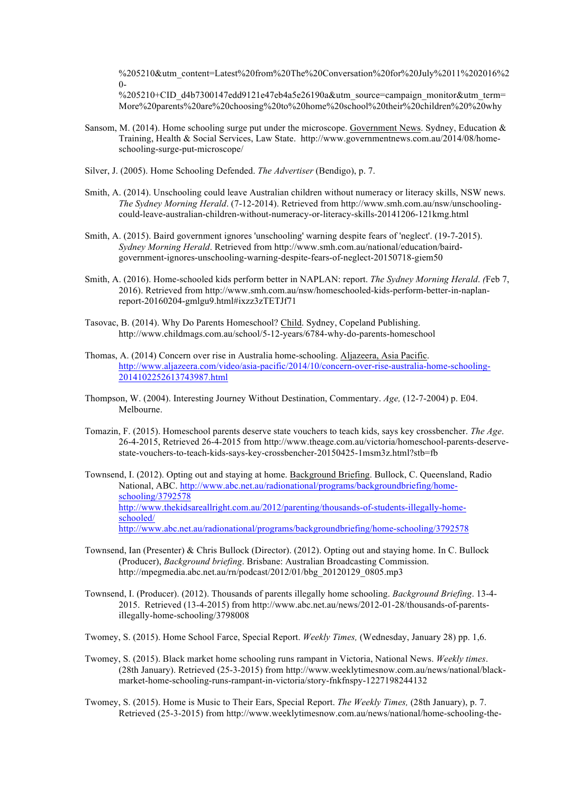%205210&utm\_content=Latest%20from%20The%20Conversation%20for%20July%2011%202016%2  $\Omega$ 

%205210+CID\_d4b7300147edd9121e47eb4a5e26190a&utm\_source=campaign\_monitor&utm\_term= More%20parents%20are%20choosing%20to%20home%20school%20their%20children%20%20why

- Sansom, M. (2014). Home schooling surge put under the microscope. Government News. Sydney, Education & Training, Health & Social Services, Law State. http://www.governmentnews.com.au/2014/08/homeschooling-surge-put-microscope/
- Silver, J. (2005). Home Schooling Defended. *The Advertiser* (Bendigo), p. 7.
- Smith, A. (2014). Unschooling could leave Australian children without numeracy or literacy skills, NSW news. *The Sydney Morning Herald*. (7-12-2014). Retrieved from http://www.smh.com.au/nsw/unschoolingcould-leave-australian-children-without-numeracy-or-literacy-skills-20141206-121kmg.html
- Smith, A. (2015). Baird government ignores 'unschooling' warning despite fears of 'neglect'. (19-7-2015). *Sydney Morning Herald*. Retrieved from http://www.smh.com.au/national/education/bairdgovernment-ignores-unschooling-warning-despite-fears-of-neglect-20150718-giem50
- Smith, A. (2016). Home-schooled kids perform better in NAPLAN: report. *The Sydney Morning Herald*. *(*Feb 7, 2016). Retrieved from http://www.smh.com.au/nsw/homeschooled-kids-perform-better-in-naplanreport-20160204-gmlgu9.html#ixzz3zTETJf71
- Tasovac, B. (2014). Why Do Parents Homeschool? Child. Sydney, Copeland Publishing. http://www.childmags.com.au/school/5-12-years/6784-why-do-parents-homeschool
- Thomas, A. (2014) Concern over rise in Australia home-schooling. Aljazeera, Asia Pacific. http://www.aljazeera.com/video/asia-pacific/2014/10/concern-over-rise-australia-home-schooling-2014102252613743987.html
- Thompson, W. (2004). Interesting Journey Without Destination, Commentary. *Age,* (12-7-2004) p. E04. Melbourne.
- Tomazin, F. (2015). Homeschool parents deserve state vouchers to teach kids, says key crossbencher. *The Age*. 26-4-2015, Retrieved 26-4-2015 from http://www.theage.com.au/victoria/homeschool-parents-deservestate-vouchers-to-teach-kids-says-key-crossbencher-20150425-1msm3z.html?stb=fb
- Townsend, I. (2012). Opting out and staying at home. Background Briefing. Bullock, C. Queensland, Radio National, ABC. http://www.abc.net.au/radionational/programs/backgroundbriefing/homeschooling/3792578 http://www.thekidsareallright.com.au/2012/parenting/thousands-of-students-illegally-homeschooled/ http://www.abc.net.au/radionational/programs/backgroundbriefing/home-schooling/3792578
- Townsend, Ian (Presenter) & Chris Bullock (Director). (2012). Opting out and staying home. In C. Bullock (Producer), *Background briefing*. Brisbane: Australian Broadcasting Commission. http://mpegmedia.abc.net.au/rn/podcast/2012/01/bbg\_20120129\_0805.mp3
- Townsend, I. (Producer). (2012). Thousands of parents illegally home schooling. *Background Briefing*. 13-4- 2015. Retrieved (13-4-2015) from http://www.abc.net.au/news/2012-01-28/thousands-of-parentsillegally-home-schooling/3798008
- Twomey, S. (2015). Home School Farce, Special Report. *Weekly Times,* (Wednesday, January 28) pp. 1,6.
- Twomey, S. (2015). Black market home schooling runs rampant in Victoria, National News. *Weekly times*. (28th January). Retrieved (25-3-2015) from http://www.weeklytimesnow.com.au/news/national/blackmarket-home-schooling-runs-rampant-in-victoria/story-fnkfnspy-1227198244132
- Twomey, S. (2015). Home is Music to Their Ears, Special Report. *The Weekly Times,* (28th January), p. 7. Retrieved (25-3-2015) from http://www.weeklytimesnow.com.au/news/national/home-schooling-the-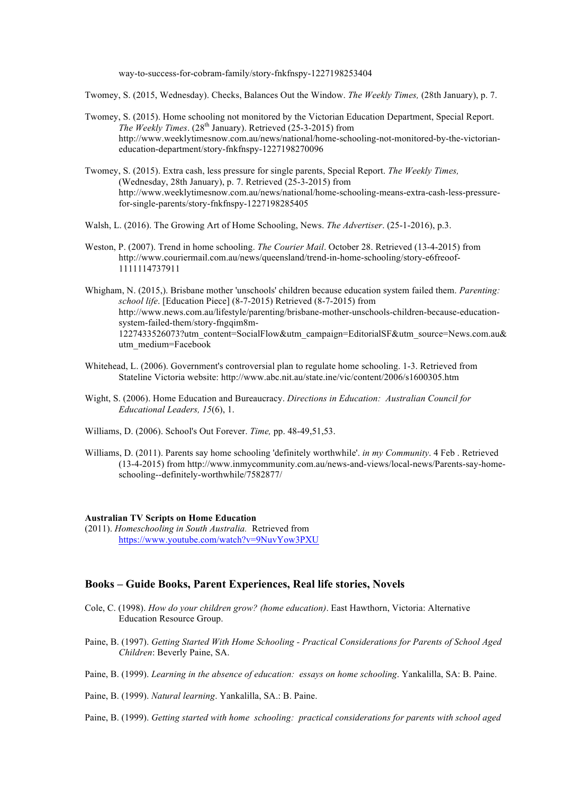way-to-success-for-cobram-family/story-fnkfnspy-1227198253404

Twomey, S. (2015, Wednesday). Checks, Balances Out the Window. *The Weekly Times,* (28th January), p. 7.

- Twomey, S. (2015). Home schooling not monitored by the Victorian Education Department, Special Report. *The Weekly Times.* (28<sup>th</sup> January). Retrieved (25-3-2015) from http://www.weeklytimesnow.com.au/news/national/home-schooling-not-monitored-by-the-victorianeducation-department/story-fnkfnspy-1227198270096
- Twomey, S. (2015). Extra cash, less pressure for single parents, Special Report. *The Weekly Times,* (Wednesday, 28th January), p. 7. Retrieved (25-3-2015) from http://www.weeklytimesnow.com.au/news/national/home-schooling-means-extra-cash-less-pressurefor-single-parents/story-fnkfnspy-1227198285405
- Walsh, L. (2016). The Growing Art of Home Schooling, News. *The Advertiser*. (25-1-2016), p.3.
- Weston, P. (2007). Trend in home schooling. *The Courier Mail*. October 28. Retrieved (13-4-2015) from http://www.couriermail.com.au/news/queensland/trend-in-home-schooling/story-e6freoof-1111114737911
- Whigham, N. (2015,). Brisbane mother 'unschools' children because education system failed them. *Parenting: school life*. [Education Piece] (8-7-2015) Retrieved (8-7-2015) from http://www.news.com.au/lifestyle/parenting/brisbane-mother-unschools-children-because-educationsystem-failed-them/story-fngqim8m-1227433526073?utm\_content=SocialFlow&utm\_campaign=EditorialSF&utm\_source=News.com.au& utm\_medium=Facebook
- Whitehead, L. (2006). Government's controversial plan to regulate home schooling. 1-3. Retrieved from Stateline Victoria website: http://www.abc.nit.au/state.ine/vic/content/2006/s1600305.htm
- Wight, S. (2006). Home Education and Bureaucracy. *Directions in Education: Australian Council for Educational Leaders, 15*(6), 1.
- Williams, D. (2006). School's Out Forever. *Time,* pp. 48-49,51,53.
- Williams, D. (2011). Parents say home schooling 'definitely worthwhile'. *in my Community*. 4 Feb . Retrieved (13-4-2015) from http://www.inmycommunity.com.au/news-and-views/local-news/Parents-say-homeschooling--definitely-worthwhile/7582877/

#### **Australian TV Scripts on Home Education**

(2011). *Homeschooling in South Australia.* Retrieved from https://www.youtube.com/watch?v=9NuvYow3PXU

## **Books – Guide Books, Parent Experiences, Real life stories, Novels**

- Cole, C. (1998). *How do your children grow? (home education)*. East Hawthorn, Victoria: Alternative Education Resource Group.
- Paine, B. (1997). *Getting Started With Home Schooling - Practical Considerations for Parents of School Aged Children*: Beverly Paine, SA.
- Paine, B. (1999). *Learning in the absence of education: essays on home schooling*. Yankalilla, SA: B. Paine.
- Paine, B. (1999). *Natural learning*. Yankalilla, SA.: B. Paine.
- Paine, B. (1999). *Getting started with home schooling: practical considerations for parents with school aged*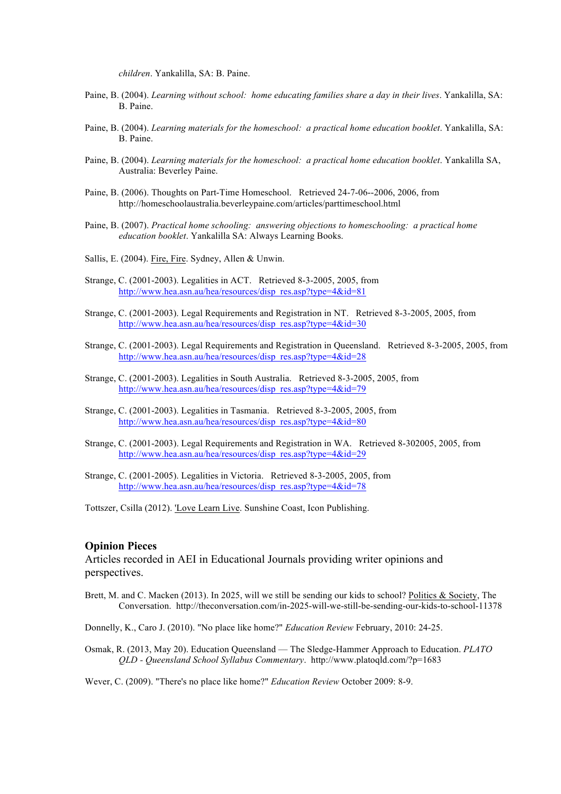*children*. Yankalilla, SA: B. Paine.

- Paine, B. (2004). *Learning without school: home educating families share a day in their lives*. Yankalilla, SA: B. Paine.
- Paine, B. (2004). *Learning materials for the homeschool: a practical home education booklet*. Yankalilla, SA: B. Paine.
- Paine, B. (2004). *Learning materials for the homeschool: a practical home education booklet*. Yankalilla SA, Australia: Beverley Paine.
- Paine, B. (2006). Thoughts on Part-Time Homeschool. Retrieved 24-7-06--2006, 2006, from http://homeschoolaustralia.beverleypaine.com/articles/parttimeschool.html
- Paine, B. (2007). *Practical home schooling: answering objections to homeschooling: a practical home education booklet*. Yankalilla SA: Always Learning Books.
- Sallis, E. (2004). Fire, Fire. Sydney, Allen & Unwin.
- Strange, C. (2001-2003). Legalities in ACT. Retrieved 8-3-2005, 2005, from http://www.hea.asn.au/hea/resources/disp\_res.asp?type=4&id=81
- Strange, C. (2001-2003). Legal Requirements and Registration in NT. Retrieved 8-3-2005, 2005, from http://www.hea.asn.au/hea/resources/disp\_res.asp?type=4&id=30
- Strange, C. (2001-2003). Legal Requirements and Registration in Queensland. Retrieved 8-3-2005, 2005, from http://www.hea.asn.au/hea/resources/disp\_res.asp?type=4&id=28
- Strange, C. (2001-2003). Legalities in South Australia. Retrieved 8-3-2005, 2005, from http://www.hea.asn.au/hea/resources/disp\_res.asp?type=4&id=79
- Strange, C. (2001-2003). Legalities in Tasmania. Retrieved 8-3-2005, 2005, from http://www.hea.asn.au/hea/resources/disp\_res.asp?type=4&id=80
- Strange, C. (2001-2003). Legal Requirements and Registration in WA. Retrieved 8-302005, 2005, from http://www.hea.asn.au/hea/resources/disp\_res.asp?type=4&id=29
- Strange, C. (2001-2005). Legalities in Victoria. Retrieved 8-3-2005, 2005, from http://www.hea.asn.au/hea/resources/disp\_res.asp?type=4&id=78

Tottszer, Csilla (2012). 'Love Learn Live. Sunshine Coast, Icon Publishing.

#### **Opinion Pieces**

Articles recorded in AEI in Educational Journals providing writer opinions and perspectives.

Brett, M. and C. Macken (2013). In 2025, will we still be sending our kids to school? Politics & Society, The Conversation. http://theconversation.com/in-2025-will-we-still-be-sending-our-kids-to-school-11378

Donnelly, K., Caro J. (2010). "No place like home?" *Education Review* February, 2010: 24-25.

Osmak, R. (2013, May 20). Education Queensland — The Sledge-Hammer Approach to Education. *PLATO QLD - Queensland School Syllabus Commentary*. http://www.platoqld.com/?p=1683

Wever, C. (2009). "There's no place like home?" *Education Review* October 2009: 8-9.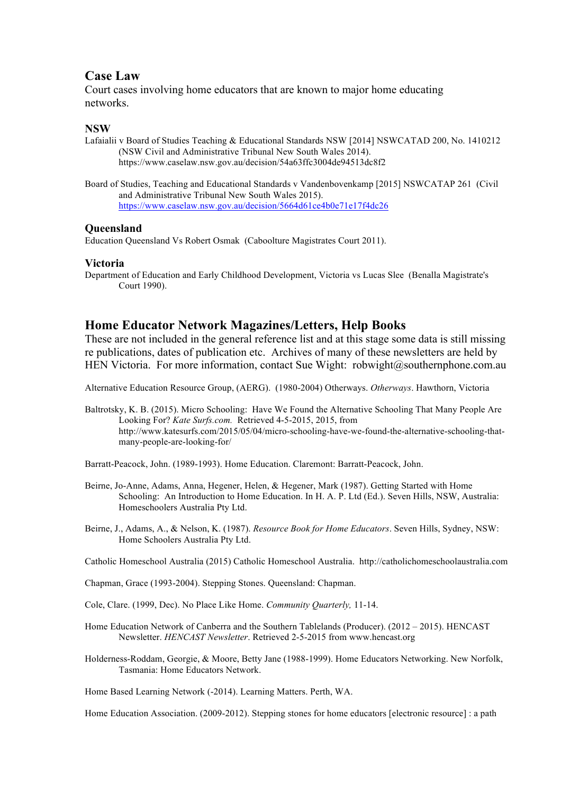# **Case Law**

Court cases involving home educators that are known to major home educating networks.

## **NSW**

Lafaialii v Board of Studies Teaching & Educational Standards NSW [2014] NSWCATAD 200, No. 1410212 (NSW Civil and Administrative Tribunal New South Wales 2014). https://www.caselaw.nsw.gov.au/decision/54a63ffc3004de94513dc8f2

Board of Studies, Teaching and Educational Standards v Vandenbovenkamp [2015] NSWCATAP 261 (Civil and Administrative Tribunal New South Wales 2015). https://www.caselaw.nsw.gov.au/decision/5664d61ce4b0e71e17f4dc26

#### **Queensland**

Education Queensland Vs Robert Osmak (Caboolture Magistrates Court 2011).

### **Victoria**

Department of Education and Early Childhood Development, Victoria vs Lucas Slee (Benalla Magistrate's Court 1990).

# **Home Educator Network Magazines/Letters, Help Books**

These are not included in the general reference list and at this stage some data is still missing re publications, dates of publication etc. Archives of many of these newsletters are held by HEN Victoria. For more information, contact Sue Wight: robwight@southernphone.com.au

Alternative Education Resource Group, (AERG). (1980-2004) Otherways. *Otherways*. Hawthorn, Victoria

Baltrotsky, K. B. (2015). Micro Schooling: Have We Found the Alternative Schooling That Many People Are Looking For? *Kate Surfs.com.* Retrieved 4-5-2015, 2015, from http://www.katesurfs.com/2015/05/04/micro-schooling-have-we-found-the-alternative-schooling-thatmany-people-are-looking-for/

Barratt-Peacock, John. (1989-1993). Home Education. Claremont: Barratt-Peacock, John.

- Beirne, Jo-Anne, Adams, Anna, Hegener, Helen, & Hegener, Mark (1987). Getting Started with Home Schooling: An Introduction to Home Education. In H. A. P. Ltd (Ed.). Seven Hills, NSW, Australia: Homeschoolers Australia Pty Ltd.
- Beirne, J., Adams, A., & Nelson, K. (1987). *Resource Book for Home Educators*. Seven Hills, Sydney, NSW: Home Schoolers Australia Pty Ltd.

Catholic Homeschool Australia (2015) Catholic Homeschool Australia. http://catholichomeschoolaustralia.com

- Chapman, Grace (1993-2004). Stepping Stones. Queensland: Chapman.
- Cole, Clare. (1999, Dec). No Place Like Home. *Community Quarterly,* 11-14.
- Home Education Network of Canberra and the Southern Tablelands (Producer). (2012 2015). HENCAST Newsletter. *HENCAST Newsletter*. Retrieved 2-5-2015 from www.hencast.org
- Holderness-Roddam, Georgie, & Moore, Betty Jane (1988-1999). Home Educators Networking. New Norfolk, Tasmania: Home Educators Network.

Home Based Learning Network (-2014). Learning Matters. Perth, WA.

Home Education Association. (2009-2012). Stepping stones for home educators [electronic resource] : a path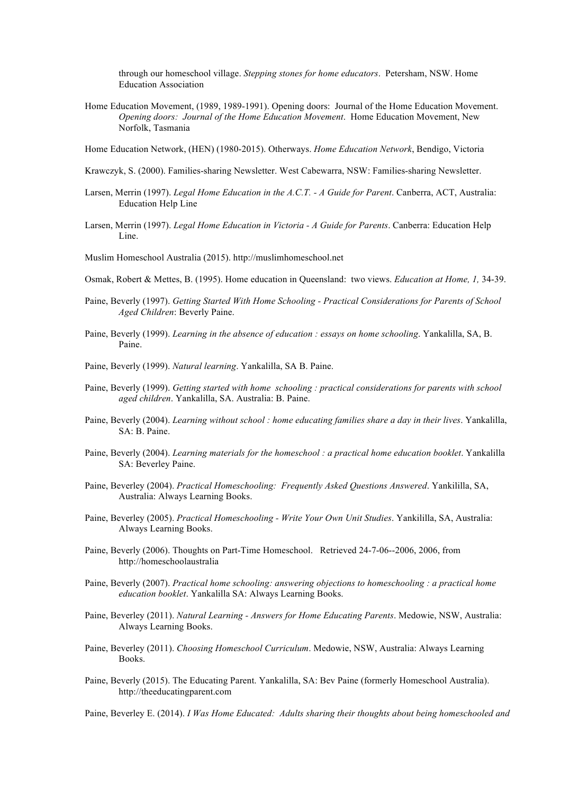through our homeschool village. *Stepping stones for home educators*. Petersham, NSW. Home Education Association

Home Education Movement, (1989, 1989-1991). Opening doors: Journal of the Home Education Movement. *Opening doors: Journal of the Home Education Movement*. Home Education Movement, New Norfolk, Tasmania

Home Education Network, (HEN) (1980-2015). Otherways. *Home Education Network*, Bendigo, Victoria

- Krawczyk, S. (2000). Families-sharing Newsletter. West Cabewarra, NSW: Families-sharing Newsletter.
- Larsen, Merrin (1997). *Legal Home Education in the A.C.T. - A Guide for Parent*. Canberra, ACT, Australia: Education Help Line
- Larsen, Merrin (1997). *Legal Home Education in Victoria - A Guide for Parents*. Canberra: Education Help Line.
- Muslim Homeschool Australia (2015). http://muslimhomeschool.net
- Osmak, Robert & Mettes, B. (1995). Home education in Queensland: two views. *Education at Home, 1,* 34-39.
- Paine, Beverly (1997). *Getting Started With Home Schooling - Practical Considerations for Parents of School Aged Children*: Beverly Paine.
- Paine, Beverly (1999). *Learning in the absence of education : essays on home schooling*. Yankalilla, SA, B. Paine.
- Paine, Beverly (1999). *Natural learning*. Yankalilla, SA B. Paine.
- Paine, Beverly (1999). *Getting started with home schooling : practical considerations for parents with school aged children*. Yankalilla, SA. Australia: B. Paine.
- Paine, Beverly (2004). *Learning without school : home educating families share a day in their lives*. Yankalilla, SA: B. Paine.
- Paine, Beverly (2004). *Learning materials for the homeschool : a practical home education booklet*. Yankalilla SA: Beverley Paine.
- Paine, Beverley (2004). *Practical Homeschooling: Frequently Asked Questions Answered*. Yankililla, SA, Australia: Always Learning Books.
- Paine, Beverley (2005). *Practical Homeschooling - Write Your Own Unit Studies*. Yankililla, SA, Australia: Always Learning Books.
- Paine, Beverly (2006). Thoughts on Part-Time Homeschool. Retrieved 24-7-06--2006, 2006, from http://homeschoolaustralia
- Paine, Beverly (2007). *Practical home schooling: answering objections to homeschooling : a practical home education booklet*. Yankalilla SA: Always Learning Books.
- Paine, Beverley (2011). *Natural Learning - Answers for Home Educating Parents*. Medowie, NSW, Australia: Always Learning Books.
- Paine, Beverley (2011). *Choosing Homeschool Curriculum*. Medowie, NSW, Australia: Always Learning Books.
- Paine, Beverly (2015). The Educating Parent. Yankalilla, SA: Bev Paine (formerly Homeschool Australia). http://theeducatingparent.com

Paine, Beverley E. (2014). *I Was Home Educated: Adults sharing their thoughts about being homeschooled and*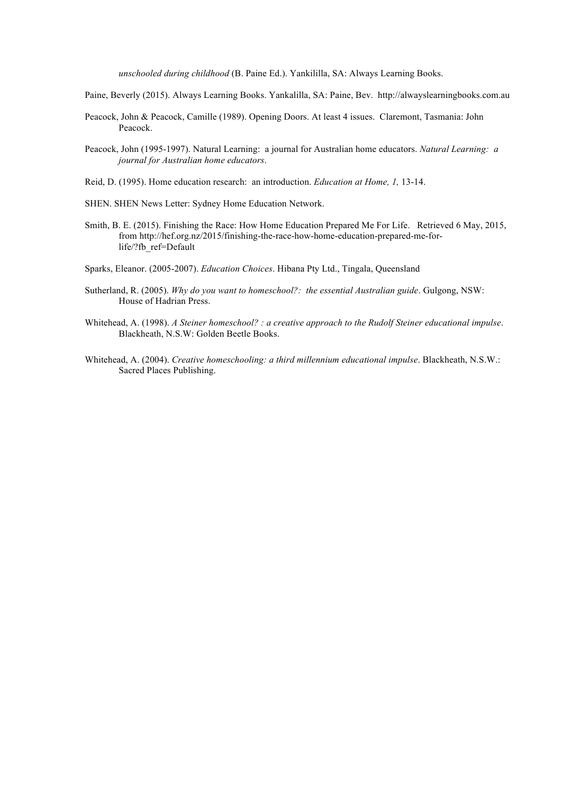*unschooled during childhood* (B. Paine Ed.). Yankililla, SA: Always Learning Books.

- Paine, Beverly (2015). Always Learning Books. Yankalilla, SA: Paine, Bev. http://alwayslearningbooks.com.au
- Peacock, John & Peacock, Camille (1989). Opening Doors. At least 4 issues. Claremont, Tasmania: John Peacock.
- Peacock, John (1995-1997). Natural Learning: a journal for Australian home educators. *Natural Learning: a journal for Australian home educators*.
- Reid, D. (1995). Home education research: an introduction. *Education at Home, 1,* 13-14.
- SHEN. SHEN News Letter: Sydney Home Education Network.
- Smith, B. E. (2015). Finishing the Race: How Home Education Prepared Me For Life. Retrieved 6 May, 2015, from http://hef.org.nz/2015/finishing-the-race-how-home-education-prepared-me-forlife/?fb\_ref=Default
- Sparks, Eleanor. (2005-2007). *Education Choices*. Hibana Pty Ltd., Tingala, Queensland
- Sutherland, R. (2005). *Why do you want to homeschool?: the essential Australian guide*. Gulgong, NSW: House of Hadrian Press.
- Whitehead, A. (1998). *A Steiner homeschool? : a creative approach to the Rudolf Steiner educational impulse*. Blackheath, N.S.W: Golden Beetle Books.
- Whitehead, A. (2004). *Creative homeschooling: a third millennium educational impulse*. Blackheath, N.S.W.: Sacred Places Publishing.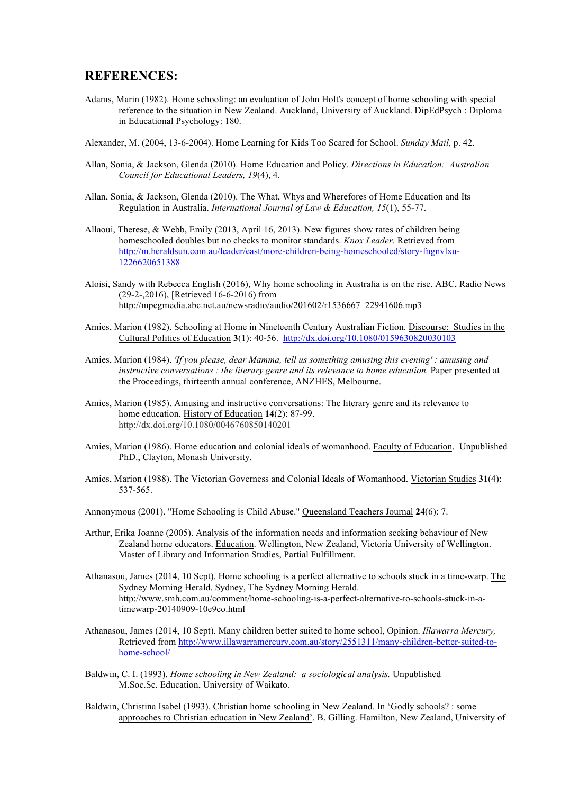## **REFERENCES:**

- Adams, Marin (1982). Home schooling: an evaluation of John Holt's concept of home schooling with special reference to the situation in New Zealand. Auckland, University of Auckland. DipEdPsych : Diploma in Educational Psychology: 180.
- Alexander, M. (2004, 13-6-2004). Home Learning for Kids Too Scared for School. *Sunday Mail,* p. 42.
- Allan, Sonia, & Jackson, Glenda (2010). Home Education and Policy. *Directions in Education: Australian Council for Educational Leaders, 19*(4), 4.
- Allan, Sonia, & Jackson, Glenda (2010). The What, Whys and Wherefores of Home Education and Its Regulation in Australia. *International Journal of Law & Education, 15*(1), 55-77.
- Allaoui, Therese, & Webb, Emily (2013, April 16, 2013). New figures show rates of children being homeschooled doubles but no checks to monitor standards. *Knox Leader*. Retrieved from http://m.heraldsun.com.au/leader/east/more-children-being-homeschooled/story-fngnvlxu-1226620651388
- Aloisi, Sandy with Rebecca English (2016), Why home schooling in Australia is on the rise. ABC, Radio News (29-2-,2016), [Retrieved 16-6-2016) from http://mpegmedia.abc.net.au/newsradio/audio/201602/r1536667\_22941606.mp3
- Amies, Marion (1982). Schooling at Home in Nineteenth Century Australian Fiction. Discourse: Studies in the Cultural Politics of Education **3**(1): 40-56. http://dx.doi.org/10.1080/0159630820030103
- Amies, Marion (1984). *'If you please, dear Mamma, tell us something amusing this evening' : amusing and instructive conversations : the literary genre and its relevance to home education.* Paper presented at the Proceedings, thirteenth annual conference, ANZHES, Melbourne.
- Amies, Marion (1985). Amusing and instructive conversations: The literary genre and its relevance to home education. History of Education **14**(2): 87-99. http://dx.doi.org/10.1080/0046760850140201
- Amies, Marion (1986). Home education and colonial ideals of womanhood. Faculty of Education. Unpublished PhD., Clayton, Monash University.
- Amies, Marion (1988). The Victorian Governess and Colonial Ideals of Womanhood. Victorian Studies **31**(4): 537-565.

Annonymous (2001). "Home Schooling is Child Abuse." Queensland Teachers Journal **24**(6): 7.

- Arthur, Erika Joanne (2005). Analysis of the information needs and information seeking behaviour of New Zealand home educators. Education. Wellington, New Zealand, Victoria University of Wellington. Master of Library and Information Studies, Partial Fulfillment.
- Athanasou, James (2014, 10 Sept). Home schooling is a perfect alternative to schools stuck in a time-warp. The Sydney Morning Herald. Sydney, The Sydney Morning Herald. http://www.smh.com.au/comment/home-schooling-is-a-perfect-alternative-to-schools-stuck-in-atimewarp-20140909-10e9co.html
- Athanasou, James (2014, 10 Sept). Many children better suited to home school, Opinion. *Illawarra Mercury,* Retrieved from http://www.illawarramercury.com.au/story/2551311/many-children-better-suited-tohome-school/
- Baldwin, C. I. (1993). *Home schooling in New Zealand: a sociological analysis.* Unpublished M.Soc.Sc. Education, University of Waikato.
- Baldwin, Christina Isabel (1993). Christian home schooling in New Zealand. In 'Godly schools? : some approaches to Christian education in New Zealand'. B. Gilling. Hamilton, New Zealand, University of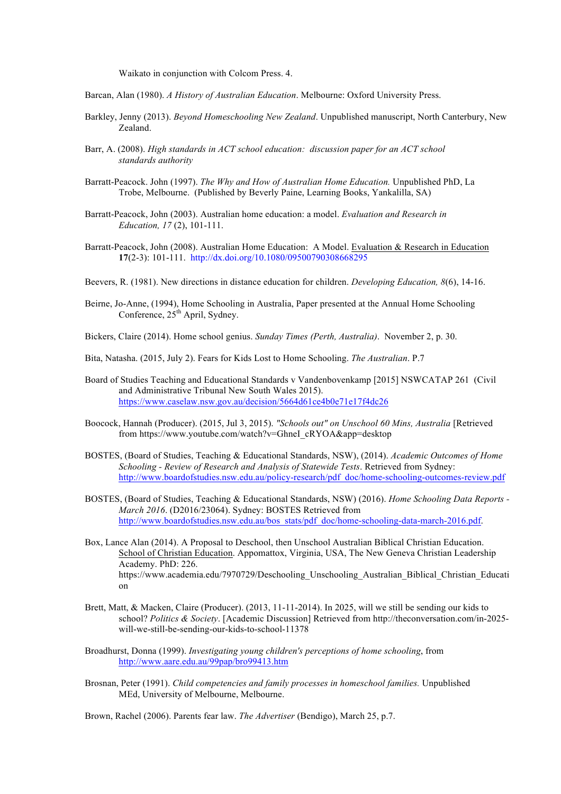Waikato in conjunction with Colcom Press. 4.

- Barcan, Alan (1980). *A History of Australian Education*. Melbourne: Oxford University Press.
- Barkley, Jenny (2013). *Beyond Homeschooling New Zealand*. Unpublished manuscript, North Canterbury, New Zealand.
- Barr, A. (2008). *High standards in ACT school education: discussion paper for an ACT school standards authority*
- Barratt-Peacock. John (1997). *The Why and How of Australian Home Education.* Unpublished PhD, La Trobe, Melbourne. (Published by Beverly Paine, Learning Books, Yankalilla, SA)
- Barratt-Peacock, John (2003). Australian home education: a model. *Evaluation and Research in Education, 17* (2), 101-111.
- Barratt-Peacock, John (2008). Australian Home Education: A Model. Evaluation & Research in Education **17**(2-3): 101-111. http://dx.doi.org/10.1080/09500790308668295
- Beevers, R. (1981). New directions in distance education for children. *Developing Education, 8*(6), 14-16.
- Beirne, Jo-Anne, (1994), Home Schooling in Australia, Paper presented at the Annual Home Schooling Conference,  $25<sup>th</sup>$  April, Sydney.
- Bickers, Claire (2014). Home school genius. *Sunday Times (Perth, Australia)*. November 2, p. 30.
- Bita, Natasha. (2015, July 2). Fears for Kids Lost to Home Schooling. *The Australian*. P.7
- Board of Studies Teaching and Educational Standards v Vandenbovenkamp [2015] NSWCATAP 261 (Civil and Administrative Tribunal New South Wales 2015). https://www.caselaw.nsw.gov.au/decision/5664d61ce4b0e71e17f4dc26
- Boocock, Hannah (Producer). (2015, Jul 3, 2015). *"Schools out" on Unschool 60 Mins, Australia* [Retrieved from https://www.youtube.com/watch?v=GhneI\_cRYOA&app=desktop
- BOSTES, (Board of Studies, Teaching & Educational Standards, NSW), (2014). *Academic Outcomes of Home Schooling - Review of Research and Analysis of Statewide Tests*. Retrieved from Sydney: http://www.boardofstudies.nsw.edu.au/policy-research/pdf\_doc/home-schooling-outcomes-review.pdf
- BOSTES, (Board of Studies, Teaching & Educational Standards, NSW) (2016). *Home Schooling Data Reports - March 2016*. (D2016/23064). Sydney: BOSTES Retrieved from http://www.boardofstudies.nsw.edu.au/bos\_stats/pdf\_doc/home-schooling-data-march-2016.pdf.
- Box, Lance Alan (2014). A Proposal to Deschool, then Unschool Australian Biblical Christian Education. School of Christian Education. Appomattox, Virginia, USA, The New Geneva Christian Leadership Academy. PhD: 226. https://www.academia.edu/7970729/Deschooling\_Unschooling\_Australian\_Biblical\_Christian\_Educati on
- Brett, Matt, & Macken, Claire (Producer). (2013, 11-11-2014). In 2025, will we still be sending our kids to school? *Politics & Society*. [Academic Discussion] Retrieved from http://theconversation.com/in-2025 will-we-still-be-sending-our-kids-to-school-11378
- Broadhurst, Donna (1999). *Investigating young children's perceptions of home schooling*, from http://www.aare.edu.au/99pap/bro99413.htm
- Brosnan, Peter (1991). *Child competencies and family processes in homeschool families.* Unpublished MEd, University of Melbourne, Melbourne.

Brown, Rachel (2006). Parents fear law. *The Advertiser* (Bendigo), March 25, p.7.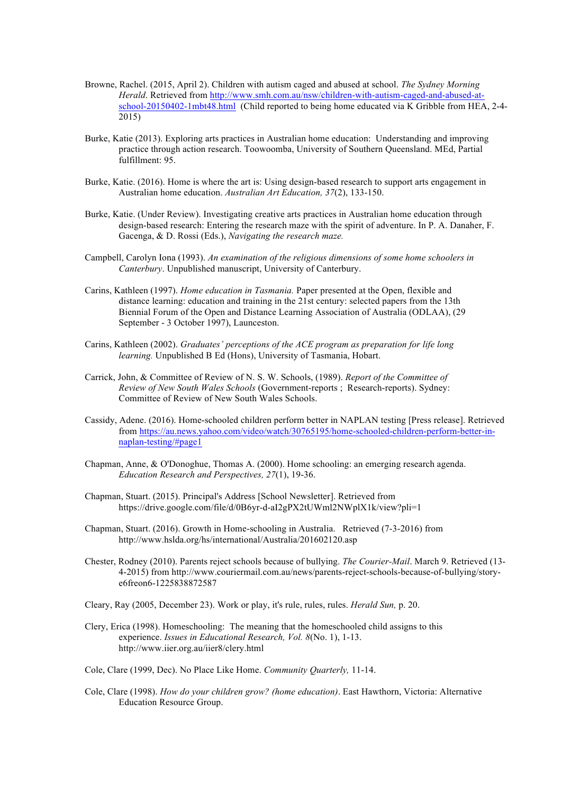- Browne, Rachel. (2015, April 2). Children with autism caged and abused at school. *The Sydney Morning Herald*. Retrieved from http://www.smh.com.au/nsw/children-with-autism-caged-and-abused-atschool-20150402-1mbt48.html (Child reported to being home educated via K Gribble from HEA, 2-4- 2015)
- Burke, Katie (2013). Exploring arts practices in Australian home education: Understanding and improving practice through action research. Toowoomba, University of Southern Queensland. MEd, Partial fulfillment: 95.
- Burke, Katie. (2016). Home is where the art is: Using design-based research to support arts engagement in Australian home education. *Australian Art Education, 37*(2), 133-150.
- Burke, Katie. (Under Review). Investigating creative arts practices in Australian home education through design-based research: Entering the research maze with the spirit of adventure. In P. A. Danaher, F. Gacenga, & D. Rossi (Eds.), *Navigating the research maze.*
- Campbell, Carolyn Iona (1993). *An examination of the religious dimensions of some home schoolers in Canterbury*. Unpublished manuscript, University of Canterbury.
- Carins, Kathleen (1997). *Home education in Tasmania.* Paper presented at the Open, flexible and distance learning: education and training in the 21st century: selected papers from the 13th Biennial Forum of the Open and Distance Learning Association of Australia (ODLAA), (29 September - 3 October 1997), Launceston.
- Carins, Kathleen (2002). *Graduates' perceptions of the ACE program as preparation for life long learning.* Unpublished B Ed (Hons), University of Tasmania, Hobart.
- Carrick, John, & Committee of Review of N. S. W. Schools, (1989). *Report of the Committee of Review of New South Wales Schools* (Government-reports ; Research-reports). Sydney: Committee of Review of New South Wales Schools.
- Cassidy, Adene. (2016). Home-schooled children perform better in NAPLAN testing [Press release]. Retrieved from https://au.news.yahoo.com/video/watch/30765195/home-schooled-children-perform-better-innaplan-testing/#page1
- Chapman, Anne, & O'Donoghue, Thomas A. (2000). Home schooling: an emerging research agenda. *Education Research and Perspectives, 27*(1), 19-36.
- Chapman, Stuart. (2015). Principal's Address [School Newsletter]. Retrieved from https://drive.google.com/file/d/0B6yr-d-aI2gPX2tUWml2NWplX1k/view?pli=1
- Chapman, Stuart. (2016). Growth in Home-schooling in Australia. Retrieved (7-3-2016) from http://www.hslda.org/hs/international/Australia/201602120.asp
- Chester, Rodney (2010). Parents reject schools because of bullying. *The Courier-Mail*. March 9. Retrieved (13- 4-2015) from http://www.couriermail.com.au/news/parents-reject-schools-because-of-bullying/storye6freon6-1225838872587
- Cleary, Ray (2005, December 23). Work or play, it's rule, rules, rules. *Herald Sun,* p. 20.
- Clery, Erica (1998). Homeschooling: The meaning that the homeschooled child assigns to this experience. *Issues in Educational Research, Vol. 8*(No. 1), 1-13. http://www.iier.org.au/iier8/clery.html
- Cole, Clare (1999, Dec). No Place Like Home. *Community Quarterly,* 11-14.
- Cole, Clare (1998). *How do your children grow? (home education)*. East Hawthorn, Victoria: Alternative Education Resource Group.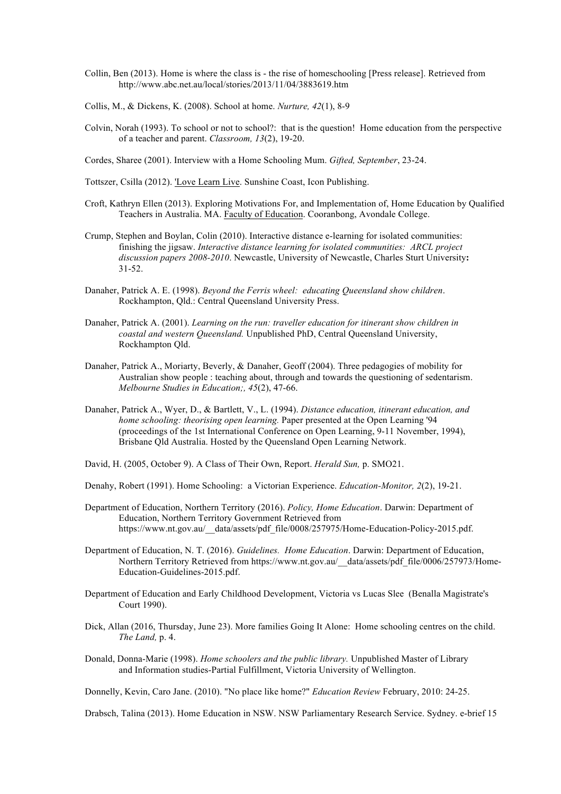- Collin, Ben (2013). Home is where the class is the rise of homeschooling [Press release]. Retrieved from http://www.abc.net.au/local/stories/2013/11/04/3883619.htm
- Collis, M., & Dickens, K. (2008). School at home. *Nurture, 42*(1), 8-9
- Colvin, Norah (1993). To school or not to school?: that is the question! Home education from the perspective of a teacher and parent. *Classroom, 13*(2), 19-20.
- Cordes, Sharee (2001). Interview with a Home Schooling Mum. *Gifted, September*, 23-24.
- Tottszer, Csilla (2012). 'Love Learn Live. Sunshine Coast, Icon Publishing.
- Croft, Kathryn Ellen (2013). Exploring Motivations For, and Implementation of, Home Education by Qualified Teachers in Australia. MA. Faculty of Education. Cooranbong, Avondale College.
- Crump, Stephen and Boylan, Colin (2010). Interactive distance e-learning for isolated communities: finishing the jigsaw. *Interactive distance learning for isolated communities: ARCL project discussion papers 2008-2010*. Newcastle, University of Newcastle, Charles Sturt University**:**  31-52.
- Danaher, Patrick A. E. (1998). *Beyond the Ferris wheel: educating Queensland show children*. Rockhampton, Qld.: Central Queensland University Press.
- Danaher, Patrick A. (2001). *Learning on the run: traveller education for itinerant show children in coastal and western Queensland.* Unpublished PhD, Central Queensland University, Rockhampton Qld.
- Danaher, Patrick A., Moriarty, Beverly, & Danaher, Geoff (2004). Three pedagogies of mobility for Australian show people : teaching about, through and towards the questioning of sedentarism. *Melbourne Studies in Education;, 45*(2), 47-66.
- Danaher, Patrick A., Wyer, D., & Bartlett, V., L. (1994). *Distance education, itinerant education, and home schooling: theorising open learning.* Paper presented at the Open Learning '94 (proceedings of the 1st International Conference on Open Learning, 9-11 November, 1994), Brisbane Qld Australia. Hosted by the Queensland Open Learning Network.
- David, H. (2005, October 9). A Class of Their Own, Report. *Herald Sun,* p. SMO21.
- Denahy, Robert (1991). Home Schooling: a Victorian Experience. *Education-Monitor, 2*(2), 19-21.
- Department of Education, Northern Territory (2016). *Policy, Home Education*. Darwin: Department of Education, Northern Territory Government Retrieved from https://www.nt.gov.au/\_\_data/assets/pdf\_file/0008/257975/Home-Education-Policy-2015.pdf.
- Department of Education, N. T. (2016). *Guidelines. Home Education*. Darwin: Department of Education, Northern Territory Retrieved from https://www.nt.gov.au/\_\_data/assets/pdf\_file/0006/257973/Home-Education-Guidelines-2015.pdf.
- Department of Education and Early Childhood Development, Victoria vs Lucas Slee (Benalla Magistrate's Court 1990).
- Dick, Allan (2016, Thursday, June 23). More families Going It Alone: Home schooling centres on the child. *The Land,* p. 4.
- Donald, Donna-Marie (1998). *Home schoolers and the public library.* Unpublished Master of Library and Information studies-Partial Fulfillment, Victoria University of Wellington.

Donnelly, Kevin, Caro Jane. (2010). "No place like home?" *Education Review* February, 2010: 24-25.

Drabsch, Talina (2013). Home Education in NSW. NSW Parliamentary Research Service. Sydney. e-brief 15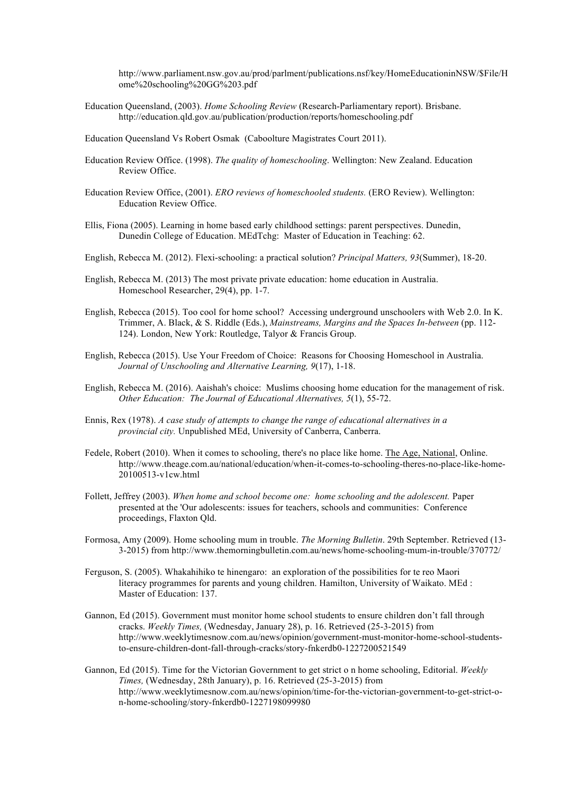http://www.parliament.nsw.gov.au/prod/parlment/publications.nsf/key/HomeEducationinNSW/\$File/H ome%20schooling%20GG%203.pdf

Education Queensland, (2003). *Home Schooling Review* (Research-Parliamentary report). Brisbane. http://education.qld.gov.au/publication/production/reports/homeschooling.pdf

Education Queensland Vs Robert Osmak (Caboolture Magistrates Court 2011).

- Education Review Office. (1998). *The quality of homeschooling*. Wellington: New Zealand. Education Review Office.
- Education Review Office, (2001). *ERO reviews of homeschooled students.* (ERO Review). Wellington: Education Review Office.
- Ellis, Fiona (2005). Learning in home based early childhood settings: parent perspectives. Dunedin, Dunedin College of Education. MEdTchg: Master of Education in Teaching: 62.
- English, Rebecca M. (2012). Flexi-schooling: a practical solution? *Principal Matters, 93*(Summer), 18-20.
- English, Rebecca M. (2013) The most private private education: home education in Australia. Homeschool Researcher, 29(4), pp. 1-7.
- English, Rebecca (2015). Too cool for home school? Accessing underground unschoolers with Web 2.0. In K. Trimmer, A. Black, & S. Riddle (Eds.), *Mainstreams, Margins and the Spaces In-between* (pp. 112- 124). London, New York: Routledge, Talyor & Francis Group.
- English, Rebecca (2015). Use Your Freedom of Choice: Reasons for Choosing Homeschool in Australia. *Journal of Unschooling and Alternative Learning, 9*(17), 1-18.
- English, Rebecca M. (2016). Aaishah's choice: Muslims choosing home education for the management of risk. *Other Education: The Journal of Educational Alternatives, 5*(1), 55-72.
- Ennis, Rex (1978). *A case study of attempts to change the range of educational alternatives in a provincial city.* Unpublished MEd, University of Canberra, Canberra.
- Fedele, Robert (2010). When it comes to schooling, there's no place like home. The Age, National, Online. http://www.theage.com.au/national/education/when-it-comes-to-schooling-theres-no-place-like-home-20100513-v1cw.html
- Follett, Jeffrey (2003). *When home and school become one: home schooling and the adolescent.* Paper presented at the 'Our adolescents: issues for teachers, schools and communities: Conference proceedings, Flaxton Qld.
- Formosa, Amy (2009). Home schooling mum in trouble. *The Morning Bulletin*. 29th September. Retrieved (13- 3-2015) from http://www.themorningbulletin.com.au/news/home-schooling-mum-in-trouble/370772/
- Ferguson, S. (2005). Whakahihiko te hinengaro: an exploration of the possibilities for te reo Maori literacy programmes for parents and young children. Hamilton, University of Waikato. MEd : Master of Education: 137.
- Gannon, Ed (2015). Government must monitor home school students to ensure children don't fall through cracks. *Weekly Times,* (Wednesday, January 28), p. 16. Retrieved (25-3-2015) from http://www.weeklytimesnow.com.au/news/opinion/government-must-monitor-home-school-studentsto-ensure-children-dont-fall-through-cracks/story-fnkerdb0-1227200521549
- Gannon, Ed (2015). Time for the Victorian Government to get strict o n home schooling, Editorial. *Weekly Times,* (Wednesday, 28th January), p. 16. Retrieved (25-3-2015) from http://www.weeklytimesnow.com.au/news/opinion/time-for-the-victorian-government-to-get-strict-on-home-schooling/story-fnkerdb0-1227198099980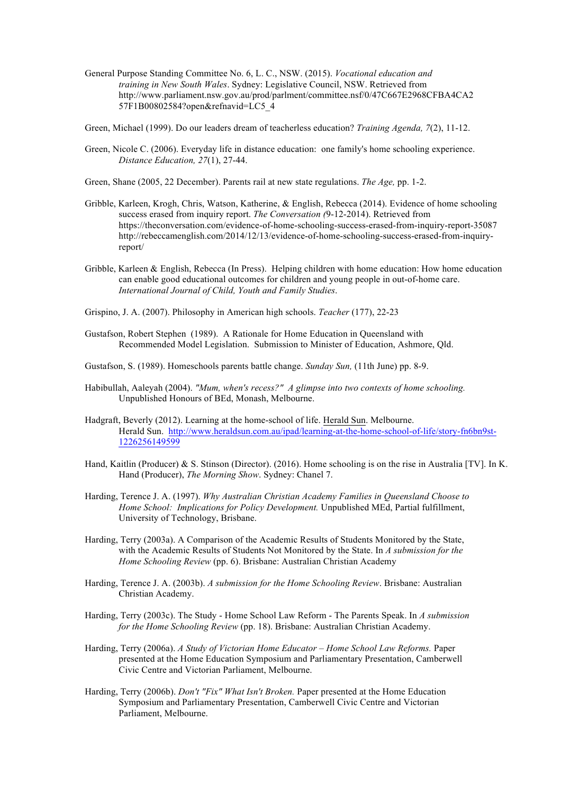- General Purpose Standing Committee No. 6, L. C., NSW. (2015). *Vocational education and training in New South Wales*. Sydney: Legislative Council, NSW. Retrieved from http://www.parliament.nsw.gov.au/prod/parlment/committee.nsf/0/47C667E2968CFBA4CA2 57F1B00802584?open&refnavid=LC5\_4
- Green, Michael (1999). Do our leaders dream of teacherless education? *Training Agenda, 7*(2), 11-12.
- Green, Nicole C. (2006). Everyday life in distance education: one family's home schooling experience. *Distance Education, 27*(1), 27-44.
- Green, Shane (2005, 22 December). Parents rail at new state regulations. *The Age,* pp. 1-2.
- Gribble, Karleen, Krogh, Chris, Watson, Katherine, & English, Rebecca (2014). Evidence of home schooling success erased from inquiry report. *The Conversation (*9-12-2014). Retrieved from https://theconversation.com/evidence-of-home-schooling-success-erased-from-inquiry-report-35087 http://rebeccamenglish.com/2014/12/13/evidence-of-home-schooling-success-erased-from-inquiryreport/
- Gribble, Karleen & English, Rebecca (In Press). Helping children with home education: How home education can enable good educational outcomes for children and young people in out-of-home care. *International Journal of Child, Youth and Family Studies*.
- Grispino, J. A. (2007). Philosophy in American high schools. *Teacher* (177), 22-23
- Gustafson, Robert Stephen (1989). A Rationale for Home Education in Queensland with Recommended Model Legislation. Submission to Minister of Education, Ashmore, Qld.
- Gustafson, S. (1989). Homeschools parents battle change. *Sunday Sun,* (11th June) pp. 8-9.
- Habibullah, Aaleyah (2004). *"Mum, when's recess?" A glimpse into two contexts of home schooling.* Unpublished Honours of BEd, Monash, Melbourne.
- Hadgraft, Beverly (2012). Learning at the home-school of life. Herald Sun. Melbourne. Herald Sun. http://www.heraldsun.com.au/ipad/learning-at-the-home-school-of-life/story-fn6bn9st-1226256149599
- Hand, Kaitlin (Producer) & S. Stinson (Director). (2016). Home schooling is on the rise in Australia [TV]. In K. Hand (Producer), *The Morning Show*. Sydney: Chanel 7.
- Harding, Terence J. A. (1997). *Why Australian Christian Academy Families in Queensland Choose to Home School: Implications for Policy Development.* Unpublished MEd, Partial fulfillment, University of Technology, Brisbane.
- Harding, Terry (2003a). A Comparison of the Academic Results of Students Monitored by the State, with the Academic Results of Students Not Monitored by the State. In *A submission for the Home Schooling Review* (pp. 6). Brisbane: Australian Christian Academy
- Harding, Terence J. A. (2003b). *A submission for the Home Schooling Review*. Brisbane: Australian Christian Academy.
- Harding, Terry (2003c). The Study Home School Law Reform The Parents Speak. In *A submission for the Home Schooling Review* (pp. 18). Brisbane: Australian Christian Academy.
- Harding, Terry (2006a). *A Study of Victorian Home Educator – Home School Law Reforms.* Paper presented at the Home Education Symposium and Parliamentary Presentation, Camberwell Civic Centre and Victorian Parliament, Melbourne.
- Harding, Terry (2006b). *Don't "Fix" What Isn't Broken.* Paper presented at the Home Education Symposium and Parliamentary Presentation, Camberwell Civic Centre and Victorian Parliament, Melbourne.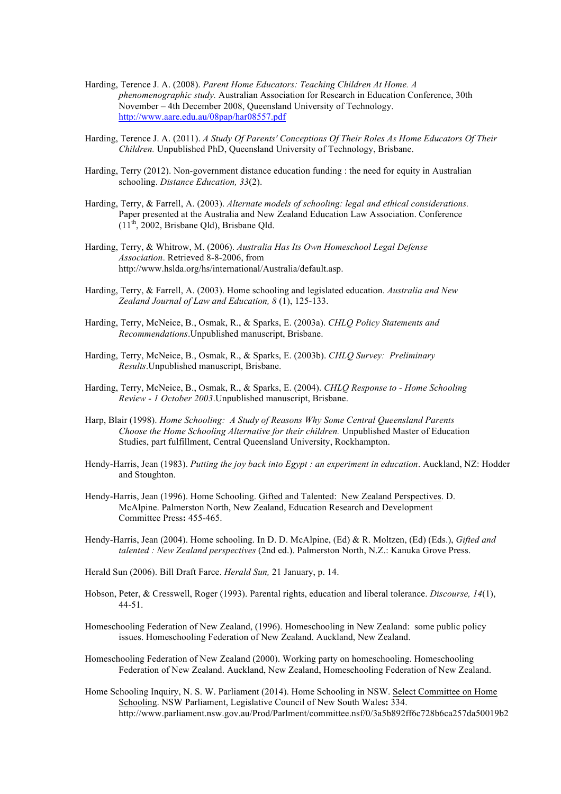- Harding, Terence J. A. (2008). *Parent Home Educators: Teaching Children At Home. A phenomenographic study.* Australian Association for Research in Education Conference, 30th November – 4th December 2008, Queensland University of Technology. http://www.aare.edu.au/08pap/har08557.pdf
- Harding, Terence J. A. (2011). *A Study Of Parents' Conceptions Of Their Roles As Home Educators Of Their Children.* Unpublished PhD, Queensland University of Technology, Brisbane.
- Harding, Terry (2012). Non-government distance education funding : the need for equity in Australian schooling. *Distance Education, 33*(2).
- Harding, Terry, & Farrell, A. (2003). *Alternate models of schooling: legal and ethical considerations.* Paper presented at the Australia and New Zealand Education Law Association. Conference  $(11<sup>th</sup>, 2002, Brisbane Old), Brisbane Old.$
- Harding, Terry, & Whitrow, M. (2006). *Australia Has Its Own Homeschool Legal Defense Association*. Retrieved 8-8-2006, from http://www.hslda.org/hs/international/Australia/default.asp.
- Harding, Terry, & Farrell, A. (2003). Home schooling and legislated education. *Australia and New Zealand Journal of Law and Education, 8* (1), 125-133.
- Harding, Terry, McNeice, B., Osmak, R., & Sparks, E. (2003a). *CHLQ Policy Statements and Recommendations*.Unpublished manuscript, Brisbane.
- Harding, Terry, McNeice, B., Osmak, R., & Sparks, E. (2003b). *CHLQ Survey: Preliminary Results*.Unpublished manuscript, Brisbane.
- Harding, Terry, McNeice, B., Osmak, R., & Sparks, E. (2004). *CHLQ Response to - Home Schooling Review - 1 October 2003*.Unpublished manuscript, Brisbane.
- Harp, Blair (1998). *Home Schooling: A Study of Reasons Why Some Central Queensland Parents Choose the Home Schooling Alternative for their children.* Unpublished Master of Education Studies, part fulfillment, Central Queensland University, Rockhampton.
- Hendy-Harris, Jean (1983). *Putting the joy back into Egypt : an experiment in education*. Auckland, NZ: Hodder and Stoughton.
- Hendy-Harris, Jean (1996). Home Schooling. Gifted and Talented: New Zealand Perspectives. D. McAlpine. Palmerston North, New Zealand, Education Research and Development Committee Press**:** 455-465.
- Hendy-Harris, Jean (2004). Home schooling. In D. D. McAlpine, (Ed) & R. Moltzen, (Ed) (Eds.), *Gifted and talented : New Zealand perspectives* (2nd ed.). Palmerston North, N.Z.: Kanuka Grove Press.
- Herald Sun (2006). Bill Draft Farce. *Herald Sun,* 21 January, p. 14.
- Hobson, Peter, & Cresswell, Roger (1993). Parental rights, education and liberal tolerance. *Discourse, 14*(1), 44-51.
- Homeschooling Federation of New Zealand, (1996). Homeschooling in New Zealand: some public policy issues. Homeschooling Federation of New Zealand. Auckland, New Zealand.
- Homeschooling Federation of New Zealand (2000). Working party on homeschooling. Homeschooling Federation of New Zealand. Auckland, New Zealand, Homeschooling Federation of New Zealand.
- Home Schooling Inquiry, N. S. W. Parliament (2014). Home Schooling in NSW. Select Committee on Home Schooling. NSW Parliament, Legislative Council of New South Wales**:** 334. http://www.parliament.nsw.gov.au/Prod/Parlment/committee.nsf/0/3a5b892ff6c728b6ca257da50019b2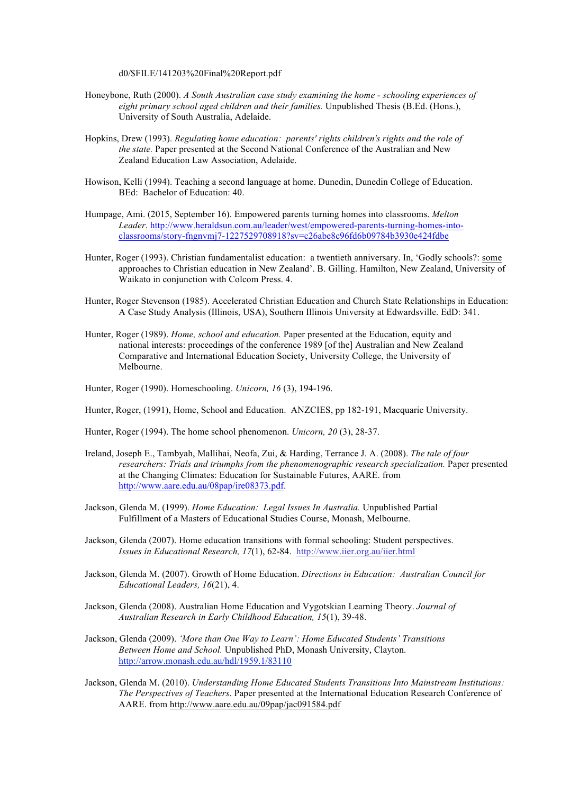d0/\$FILE/141203%20Final%20Report.pdf

- Honeybone, Ruth (2000). *A South Australian case study examining the home - schooling experiences of eight primary school aged children and their families.* Unpublished Thesis (B.Ed. (Hons.), University of South Australia, Adelaide.
- Hopkins, Drew (1993). *Regulating home education: parents' rights children's rights and the role of the state.* Paper presented at the Second National Conference of the Australian and New Zealand Education Law Association, Adelaide.
- Howison, Kelli (1994). Teaching a second language at home. Dunedin, Dunedin College of Education. BEd: Bachelor of Education: 40.
- Humpage, Ami. (2015, September 16). Empowered parents turning homes into classrooms. *Melton Leader*. http://www.heraldsun.com.au/leader/west/empowered-parents-turning-homes-intoclassrooms/story-fngnvmj7-1227529708918?sv=c26abe8c96fd6b09784b3930e424fdbe
- Hunter, Roger (1993). Christian fundamentalist education: a twentieth anniversary. In, 'Godly schools?: some approaches to Christian education in New Zealand'. B. Gilling. Hamilton, New Zealand, University of Waikato in conjunction with Colcom Press. 4.
- Hunter, Roger Stevenson (1985). Accelerated Christian Education and Church State Relationships in Education: A Case Study Analysis (Illinois, USA), Southern Illinois University at Edwardsville. EdD: 341.
- Hunter, Roger (1989). *Home, school and education.* Paper presented at the Education, equity and national interests: proceedings of the conference 1989 [of the] Australian and New Zealand Comparative and International Education Society, University College, the University of Melbourne.
- Hunter, Roger (1990). Homeschooling. *Unicorn, 16* (3), 194-196.
- Hunter, Roger, (1991), Home, School and Education. ANZCIES, pp 182-191, Macquarie University.
- Hunter, Roger (1994). The home school phenomenon. *Unicorn, 20* (3), 28-37.
- Ireland, Joseph E., Tambyah, Mallihai, Neofa, Zui, & Harding, Terrance J. A. (2008). *The tale of four researchers: Trials and triumphs from the phenomenographic research specialization.* Paper presented at the Changing Climates: Education for Sustainable Futures, AARE. from http://www.aare.edu.au/08pap/ire08373.pdf.
- Jackson, Glenda M. (1999). *Home Education: Legal Issues In Australia.* Unpublished Partial Fulfillment of a Masters of Educational Studies Course, Monash, Melbourne.
- Jackson, Glenda (2007). Home education transitions with formal schooling: Student perspectives. *Issues in Educational Research, 17*(1), 62-84. http://www.iier.org.au/iier.html
- Jackson, Glenda M. (2007). Growth of Home Education. *Directions in Education: Australian Council for Educational Leaders, 16*(21), 4.
- Jackson, Glenda (2008). Australian Home Education and Vygotskian Learning Theory. *Journal of Australian Research in Early Childhood Education, 15*(1), 39-48.
- Jackson, Glenda (2009). *'More than One Way to Learn': Home Educated Students' Transitions Between Home and School.* Unpublished PhD, Monash University, Clayton. http://arrow.monash.edu.au/hdl/1959.1/83110
- Jackson, Glenda M. (2010). *Understanding Home Educated Students Transitions Into Mainstream Institutions: The Perspectives of Teachers*. Paper presented at the International Education Research Conference of AARE. from http://www.aare.edu.au/09pap/jac091584.pdf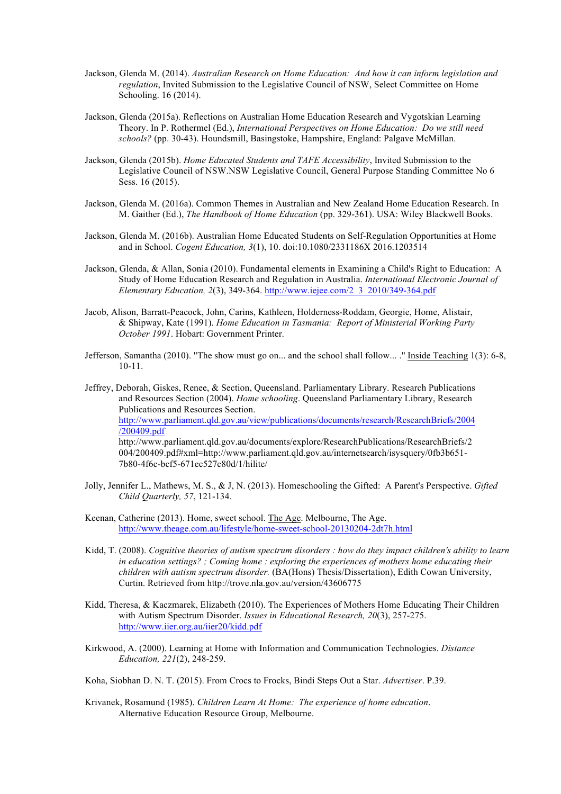- Jackson, Glenda M. (2014). *Australian Research on Home Education: And how it can inform legislation and regulation*, Invited Submission to the Legislative Council of NSW, Select Committee on Home Schooling. 16 (2014).
- Jackson, Glenda (2015a). Reflections on Australian Home Education Research and Vygotskian Learning Theory. In P. Rothermel (Ed.), *International Perspectives on Home Education: Do we still need schools?* (pp. 30-43). Houndsmill, Basingstoke, Hampshire, England: Palgave McMillan.
- Jackson, Glenda (2015b). *Home Educated Students and TAFE Accessibility*, Invited Submission to the Legislative Council of NSW.NSW Legislative Council, General Purpose Standing Committee No 6 Sess. 16 (2015).
- Jackson, Glenda M. (2016a). Common Themes in Australian and New Zealand Home Education Research. In M. Gaither (Ed.), *The Handbook of Home Education* (pp. 329-361). USA: Wiley Blackwell Books.
- Jackson, Glenda M. (2016b). Australian Home Educated Students on Self-Regulation Opportunities at Home and in School. *Cogent Education, 3*(1), 10. doi:10.1080/2331186X 2016.1203514
- Jackson, Glenda, & Allan, Sonia (2010). Fundamental elements in Examining a Child's Right to Education: A Study of Home Education Research and Regulation in Australia. *International Electronic Journal of Elementary Education, 2*(3), 349-364. http://www.iejee.com/2\_3\_2010/349-364.pdf
- Jacob, Alison, Barratt-Peacock, John, Carins, Kathleen, Holderness-Roddam, Georgie, Home, Alistair, & Shipway, Kate (1991). *Home Education in Tasmania: Report of Ministerial Working Party October 1991*. Hobart: Government Printer.
- Jefferson, Samantha (2010). "The show must go on... and the school shall follow... ." Inside Teaching 1(3): 6-8, 10-11.

Jeffrey, Deborah, Giskes, Renee, & Section, Queensland. Parliamentary Library. Research Publications and Resources Section (2004). *Home schooling*. Queensland Parliamentary Library, Research Publications and Resources Section. http://www.parliament.qld.gov.au/view/publications/documents/research/ResearchBriefs/2004 /200409.pdf http://www.parliament.qld.gov.au/documents/explore/ResearchPublications/ResearchBriefs/2 004/200409.pdf#xml=http://www.parliament.qld.gov.au/internetsearch/isysquery/0fb3b651- 7b80-4f6c-bcf5-671ec527c80d/1/hilite/

- Jolly, Jennifer L., Mathews, M. S., & J, N. (2013). Homeschooling the Gifted: A Parent's Perspective. *Gifted Child Quarterly, 57*, 121-134.
- Keenan, Catherine (2013). Home, sweet school. The Age. Melbourne, The Age. http://www.theage.com.au/lifestyle/home-sweet-school-20130204-2dt7h.html
- Kidd, T. (2008). *Cognitive theories of autism spectrum disorders : how do they impact children's ability to learn in education settings? ; Coming home : exploring the experiences of mothers home educating their children with autism spectrum disorder.* (BA(Hons) Thesis/Dissertation), Edith Cowan University, Curtin. Retrieved from http://trove.nla.gov.au/version/43606775
- Kidd, Theresa, & Kaczmarek, Elizabeth (2010). The Experiences of Mothers Home Educating Their Children with Autism Spectrum Disorder. *Issues in Educational Research, 20*(3), 257-275. http://www.iier.org.au/iier20/kidd.pdf
- Kirkwood, A. (2000). Learning at Home with Information and Communication Technologies. *Distance Education, 221*(2), 248-259.

Koha, Siobhan D. N. T. (2015). From Crocs to Frocks, Bindi Steps Out a Star. *Advertiser*. P.39.

Krivanek, Rosamund (1985). *Children Learn At Home: The experience of home education*. Alternative Education Resource Group, Melbourne.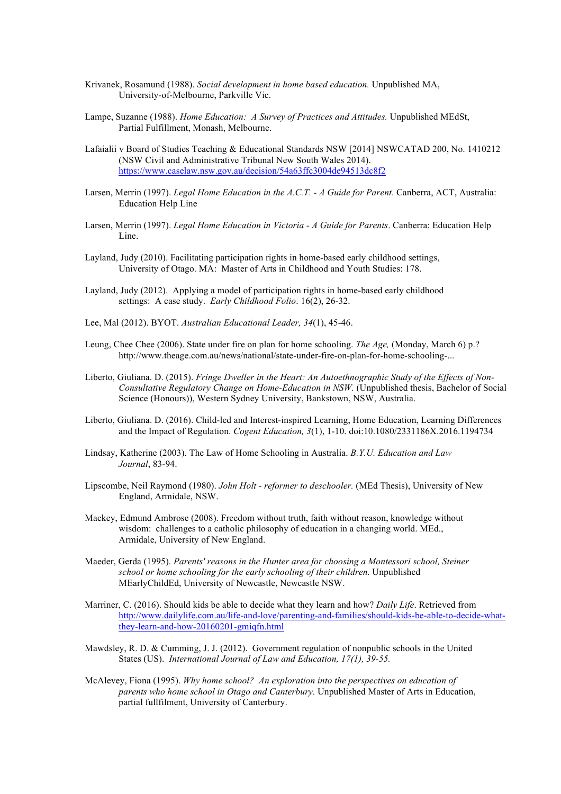- Krivanek, Rosamund (1988). *Social development in home based education.* Unpublished MA, University-of-Melbourne, Parkville Vic.
- Lampe, Suzanne (1988). *Home Education: A Survey of Practices and Attitudes.* Unpublished MEdSt, Partial Fulfillment, Monash, Melbourne.
- Lafaialii v Board of Studies Teaching & Educational Standards NSW [2014] NSWCATAD 200, No. 1410212 (NSW Civil and Administrative Tribunal New South Wales 2014). https://www.caselaw.nsw.gov.au/decision/54a63ffc3004de94513dc8f2
- Larsen, Merrin (1997). *Legal Home Education in the A.C.T. - A Guide for Parent*. Canberra, ACT, Australia: Education Help Line
- Larsen, Merrin (1997). *Legal Home Education in Victoria - A Guide for Parents*. Canberra: Education Help Line.
- Layland, Judy (2010). Facilitating participation rights in home-based early childhood settings, University of Otago. MA: Master of Arts in Childhood and Youth Studies: 178.
- Layland, Judy (2012). Applying a model of participation rights in home-based early childhood settings: A case study. *Early Childhood Folio*. 16(2), 26-32.
- Lee, Mal (2012). BYOT. *Australian Educational Leader, 34*(1), 45-46.
- Leung, Chee Chee (2006). State under fire on plan for home schooling. *The Age,* (Monday, March 6) p.? http://www.theage.com.au/news/national/state-under-fire-on-plan-for-home-schooling-...
- Liberto, Giuliana. D. (2015). *Fringe Dweller in the Heart: An Autoethnographic Study of the Effects of Non-Consultative Regulatory Change on Home-Education in NSW.* (Unpublished thesis, Bachelor of Social Science (Honours)), Western Sydney University, Bankstown, NSW, Australia.
- Liberto, Giuliana. D. (2016). Child-led and Interest-inspired Learning, Home Education, Learning Differences and the Impact of Regulation. *Cogent Education, 3*(1), 1-10. doi:10.1080/2331186X.2016.1194734
- Lindsay, Katherine (2003). The Law of Home Schooling in Australia. *B.Y.U. Education and Law Journal*, 83-94.
- Lipscombe, Neil Raymond (1980). *John Holt - reformer to deschooler.* (MEd Thesis), University of New England, Armidale, NSW.
- Mackey, Edmund Ambrose (2008). Freedom without truth, faith without reason, knowledge without wisdom: challenges to a catholic philosophy of education in a changing world. MEd., Armidale, University of New England.
- Maeder, Gerda (1995). *Parents' reasons in the Hunter area for choosing a Montessori school, Steiner school or home schooling for the early schooling of their children.* Unpublished MEarlyChildEd, University of Newcastle, Newcastle NSW.
- Marriner, C. (2016). Should kids be able to decide what they learn and how? *Daily Life*. Retrieved from http://www.dailylife.com.au/life-and-love/parenting-and-families/should-kids-be-able-to-decide-whatthey-learn-and-how-20160201-gmiqfn.html
- Mawdsley, R. D. & Cumming, J. J. (2012). Government regulation of nonpublic schools in the United States (US). *International Journal of Law and Education, 17(1), 39-55.*
- McAlevey, Fiona (1995). *Why home school? An exploration into the perspectives on education of parents who home school in Otago and Canterbury.* Unpublished Master of Arts in Education, partial fullfilment, University of Canterbury.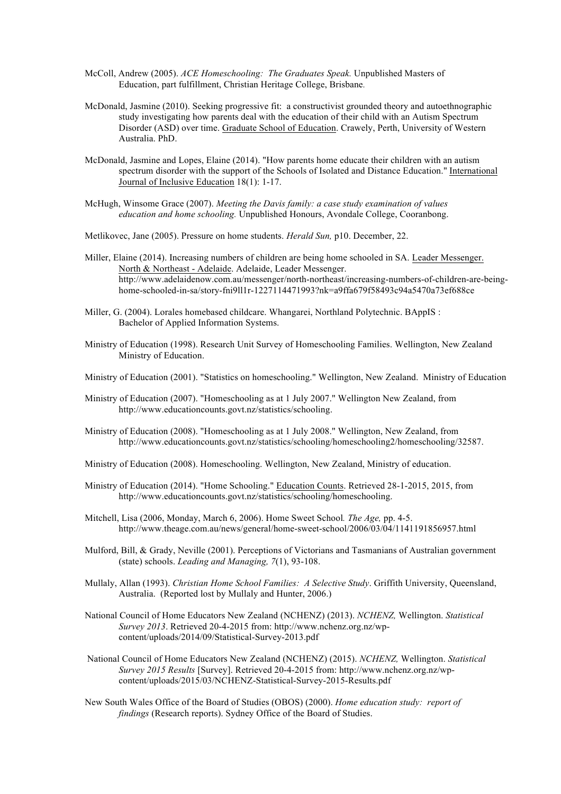- McColl, Andrew (2005). *ACE Homeschooling: The Graduates Speak.* Unpublished Masters of Education, part fulfillment, Christian Heritage College, Brisbane*.*
- McDonald, Jasmine (2010). Seeking progressive fit: a constructivist grounded theory and autoethnographic study investigating how parents deal with the education of their child with an Autism Spectrum Disorder (ASD) over time. Graduate School of Education. Crawely, Perth, University of Western Australia. PhD.
- McDonald, Jasmine and Lopes, Elaine (2014). "How parents home educate their children with an autism spectrum disorder with the support of the Schools of Isolated and Distance Education." International Journal of Inclusive Education 18(1): 1-17.
- McHugh, Winsome Grace (2007). *Meeting the Davis family: a case study examination of values education and home schooling.* Unpublished Honours, Avondale College, Cooranbong.
- Metlikovec, Jane (2005). Pressure on home students. *Herald Sun,* p10. December, 22.
- Miller, Elaine (2014). Increasing numbers of children are being home schooled in SA. Leader Messenger. North & Northeast - Adelaide. Adelaide, Leader Messenger. http://www.adelaidenow.com.au/messenger/north-northeast/increasing-numbers-of-children-are-beinghome-schooled-in-sa/story-fni9ll1r-1227114471993?nk=a9ffa679f58493c94a5470a73ef688ce
- Miller, G. (2004). Lorales homebased childcare. Whangarei, Northland Polytechnic. BAppIS : Bachelor of Applied Information Systems.
- Ministry of Education (1998). Research Unit Survey of Homeschooling Families. Wellington, New Zealand Ministry of Education.

Ministry of Education (2001). "Statistics on homeschooling." Wellington, New Zealand. Ministry of Education

- Ministry of Education (2007). "Homeschooling as at 1 July 2007." Wellington New Zealand, from http://www.educationcounts.govt.nz/statistics/schooling.
- Ministry of Education (2008). "Homeschooling as at 1 July 2008." Wellington, New Zealand, from http://www.educationcounts.govt.nz/statistics/schooling/homeschooling2/homeschooling/32587.
- Ministry of Education (2008). Homeschooling. Wellington, New Zealand, Ministry of education.
- Ministry of Education (2014). "Home Schooling." Education Counts. Retrieved 28-1-2015, 2015, from http://www.educationcounts.govt.nz/statistics/schooling/homeschooling.
- Mitchell, Lisa (2006, Monday, March 6, 2006). Home Sweet School*. The Age,* pp. 4-5. http://www.theage.com.au/news/general/home-sweet-school/2006/03/04/1141191856957.html
- Mulford, Bill, & Grady, Neville (2001). Perceptions of Victorians and Tasmanians of Australian government (state) schools. *Leading and Managing, 7*(1), 93-108.
- Mullaly, Allan (1993). *Christian Home School Families: A Selective Study*. Griffith University, Queensland, Australia. (Reported lost by Mullaly and Hunter, 2006.)
- National Council of Home Educators New Zealand (NCHENZ) (2013). *NCHENZ,* Wellington. *Statistical Survey 2013*. Retrieved 20-4-2015 from: http://www.nchenz.org.nz/wpcontent/uploads/2014/09/Statistical-Survey-2013.pdf
- National Council of Home Educators New Zealand (NCHENZ) (2015). *NCHENZ,* Wellington. *Statistical Survey 2015 Results* [Survey]. Retrieved 20-4-2015 from: http://www.nchenz.org.nz/wpcontent/uploads/2015/03/NCHENZ-Statistical-Survey-2015-Results.pdf
- New South Wales Office of the Board of Studies (OBOS) (2000). *Home education study: report of findings* (Research reports). Sydney Office of the Board of Studies.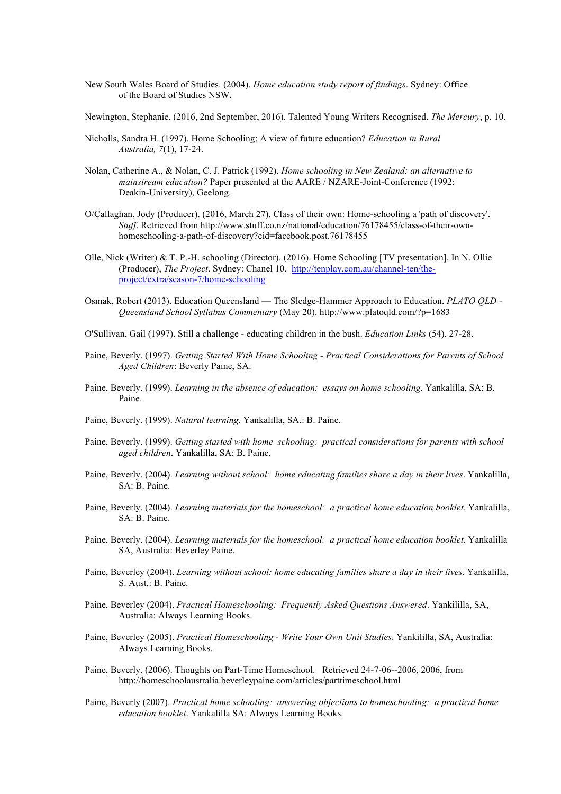- New South Wales Board of Studies. (2004). *Home education study report of findings*. Sydney: Office of the Board of Studies NSW.
- Newington, Stephanie. (2016, 2nd September, 2016). Talented Young Writers Recognised. *The Mercury*, p. 10.
- Nicholls, Sandra H. (1997). Home Schooling; A view of future education? *Education in Rural Australia, 7*(1), 17-24.
- Nolan, Catherine A., & Nolan, C. J. Patrick (1992). *Home schooling in New Zealand: an alternative to mainstream education?* Paper presented at the AARE / NZARE-Joint-Conference (1992: Deakin-University), Geelong.
- O/Callaghan, Jody (Producer). (2016, March 27). Class of their own: Home-schooling a 'path of discovery'. *Stuff*. Retrieved from http://www.stuff.co.nz/national/education/76178455/class-of-their-ownhomeschooling-a-path-of-discovery?cid=facebook.post.76178455
- Olle, Nick (Writer) & T. P.-H. schooling (Director). (2016). Home Schooling [TV presentation]. In N. Ollie (Producer), *The Project*. Sydney: Chanel 10. http://tenplay.com.au/channel-ten/theproject/extra/season-7/home-schooling
- Osmak, Robert (2013). Education Queensland The Sledge-Hammer Approach to Education. *PLATO QLD - Queensland School Syllabus Commentary* (May 20). http://www.platoqld.com/?p=1683
- O'Sullivan, Gail (1997). Still a challenge educating children in the bush. *Education Links* (54), 27-28.
- Paine, Beverly. (1997). *Getting Started With Home Schooling - Practical Considerations for Parents of School Aged Children*: Beverly Paine, SA.
- Paine, Beverly. (1999). *Learning in the absence of education: essays on home schooling*. Yankalilla, SA: B. Paine.
- Paine, Beverly. (1999). *Natural learning*. Yankalilla, SA.: B. Paine.
- Paine, Beverly. (1999). *Getting started with home schooling: practical considerations for parents with school aged children*. Yankalilla, SA: B. Paine.
- Paine, Beverly. (2004). *Learning without school: home educating families share a day in their lives*. Yankalilla, SA: B. Paine.
- Paine, Beverly. (2004). *Learning materials for the homeschool: a practical home education booklet*. Yankalilla, SA: B. Paine.
- Paine, Beverly. (2004). *Learning materials for the homeschool: a practical home education booklet*. Yankalilla SA, Australia: Beverley Paine.
- Paine, Beverley (2004). *Learning without school: home educating families share a day in their lives*. Yankalilla, S. Aust.: B. Paine.
- Paine, Beverley (2004). *Practical Homeschooling: Frequently Asked Questions Answered*. Yankililla, SA, Australia: Always Learning Books.
- Paine, Beverley (2005). *Practical Homeschooling - Write Your Own Unit Studies*. Yankililla, SA, Australia: Always Learning Books.
- Paine, Beverly. (2006). Thoughts on Part-Time Homeschool. Retrieved 24-7-06--2006, 2006, from http://homeschoolaustralia.beverleypaine.com/articles/parttimeschool.html
- Paine, Beverly (2007). *Practical home schooling: answering objections to homeschooling: a practical home education booklet*. Yankalilla SA: Always Learning Books.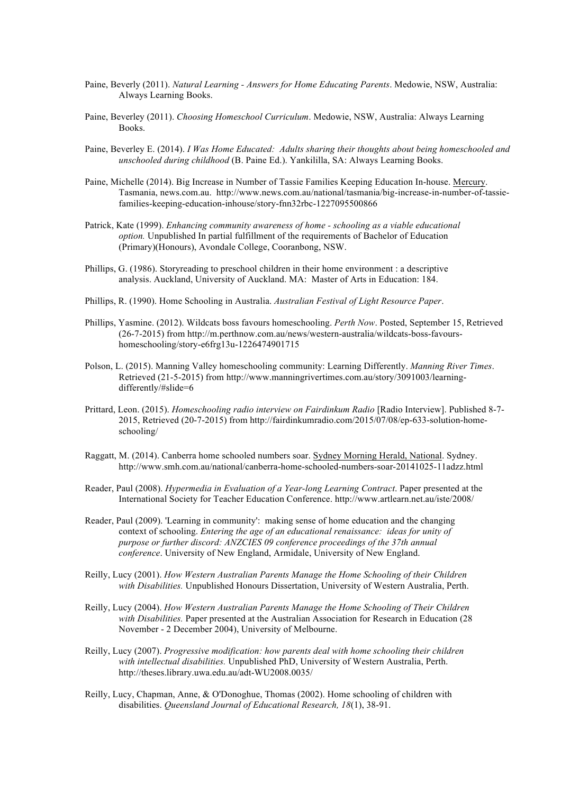- Paine, Beverly (2011). *Natural Learning - Answers for Home Educating Parents*. Medowie, NSW, Australia: Always Learning Books.
- Paine, Beverley (2011). *Choosing Homeschool Curriculum*. Medowie, NSW, Australia: Always Learning Books.
- Paine, Beverley E. (2014). *I Was Home Educated: Adults sharing their thoughts about being homeschooled and unschooled during childhood* (B. Paine Ed.). Yankililla, SA: Always Learning Books.
- Paine, Michelle (2014). Big Increase in Number of Tassie Families Keeping Education In-house. Mercury. Tasmania, news.com.au. http://www.news.com.au/national/tasmania/big-increase-in-number-of-tassiefamilies-keeping-education-inhouse/story-fnn32rbc-1227095500866
- Patrick, Kate (1999). *Enhancing community awareness of home - schooling as a viable educational option.* Unpublished In partial fulfillment of the requirements of Bachelor of Education (Primary)(Honours), Avondale College, Cooranbong, NSW.
- Phillips, G. (1986). Storyreading to preschool children in their home environment : a descriptive analysis. Auckland, University of Auckland. MA: Master of Arts in Education: 184.
- Phillips, R. (1990). Home Schooling in Australia. *Australian Festival of Light Resource Paper*.
- Phillips, Yasmine. (2012). Wildcats boss favours homeschooling. *Perth Now*. Posted, September 15, Retrieved (26-7-2015) from http://m.perthnow.com.au/news/western-australia/wildcats-boss-favourshomeschooling/story-e6frg13u-1226474901715
- Polson, L. (2015). Manning Valley homeschooling community: Learning Differently. *Manning River Times*. Retrieved (21-5-2015) from http://www.manningrivertimes.com.au/story/3091003/learningdifferently/#slide=6
- Prittard, Leon. (2015). *Homeschooling radio interview on Fairdinkum Radio* [Radio Interview]. Published 8-7- 2015, Retrieved (20-7-2015) from http://fairdinkumradio.com/2015/07/08/ep-633-solution-homeschooling/
- Raggatt, M. (2014). Canberra home schooled numbers soar. Sydney Morning Herald, National. Sydney. http://www.smh.com.au/national/canberra-home-schooled-numbers-soar-20141025-11adzz.html
- Reader, Paul (2008). *Hypermedia in Evaluation of a Year-long Learning Contract*. Paper presented at the International Society for Teacher Education Conference. http://www.artlearn.net.au/iste/2008/
- Reader, Paul (2009). 'Learning in community': making sense of home education and the changing context of schooling. *Entering the age of an educational renaissance: ideas for unity of purpose or further discord: ANZCIES 09 conference proceedings of the 37th annual conference*. University of New England, Armidale, University of New England.
- Reilly, Lucy (2001). *How Western Australian Parents Manage the Home Schooling of their Children with Disabilities.* Unpublished Honours Dissertation, University of Western Australia, Perth.
- Reilly, Lucy (2004). *How Western Australian Parents Manage the Home Schooling of Their Children with Disabilities.* Paper presented at the Australian Association for Research in Education (28 November - 2 December 2004), University of Melbourne.
- Reilly, Lucy (2007). *Progressive modification: how parents deal with home schooling their children with intellectual disabilities.* Unpublished PhD, University of Western Australia, Perth. http://theses.library.uwa.edu.au/adt-WU2008.0035/
- Reilly, Lucy, Chapman, Anne, & O'Donoghue, Thomas (2002). Home schooling of children with disabilities. *Queensland Journal of Educational Research, 18*(1), 38-91.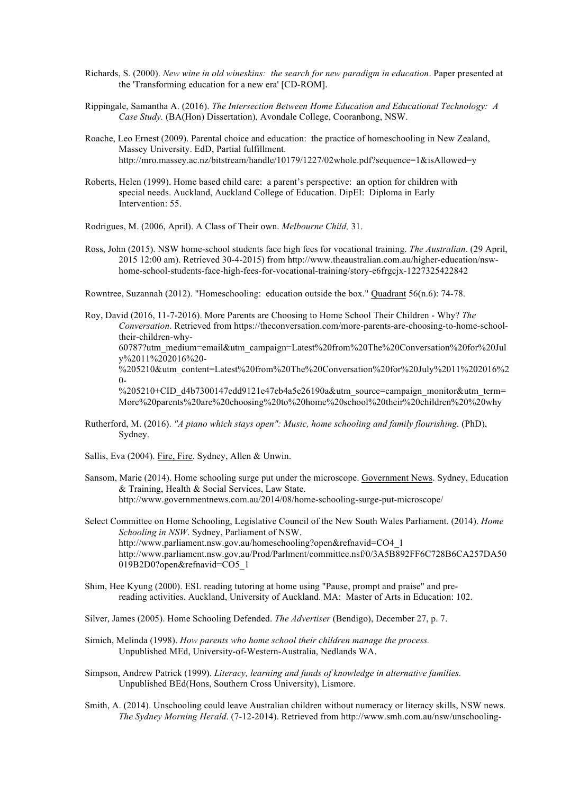- Richards, S. (2000). *New wine in old wineskins: the search for new paradigm in education*. Paper presented at the 'Transforming education for a new era' [CD-ROM].
- Rippingale, Samantha A. (2016). *The Intersection Between Home Education and Educational Technology: A Case Study.* (BA(Hon) Dissertation), Avondale College, Cooranbong, NSW.
- Roache, Leo Ernest (2009). Parental choice and education: the practice of homeschooling in New Zealand, Massey University. EdD, Partial fulfillment. http://mro.massey.ac.nz/bitstream/handle/10179/1227/02whole.pdf?sequence=1&isAllowed=y
- Roberts, Helen (1999). Home based child care: a parent's perspective: an option for children with special needs. Auckland, Auckland College of Education. DipEI: Diploma in Early Intervention: 55.

Rodrigues, M. (2006, April). A Class of Their own. *Melbourne Child,* 31.

Ross, John (2015). NSW home-school students face high fees for vocational training. *The Australian*. (29 April, 2015 12:00 am). Retrieved 30-4-2015) from http://www.theaustralian.com.au/higher-education/nswhome-school-students-face-high-fees-for-vocational-training/story-e6frgcjx-1227325422842

Rowntree, Suzannah (2012). "Homeschooling: education outside the box." Quadrant 56(n.6): 74-78.

Roy, David (2016, 11-7-2016). More Parents are Choosing to Home School Their Children - Why? *The Conversation*. Retrieved from https://theconversation.com/more-parents-are-choosing-to-home-schooltheir-children-why-60787?utm\_medium=email&utm\_campaign=Latest%20from%20The%20Conversation%20for%20Jul y%2011%202016%20- %205210&utm\_content=Latest%20from%20The%20Conversation%20for%20July%2011%202016%2  $0-$ %205210+CID\_d4b7300147edd9121e47eb4a5e26190a&utm\_source=campaign\_monitor&utm\_term= More%20parents%20are%20choosing%20to%20home%20school%20their%20children%20%20why

- Rutherford, M. (2016). *"A piano which stays open": Music, home schooling and family flourishing.* (PhD), Sydney.
- Sallis, Eva (2004). Fire, Fire. Sydney, Allen & Unwin.
- Sansom, Marie (2014). Home schooling surge put under the microscope. Government News. Sydney, Education & Training, Health & Social Services, Law State. http://www.governmentnews.com.au/2014/08/home-schooling-surge-put-microscope/

Select Committee on Home Schooling, Legislative Council of the New South Wales Parliament. (2014). *Home Schooling in NSW*. Sydney, Parliament of NSW. http://www.parliament.nsw.gov.au/homeschooling?open&refnavid=CO4\_1 http://www.parliament.nsw.gov.au/Prod/Parlment/committee.nsf/0/3A5B892FF6C728B6CA257DA50 019B2D0?open&refnavid=CO5\_1

- Shim, Hee Kyung (2000). ESL reading tutoring at home using "Pause, prompt and praise" and prereading activities. Auckland, University of Auckland. MA: Master of Arts in Education: 102.
- Silver, James (2005). Home Schooling Defended. *The Advertiser* (Bendigo), December 27, p. 7.
- Simich, Melinda (1998). *How parents who home school their children manage the process.* Unpublished MEd, University-of-Western-Australia, Nedlands WA.
- Simpson, Andrew Patrick (1999). *Literacy, learning and funds of knowledge in alternative families.* Unpublished BEd(Hons, Southern Cross University), Lismore.
- Smith, A. (2014). Unschooling could leave Australian children without numeracy or literacy skills, NSW news. *The Sydney Morning Herald*. (7-12-2014). Retrieved from http://www.smh.com.au/nsw/unschooling-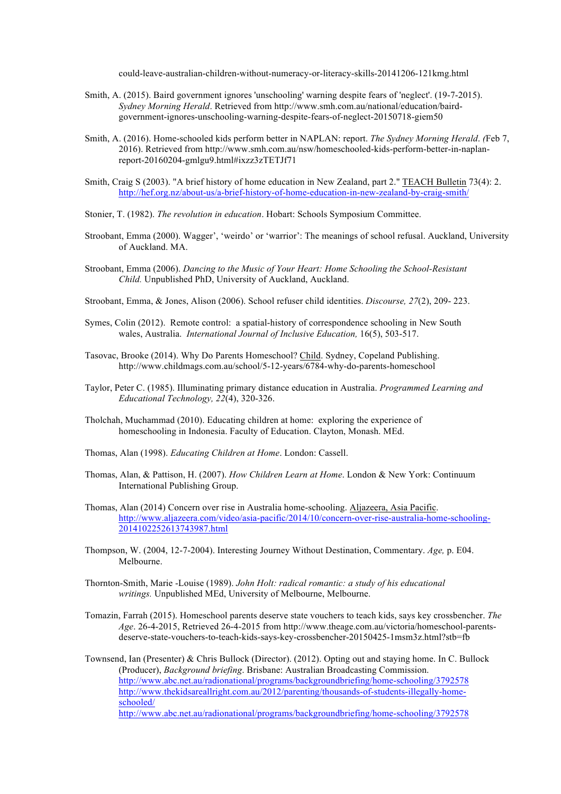could-leave-australian-children-without-numeracy-or-literacy-skills-20141206-121kmg.html

- Smith, A. (2015). Baird government ignores 'unschooling' warning despite fears of 'neglect'. (19-7-2015). *Sydney Morning Herald*. Retrieved from http://www.smh.com.au/national/education/bairdgovernment-ignores-unschooling-warning-despite-fears-of-neglect-20150718-giem50
- Smith, A. (2016). Home-schooled kids perform better in NAPLAN: report. *The Sydney Morning Herald*. *(*Feb 7, 2016). Retrieved from http://www.smh.com.au/nsw/homeschooled-kids-perform-better-in-naplanreport-20160204-gmlgu9.html#ixzz3zTETJf71
- Smith, Craig S (2003). "A brief history of home education in New Zealand, part 2." TEACH Bulletin 73(4): 2. http://hef.org.nz/about-us/a-brief-history-of-home-education-in-new-zealand-by-craig-smith/
- Stonier, T. (1982). *The revolution in education*. Hobart: Schools Symposium Committee.
- Stroobant, Emma (2000). Wagger', 'weirdo' or 'warrior': The meanings of school refusal. Auckland, University of Auckland. MA.
- Stroobant, Emma (2006). *Dancing to the Music of Your Heart: Home Schooling the School-Resistant Child.* Unpublished PhD, University of Auckland, Auckland.
- Stroobant, Emma, & Jones, Alison (2006). School refuser child identities. *Discourse, 27*(2), 209- 223.
- Symes, Colin (2012). Remote control: a spatial-history of correspondence schooling in New South wales, Australia. *International Journal of Inclusive Education,* 16(5), 503-517.
- Tasovac, Brooke (2014). Why Do Parents Homeschool? Child. Sydney, Copeland Publishing. http://www.childmags.com.au/school/5-12-years/6784-why-do-parents-homeschool
- Taylor, Peter C. (1985). Illuminating primary distance education in Australia. *Programmed Learning and Educational Technology, 22*(4), 320-326.
- Tholchah, Muchammad (2010). Educating children at home: exploring the experience of homeschooling in Indonesia. Faculty of Education. Clayton, Monash. MEd.
- Thomas, Alan (1998). *Educating Children at Home*. London: Cassell.
- Thomas, Alan, & Pattison, H. (2007). *How Children Learn at Home*. London & New York: Continuum International Publishing Group.
- Thomas, Alan (2014) Concern over rise in Australia home-schooling. Aljazeera, Asia Pacific. http://www.aljazeera.com/video/asia-pacific/2014/10/concern-over-rise-australia-home-schooling-2014102252613743987.html
- Thompson, W. (2004, 12-7-2004). Interesting Journey Without Destination, Commentary. *Age,* p. E04. Melbourne.
- Thornton-Smith, Marie -Louise (1989). *John Holt: radical romantic: a study of his educational writings.* Unpublished MEd, University of Melbourne, Melbourne.
- Tomazin, Farrah (2015). Homeschool parents deserve state vouchers to teach kids, says key crossbencher. *The Age*. 26-4-2015, Retrieved 26-4-2015 from http://www.theage.com.au/victoria/homeschool-parentsdeserve-state-vouchers-to-teach-kids-says-key-crossbencher-20150425-1msm3z.html?stb=fb

Townsend, Ian (Presenter) & Chris Bullock (Director). (2012). Opting out and staying home. In C. Bullock (Producer), *Background briefing*. Brisbane: Australian Broadcasting Commission. http://www.abc.net.au/radionational/programs/backgroundbriefing/home-schooling/3792578 http://www.thekidsareallright.com.au/2012/parenting/thousands-of-students-illegally-homeschooled/ http://www.abc.net.au/radionational/programs/backgroundbriefing/home-schooling/3792578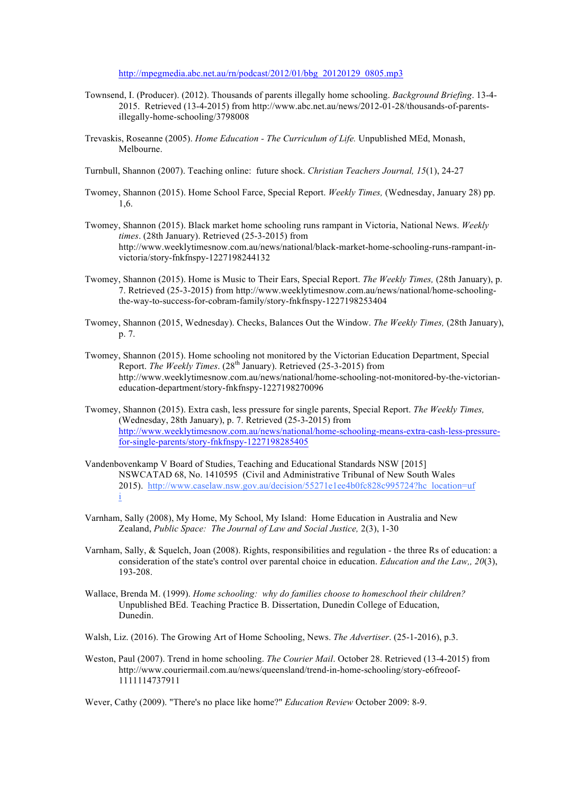http://mpegmedia.abc.net.au/rn/podcast/2012/01/bbg\_20120129\_0805.mp3

- Townsend, I. (Producer). (2012). Thousands of parents illegally home schooling. *Background Briefing*. 13-4- 2015. Retrieved (13-4-2015) from http://www.abc.net.au/news/2012-01-28/thousands-of-parentsillegally-home-schooling/3798008
- Trevaskis, Roseanne (2005). *Home Education - The Curriculum of Life.* Unpublished MEd, Monash, Melbourne.
- Turnbull, Shannon (2007). Teaching online: future shock. *Christian Teachers Journal, 15*(1), 24-27
- Twomey, Shannon (2015). Home School Farce, Special Report. *Weekly Times,* (Wednesday, January 28) pp. 1,6.
- Twomey, Shannon (2015). Black market home schooling runs rampant in Victoria, National News. *Weekly times*. (28th January). Retrieved (25-3-2015) from http://www.weeklytimesnow.com.au/news/national/black-market-home-schooling-runs-rampant-invictoria/story-fnkfnspy-1227198244132
- Twomey, Shannon (2015). Home is Music to Their Ears, Special Report. *The Weekly Times,* (28th January), p. 7. Retrieved (25-3-2015) from http://www.weeklytimesnow.com.au/news/national/home-schoolingthe-way-to-success-for-cobram-family/story-fnkfnspy-1227198253404
- Twomey, Shannon (2015, Wednesday). Checks, Balances Out the Window. *The Weekly Times,* (28th January), p. 7.
- Twomey, Shannon (2015). Home schooling not monitored by the Victorian Education Department, Special Report. *The Weekly Times*. (28<sup>th</sup> January). Retrieved (25-3-2015) from http://www.weeklytimesnow.com.au/news/national/home-schooling-not-monitored-by-the-victorianeducation-department/story-fnkfnspy-1227198270096
- Twomey, Shannon (2015). Extra cash, less pressure for single parents, Special Report. *The Weekly Times,* (Wednesday, 28th January), p. 7. Retrieved (25-3-2015) from http://www.weeklytimesnow.com.au/news/national/home-schooling-means-extra-cash-less-pressurefor-single-parents/story-fnkfnspy-1227198285405
- Vandenbovenkamp V Board of Studies, Teaching and Educational Standards NSW [2015] NSWCATAD 68, No. 1410595 (Civil and Administrative Tribunal of New South Wales 2015). http://www.caselaw.nsw.gov.au/decision/55271e1ee4b0fc828c995724?hc\_location=uf i
- Varnham, Sally (2008), My Home, My School, My Island: Home Education in Australia and New Zealand, *Public Space: The Journal of Law and Social Justice,* 2(3), 1-30
- Varnham, Sally, & Squelch, Joan (2008). Rights, responsibilities and regulation the three Rs of education: a consideration of the state's control over parental choice in education. *Education and the Law,, 20*(3), 193-208.
- Wallace, Brenda M. (1999). *Home schooling: why do families choose to homeschool their children?* Unpublished BEd. Teaching Practice B. Dissertation, Dunedin College of Education, Dunedin.
- Walsh, Liz. (2016). The Growing Art of Home Schooling, News. *The Advertiser*. (25-1-2016), p.3.
- Weston, Paul (2007). Trend in home schooling. *The Courier Mail*. October 28. Retrieved (13-4-2015) from http://www.couriermail.com.au/news/queensland/trend-in-home-schooling/story-e6freoof-1111114737911
- Wever, Cathy (2009). "There's no place like home?" *Education Review* October 2009: 8-9.